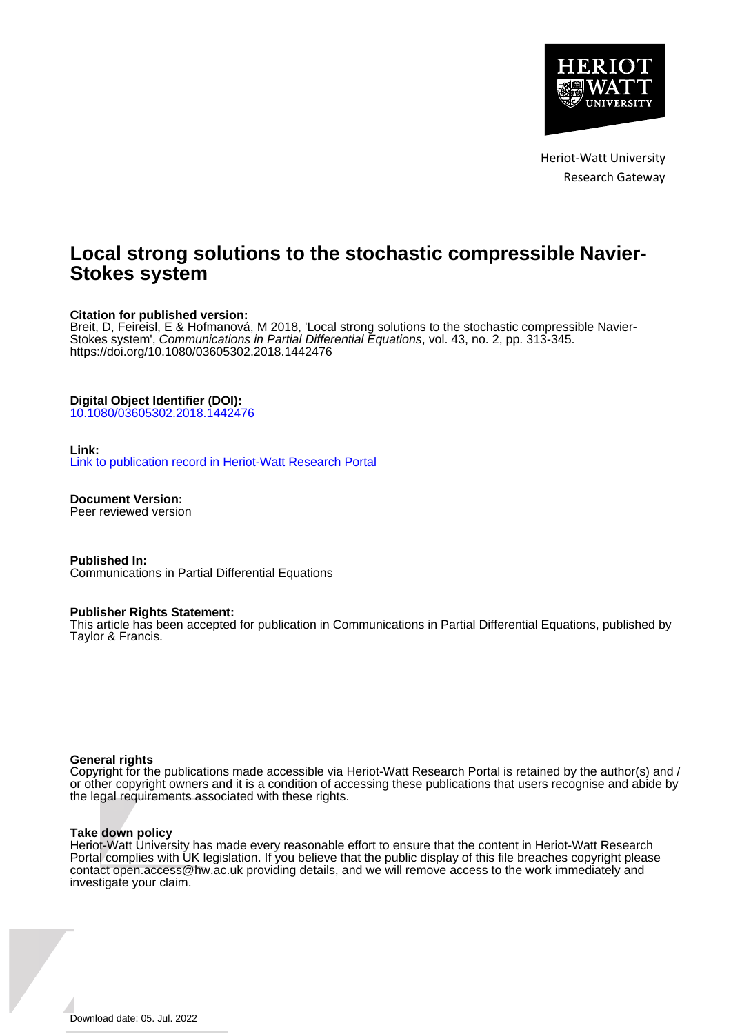

Heriot-Watt University Research Gateway

## **Local strong solutions to the stochastic compressible Navier-Stokes system**

#### **Citation for published version:**

Breit, D, Feireisl, E & Hofmanová, M 2018, 'Local strong solutions to the stochastic compressible Navier-Stokes system', Communications in Partial Differential Equations, vol. 43, no. 2, pp. 313-345. <https://doi.org/10.1080/03605302.2018.1442476>

## **Digital Object Identifier (DOI):**

[10.1080/03605302.2018.1442476](https://doi.org/10.1080/03605302.2018.1442476)

#### **Link:**

[Link to publication record in Heriot-Watt Research Portal](https://researchportal.hw.ac.uk/en/publications/d07ac3c8-9f1e-4193-b999-3081b1511278)

**Document Version:** Peer reviewed version

**Published In:** Communications in Partial Differential Equations

#### **Publisher Rights Statement:**

This article has been accepted for publication in Communications in Partial Differential Equations, published by Taylor & Francis.

#### **General rights**

Copyright for the publications made accessible via Heriot-Watt Research Portal is retained by the author(s) and / or other copyright owners and it is a condition of accessing these publications that users recognise and abide by the legal requirements associated with these rights.

#### **Take down policy**

Heriot-Watt University has made every reasonable effort to ensure that the content in Heriot-Watt Research Portal complies with UK legislation. If you believe that the public display of this file breaches copyright please contact open.access@hw.ac.uk providing details, and we will remove access to the work immediately and investigate your claim.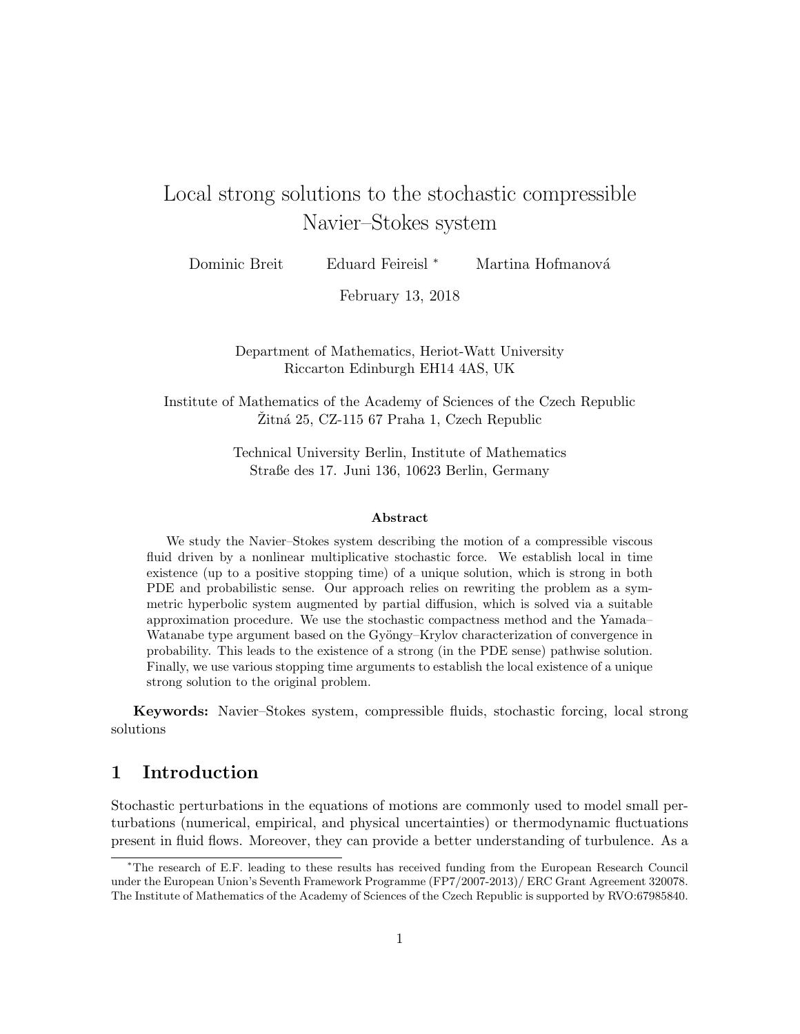# Local strong solutions to the stochastic compressible Navier–Stokes system

| Dominic Breit | Eduard Feireisl <sup>*</sup> |  | Martina Hofmanová |
|---------------|------------------------------|--|-------------------|
|---------------|------------------------------|--|-------------------|

February 13, 2018

Department of Mathematics, Heriot-Watt University Riccarton Edinburgh EH14 4AS, UK

Institute of Mathematics of the Academy of Sciences of the Czech Republic  $Zitn\acute{a} 25$ , CZ-115 67 Praha 1, Czech Republic

> Technical University Berlin, Institute of Mathematics Straße des 17. Juni 136, 10623 Berlin, Germany

#### Abstract

We study the Navier–Stokes system describing the motion of a compressible viscous fluid driven by a nonlinear multiplicative stochastic force. We establish local in time existence (up to a positive stopping time) of a unique solution, which is strong in both PDE and probabilistic sense. Our approach relies on rewriting the problem as a symmetric hyperbolic system augmented by partial diffusion, which is solved via a suitable approximation procedure. We use the stochastic compactness method and the Yamada– Watanabe type argument based on the Gyöngy–Krylov characterization of convergence in probability. This leads to the existence of a strong (in the PDE sense) pathwise solution. Finally, we use various stopping time arguments to establish the local existence of a unique strong solution to the original problem.

Keywords: Navier–Stokes system, compressible fluids, stochastic forcing, local strong solutions

## 1 Introduction

Stochastic perturbations in the equations of motions are commonly used to model small perturbations (numerical, empirical, and physical uncertainties) or thermodynamic fluctuations present in fluid flows. Moreover, they can provide a better understanding of turbulence. As a

<sup>∗</sup>The research of E.F. leading to these results has received funding from the European Research Council under the European Union's Seventh Framework Programme (FP7/2007-2013)/ ERC Grant Agreement 320078. The Institute of Mathematics of the Academy of Sciences of the Czech Republic is supported by RVO:67985840.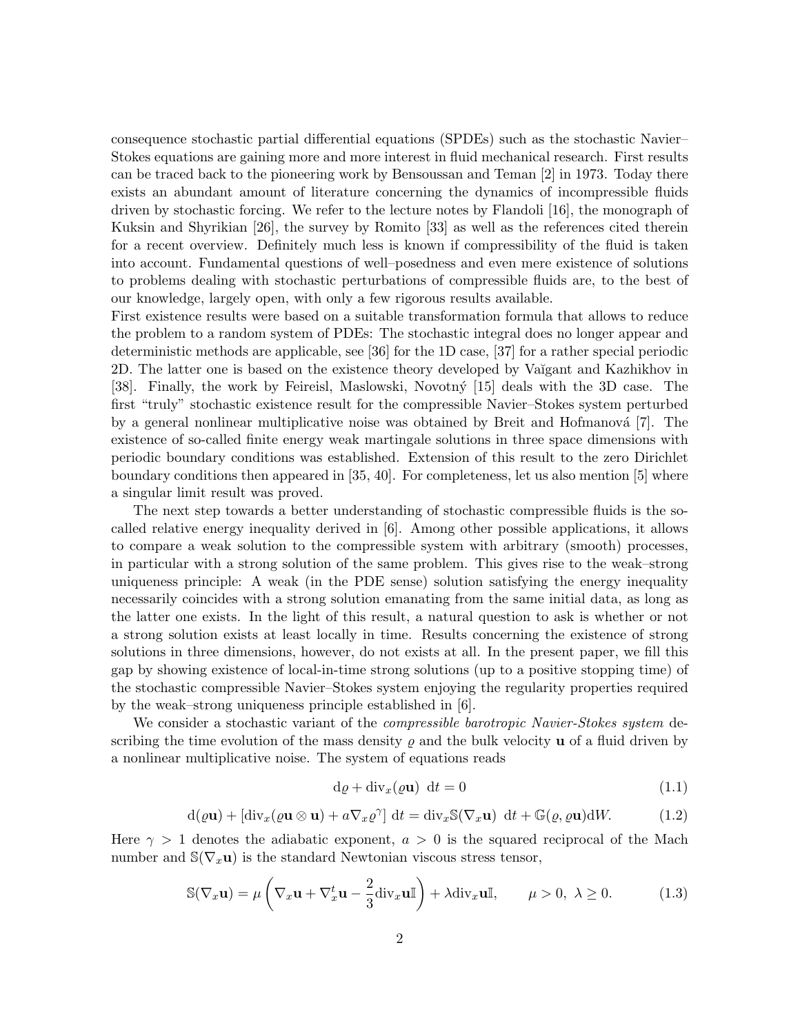consequence stochastic partial differential equations (SPDEs) such as the stochastic Navier– Stokes equations are gaining more and more interest in fluid mechanical research. First results can be traced back to the pioneering work by Bensoussan and Teman [2] in 1973. Today there exists an abundant amount of literature concerning the dynamics of incompressible fluids driven by stochastic forcing. We refer to the lecture notes by Flandoli [16], the monograph of Kuksin and Shyrikian [26], the survey by Romito [33] as well as the references cited therein for a recent overview. Definitely much less is known if compressibility of the fluid is taken into account. Fundamental questions of well–posedness and even mere existence of solutions to problems dealing with stochastic perturbations of compressible fluids are, to the best of our knowledge, largely open, with only a few rigorous results available.

First existence results were based on a suitable transformation formula that allows to reduce the problem to a random system of PDEs: The stochastic integral does no longer appear and deterministic methods are applicable, see [36] for the 1D case, [37] for a rather special periodic 2D. The latter one is based on the existence theory developed by Va˘ıgant and Kazhikhov in [38]. Finally, the work by Feireisl, Maslowski, Novotný [15] deals with the 3D case. The first "truly" stochastic existence result for the compressible Navier–Stokes system perturbed by a general nonlinear multiplicative noise was obtained by Breit and Hofmanová [7]. The existence of so-called finite energy weak martingale solutions in three space dimensions with periodic boundary conditions was established. Extension of this result to the zero Dirichlet boundary conditions then appeared in [35, 40]. For completeness, let us also mention [5] where a singular limit result was proved.

The next step towards a better understanding of stochastic compressible fluids is the socalled relative energy inequality derived in [6]. Among other possible applications, it allows to compare a weak solution to the compressible system with arbitrary (smooth) processes, in particular with a strong solution of the same problem. This gives rise to the weak–strong uniqueness principle: A weak (in the PDE sense) solution satisfying the energy inequality necessarily coincides with a strong solution emanating from the same initial data, as long as the latter one exists. In the light of this result, a natural question to ask is whether or not a strong solution exists at least locally in time. Results concerning the existence of strong solutions in three dimensions, however, do not exists at all. In the present paper, we fill this gap by showing existence of local-in-time strong solutions (up to a positive stopping time) of the stochastic compressible Navier–Stokes system enjoying the regularity properties required by the weak–strong uniqueness principle established in [6].

We consider a stochastic variant of the *compressible barotropic Navier-Stokes system* describing the time evolution of the mass density  $\rho$  and the bulk velocity **u** of a fluid driven by a nonlinear multiplicative noise. The system of equations reads

$$
d\varrho + div_x(\varrho \mathbf{u}) \, dt = 0 \tag{1.1}
$$

$$
d(\varrho \mathbf{u}) + [\text{div}_x(\varrho \mathbf{u} \otimes \mathbf{u}) + a \nabla_x \varrho^{\gamma}] dt = \text{div}_x \mathbb{S}(\nabla_x \mathbf{u}) dt + \mathbb{G}(\varrho, \varrho \mathbf{u}) dW.
$$
 (1.2)

Here  $\gamma > 1$  denotes the adiabatic exponent,  $a > 0$  is the squared reciprocal of the Mach number and  $\mathbb{S}(\nabla_x \mathbf{u})$  is the standard Newtonian viscous stress tensor,

$$
\mathbb{S}(\nabla_x \mathbf{u}) = \mu \left( \nabla_x \mathbf{u} + \nabla_x^t \mathbf{u} - \frac{2}{3} \text{div}_x \mathbf{u} \mathbb{I} \right) + \lambda \text{div}_x \mathbf{u} \mathbb{I}, \qquad \mu > 0, \ \lambda \ge 0. \tag{1.3}
$$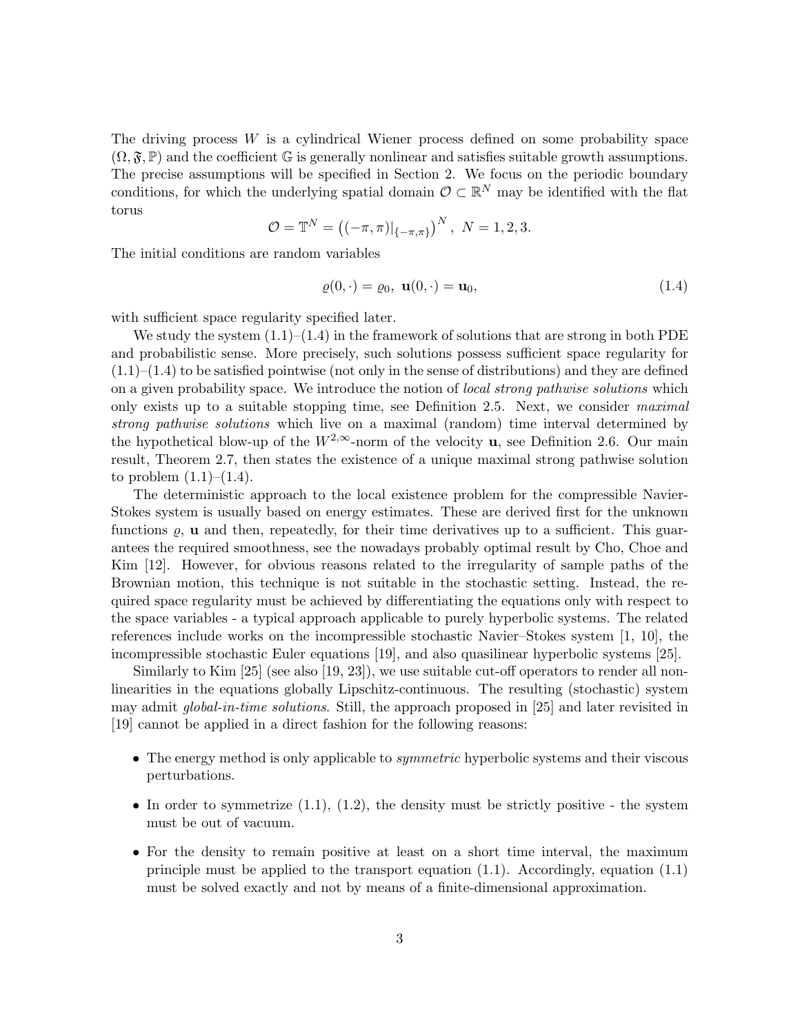The driving process  $W$  is a cylindrical Wiener process defined on some probability space  $(\Omega, \mathfrak{F}, \mathbb{P})$  and the coefficient G is generally nonlinear and satisfies suitable growth assumptions. The precise assumptions will be specified in Section 2. We focus on the periodic boundary conditions, for which the underlying spatial domain  $\mathcal{O} \subset \mathbb{R}^N$  may be identified with the flat torus

$$
\mathcal{O} = \mathbb{T}^N = ((-\pi, \pi)|_{\{-\pi, \pi\}})^N, N = 1, 2, 3.
$$

The initial conditions are random variables

$$
\varrho(0,\cdot) = \varrho_0, \ \mathbf{u}(0,\cdot) = \mathbf{u}_0,\tag{1.4}
$$

with sufficient space regularity specified later.

We study the system  $(1.1)$ – $(1.4)$  in the framework of solutions that are strong in both PDE and probabilistic sense. More precisely, such solutions possess sufficient space regularity for  $(1.1)$ – $(1.4)$  to be satisfied pointwise (not only in the sense of distributions) and they are defined on a given probability space. We introduce the notion of *local strong pathwise solutions* which only exists up to a suitable stopping time, see Definition 2.5. Next, we consider *maximal* strong pathwise solutions which live on a maximal (random) time interval determined by the hypothetical blow-up of the  $W^{2,\infty}$ -norm of the velocity **u**, see Definition 2.6. Our main result, Theorem 2.7, then states the existence of a unique maximal strong pathwise solution to problem  $(1.1)–(1.4)$ .

The deterministic approach to the local existence problem for the compressible Navier-Stokes system is usually based on energy estimates. These are derived first for the unknown functions  $\rho$ , **u** and then, repeatedly, for their time derivatives up to a sufficient. This guarantees the required smoothness, see the nowadays probably optimal result by Cho, Choe and Kim [12]. However, for obvious reasons related to the irregularity of sample paths of the Brownian motion, this technique is not suitable in the stochastic setting. Instead, the required space regularity must be achieved by differentiating the equations only with respect to the space variables - a typical approach applicable to purely hyperbolic systems. The related references include works on the incompressible stochastic Navier–Stokes system [1, 10], the incompressible stochastic Euler equations [19], and also quasilinear hyperbolic systems [25].

Similarly to Kim [25] (see also [19, 23]), we use suitable cut-off operators to render all nonlinearities in the equations globally Lipschitz-continuous. The resulting (stochastic) system may admit *global-in-time solutions*. Still, the approach proposed in [25] and later revisited in [19] cannot be applied in a direct fashion for the following reasons:

- The energy method is only applicable to *symmetric* hyperbolic systems and their viscous perturbations.
- In order to symmetrize  $(1.1)$ ,  $(1.2)$ , the density must be strictly positive the system must be out of vacuum.
- For the density to remain positive at least on a short time interval, the maximum principle must be applied to the transport equation  $(1.1)$ . Accordingly, equation  $(1.1)$ must be solved exactly and not by means of a finite-dimensional approximation.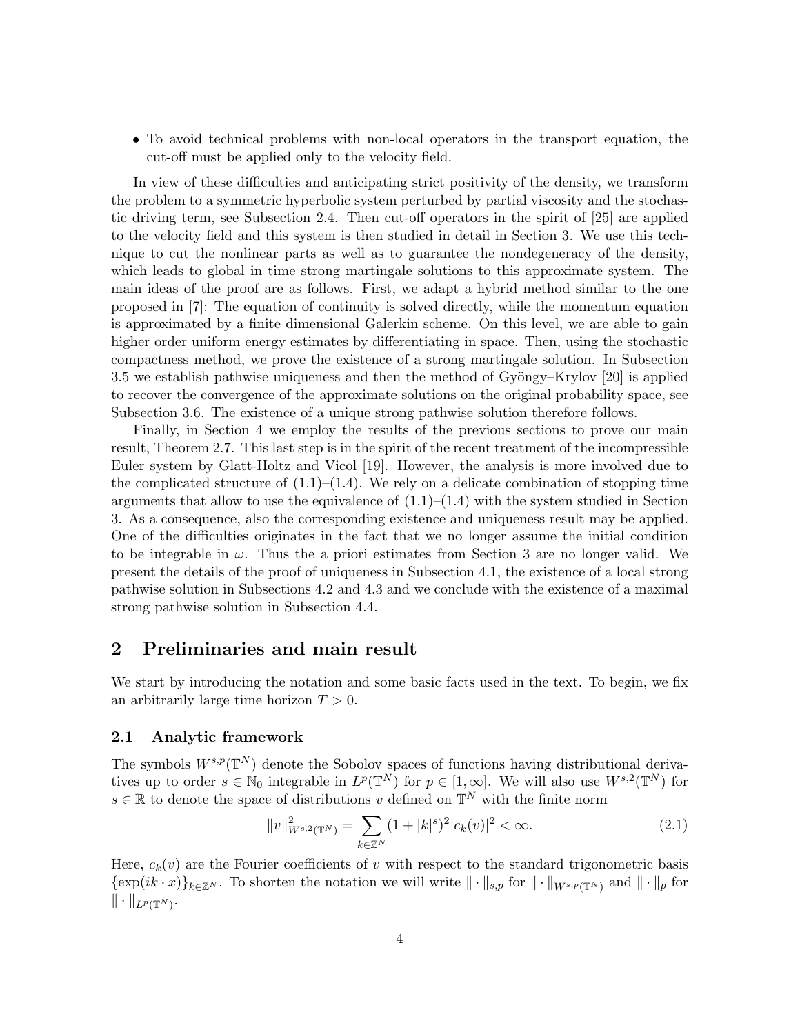• To avoid technical problems with non-local operators in the transport equation, the cut-off must be applied only to the velocity field.

In view of these difficulties and anticipating strict positivity of the density, we transform the problem to a symmetric hyperbolic system perturbed by partial viscosity and the stochastic driving term, see Subsection 2.4. Then cut-off operators in the spirit of [25] are applied to the velocity field and this system is then studied in detail in Section 3. We use this technique to cut the nonlinear parts as well as to guarantee the nondegeneracy of the density, which leads to global in time strong martingale solutions to this approximate system. The main ideas of the proof are as follows. First, we adapt a hybrid method similar to the one proposed in [7]: The equation of continuity is solved directly, while the momentum equation is approximated by a finite dimensional Galerkin scheme. On this level, we are able to gain higher order uniform energy estimates by differentiating in space. Then, using the stochastic compactness method, we prove the existence of a strong martingale solution. In Subsection 3.5 we establish pathwise uniqueness and then the method of Gyöngy–Krylov  $[20]$  is applied to recover the convergence of the approximate solutions on the original probability space, see Subsection 3.6. The existence of a unique strong pathwise solution therefore follows.

Finally, in Section 4 we employ the results of the previous sections to prove our main result, Theorem 2.7. This last step is in the spirit of the recent treatment of the incompressible Euler system by Glatt-Holtz and Vicol [19]. However, the analysis is more involved due to the complicated structure of  $(1.1)$ – $(1.4)$ . We rely on a delicate combination of stopping time arguments that allow to use the equivalence of  $(1.1)–(1.4)$  with the system studied in Section 3. As a consequence, also the corresponding existence and uniqueness result may be applied. One of the difficulties originates in the fact that we no longer assume the initial condition to be integrable in  $\omega$ . Thus the a priori estimates from Section 3 are no longer valid. We present the details of the proof of uniqueness in Subsection 4.1, the existence of a local strong pathwise solution in Subsections 4.2 and 4.3 and we conclude with the existence of a maximal strong pathwise solution in Subsection 4.4.

## 2 Preliminaries and main result

We start by introducing the notation and some basic facts used in the text. To begin, we fix an arbitrarily large time horizon  $T > 0$ .

#### 2.1 Analytic framework

The symbols  $W^{s,p}(\mathbb{T}^N)$  denote the Sobolov spaces of functions having distributional derivatives up to order  $s \in \mathbb{N}_0$  integrable in  $L^p(\mathbb{T}^N)$  for  $p \in [1,\infty]$ . We will also use  $W^{s,2}(\mathbb{T}^N)$  for  $s \in \mathbb{R}$  to denote the space of distributions v defined on  $\mathbb{T}^N$  with the finite norm

$$
||v||_{W^{s,2}(\mathbb{T}^N)}^2 = \sum_{k \in \mathbb{Z}^N} (1+|k|^s)^2 |c_k(v)|^2 < \infty. \tag{2.1}
$$

Here,  $c_k(v)$  are the Fourier coefficients of v with respect to the standard trigonometric basis  ${\exp(ik \cdot x)}_{k\in\mathbb{Z}^N}$ . To shorten the notation we will write  $\|\cdot\|_{s,p}$  for  $\|\cdot\|_{W^{s,p}(\mathbb{T}^N)}$  and  $\|\cdot\|_p$  for  $\|\cdot\|_{L^p(\mathbb{T}^N)}.$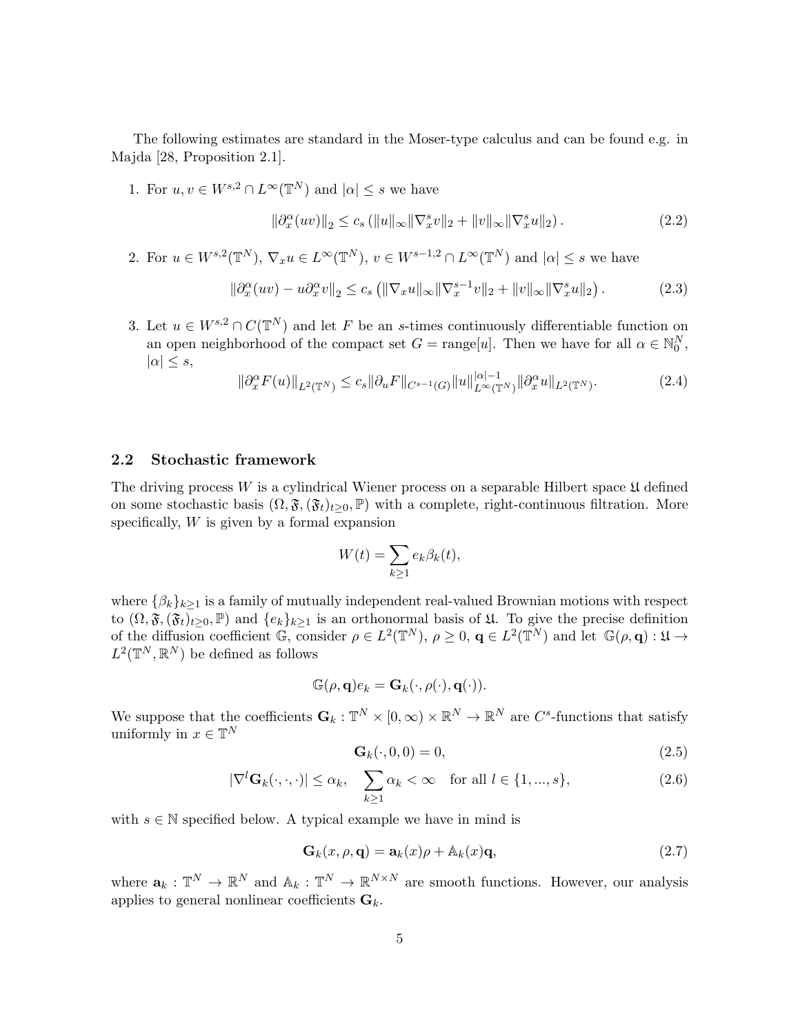The following estimates are standard in the Moser-type calculus and can be found e.g. in Majda [28, Proposition 2.1].

1. For  $u, v \in W^{s, 2} \cap L^{\infty}(\mathbb{T}^N)$  and  $|\alpha| \leq s$  we have

$$
\|\partial_x^{\alpha}(uv)\|_2 \le c_s \left( \|u\|_{\infty} \|\nabla_x^s v\|_2 + \|v\|_{\infty} \|\nabla_x^s u\|_2 \right). \tag{2.2}
$$

2. For  $u \in W^{s,2}(\mathbb{T}^N)$ ,  $\nabla_x u \in L^{\infty}(\mathbb{T}^N)$ ,  $v \in W^{s-1,2} \cap L^{\infty}(\mathbb{T}^N)$  and  $|\alpha| \leq s$  we have

$$
\|\partial_x^{\alpha}(uv) - u\partial_x^{\alpha}v\|_2 \le c_s \left( \|\nabla_x u\|_{\infty} \|\nabla_x^{s-1}v\|_2 + \|v\|_{\infty} \|\nabla_x^s u\|_2 \right). \tag{2.3}
$$

3. Let  $u \in W^{s,2} \cap C(\mathbb{T}^N)$  and let F be an s-times continuously differentiable function on an open neighborhood of the compact set  $G = \text{range}[u]$ . Then we have for all  $\alpha \in \mathbb{N}_0^N$ ,  $|\alpha| \leq s$ ,

$$
\|\partial_x^{\alpha} F(u)\|_{L^2(\mathbb{T}^N)} \le c_s \|\partial_u F\|_{C^{s-1}(G)} \|u\|_{L^{\infty}(\mathbb{T}^N)}^{|\alpha|-1} \|\partial_x^{\alpha} u\|_{L^2(\mathbb{T}^N)}.
$$
\n(2.4)

#### 2.2 Stochastic framework

The driving process  $W$  is a cylindrical Wiener process on a separable Hilbert space  $\mathfrak U$  defined on some stochastic basis  $(\Omega, \mathfrak{F}, (\mathfrak{F}_t)_{t>0}, \mathbb{P})$  with a complete, right-continuous filtration. More specifically,  $W$  is given by a formal expansion

$$
W(t) = \sum_{k \ge 1} e_k \beta_k(t),
$$

where  $\{\beta_k\}_{k>1}$  is a family of mutually independent real-valued Brownian motions with respect to  $(\Omega, \mathfrak{F},(\mathfrak{F}_t)_{t\geq0}, \mathbb{P})$  and  $\{e_k\}_{k\geq1}$  is an orthonormal basis of  $\mathfrak{U}$ . To give the precise definition of the diffusion coefficient  $\mathbb{G}$ , consider  $\rho \in L^2(\mathbb{T}^N)$ ,  $\rho \geq 0$ ,  $\mathbf{q} \in L^2(\mathbb{T}^N)$  and let  $\mathbb{G}(\rho, \mathbf{q}) : \mathfrak{U} \to$  $L^2(\mathbb{T}^N,\mathbb{R}^N)$  be defined as follows

$$
\mathbb{G}(\rho, \mathbf{q})e_k = \mathbf{G}_k(\cdot, \rho(\cdot), \mathbf{q}(\cdot)).
$$

We suppose that the coefficients  $\mathbf{G}_k : \mathbb{T}^N \times [0, \infty) \times \mathbb{R}^N \to \mathbb{R}^N$  are  $C^s$ -functions that satisfy uniformly in  $x \in \mathbb{T}^N$ 

$$
\mathbf{G}_k(\cdot,0,0) = 0,\tag{2.5}
$$

$$
|\nabla^{l}\mathbf{G}_{k}(\cdot,\cdot,\cdot)| \leq \alpha_{k}, \quad \sum_{k\geq 1} \alpha_{k} < \infty \quad \text{for all } l \in \{1, ..., s\},
$$
\n(2.6)

with  $s \in \mathbb{N}$  specified below. A typical example we have in mind is

$$
\mathbf{G}_k(x,\rho,\mathbf{q}) = \mathbf{a}_k(x)\rho + \mathbb{A}_k(x)\mathbf{q},\tag{2.7}
$$

where  $\mathbf{a}_k : \mathbb{T}^N \to \mathbb{R}^N$  and  $\mathbb{A}_k : \mathbb{T}^N \to \mathbb{R}^{N \times N}$  are smooth functions. However, our analysis applies to general nonlinear coefficients  $\mathbf{G}_k$ .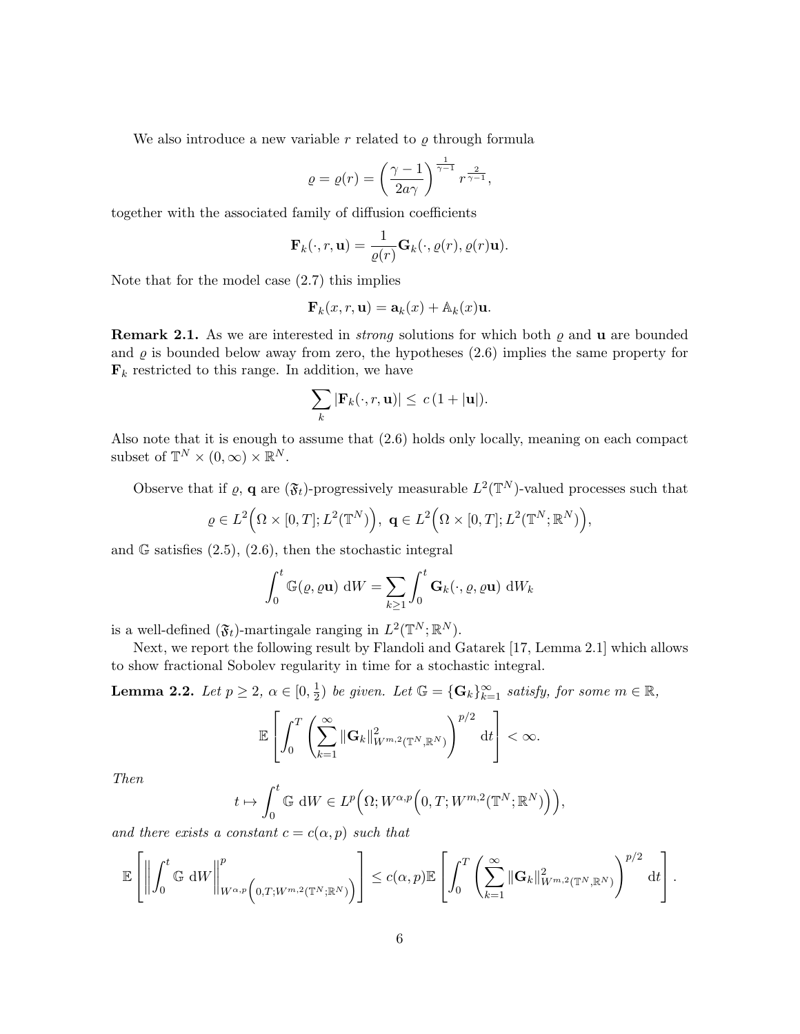We also introduce a new variable r related to  $\rho$  through formula

$$
\varrho = \varrho(r) = \left(\frac{\gamma - 1}{2a\gamma}\right)^{\frac{1}{\gamma - 1}} r^{\frac{2}{\gamma - 1}},
$$

together with the associated family of diffusion coefficients

$$
\mathbf{F}_k(\cdot, r, \mathbf{u}) = \frac{1}{\varrho(r)} \mathbf{G}_k(\cdot, \varrho(r), \varrho(r) \mathbf{u}).
$$

Note that for the model case (2.7) this implies

$$
\mathbf{F}_k(x,r,\mathbf{u}) = \mathbf{a}_k(x) + \mathbb{A}_k(x)\mathbf{u}.
$$

**Remark 2.1.** As we are interested in *strong* solutions for which both  $\varrho$  and **u** are bounded and  $\rho$  is bounded below away from zero, the hypotheses (2.6) implies the same property for  $\mathbf{F}_k$  restricted to this range. In addition, we have

$$
\sum_{k} |\mathbf{F}_k(\cdot, r, \mathbf{u})| \leq c (1 + |\mathbf{u}|).
$$

Also note that it is enough to assume that (2.6) holds only locally, meaning on each compact subset of  $\mathbb{T}^N \times (0, \infty) \times \mathbb{R}^N$ .

Observe that if  $\varrho$ , **q** are  $(\mathfrak{F}_t)$ -progressively measurable  $L^2(\mathbb{T}^N)$ -valued processes such that

$$
\varrho \in L^2\Big(\Omega\times[0,T];L^2(\mathbb{T}^N)\Big),\ \mathbf{q}\in L^2\Big(\Omega\times[0,T];L^2(\mathbb{T}^N;\mathbb{R}^N)\Big),
$$

and  $\mathbb{G}$  satisfies  $(2.5)$ ,  $(2.6)$ , then the stochastic integral

$$
\int_0^t \mathbb{G}(\varrho, \varrho \mathbf{u}) \, dW = \sum_{k \ge 1} \int_0^t \mathbf{G}_k(\cdot, \varrho, \varrho \mathbf{u}) \, dW_k
$$

is a well-defined  $(\mathfrak{F}_t)$ -martingale ranging in  $L^2(\mathbb{T}^N;\mathbb{R}^N)$ .

Next, we report the following result by Flandoli and Gatarek [17, Lemma 2.1] which allows to show fractional Sobolev regularity in time for a stochastic integral.

**Lemma 2.2.** Let  $p \ge 2$ ,  $\alpha \in [0, \frac{1}{2}]$  $\frac{1}{2}$ ) be given. Let  $\mathbb{G} = {\{\mathbf{G}_k\}}_{k=1}^{\infty}$  satisfy, for some  $m \in \mathbb{R}$ ,

$$
\mathbb{E}\left[\int_0^T \left(\sum_{k=1}^\infty \|\mathbf{G}_k\|_{W^{m,2}(\mathbb{T}^N,\mathbb{R}^N)}^2\right)^{p/2} dt\right] < \infty.
$$

Then

$$
t \mapsto \int_0^t \mathbb{G} \, \mathrm{d}W \in L^p\Big(\Omega; W^{\alpha, p}\Big(0, T; W^{m, 2}(\mathbb{T}^N; \mathbb{R}^N)\Big)\Big),
$$

and there exists a constant  $c = c(\alpha, p)$  such that

$$
\mathbb{E}\left[\left\|\int_0^t \mathbb{G} \, \mathrm{d}W\right\|_{W^{\alpha,p}\left(0,T;W^{m,2}(\mathbb{T}^N;\mathbb{R}^N)\right)}^p\right] \leq c(\alpha,p) \mathbb{E}\left[\int_0^T \left(\sum_{k=1}^\infty \|\mathbf{G}_k\|_{W^{m,2}(\mathbb{T}^N;\mathbb{R}^N)}^2\right)^{p/2} \, \mathrm{d}t\right].
$$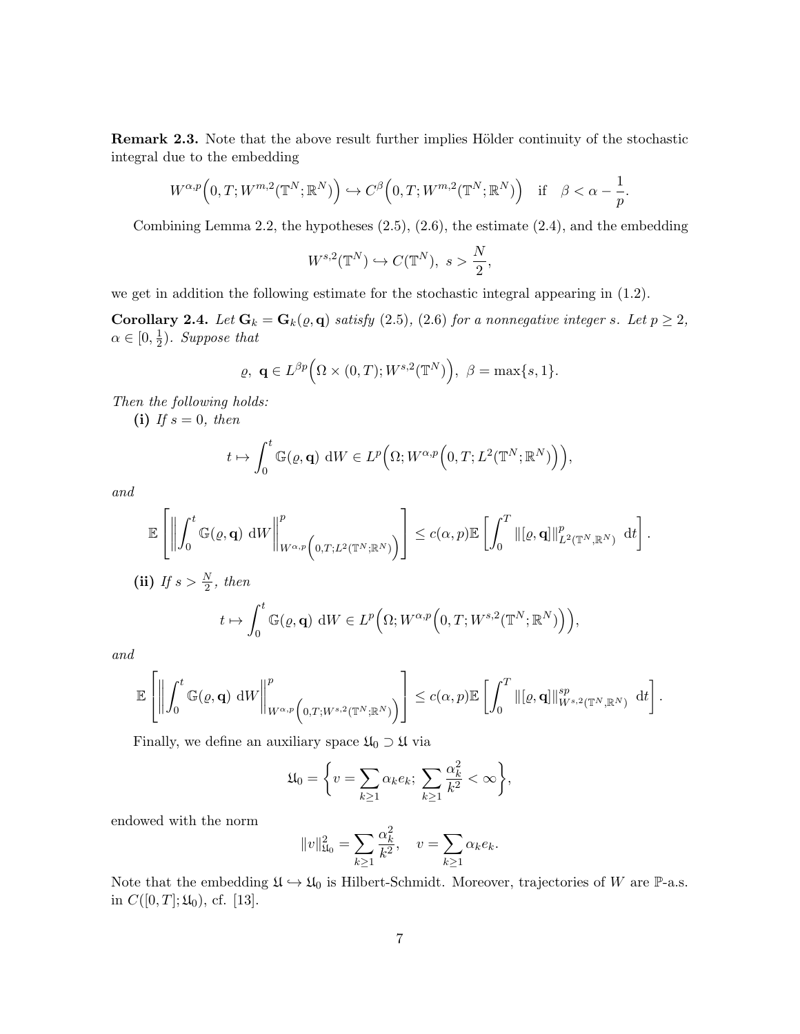Remark 2.3. Note that the above result further implies Hölder continuity of the stochastic integral due to the embedding

$$
W^{\alpha,p}\Big(0,T;W^{m,2}(\mathbb{T}^N;\mathbb{R}^N)\Big) \hookrightarrow C^{\beta}\Big(0,T;W^{m,2}(\mathbb{T}^N;\mathbb{R}^N)\Big) \quad \text{if} \quad \beta < \alpha - \frac{1}{p}.
$$

Combining Lemma 2.2, the hypotheses (2.5), (2.6), the estimate (2.4), and the embedding

$$
W^{s,2}(\mathbb{T}^N)\hookrightarrow C(\mathbb{T}^N),\ s>\frac{N}{2},
$$

we get in addition the following estimate for the stochastic integral appearing in (1.2).

Corollary 2.4. Let  $G_k = G_k(\varrho, \mathbf{q})$  satisfy (2.5), (2.6) for a nonnegative integer s. Let  $p \geq 2$ ,  $\alpha \in [0, \frac{1}{2}]$  $(\frac{1}{2})$ . Suppose that

$$
\varrho, \ \mathbf{q} \in L^{\beta p}(\Omega \times (0,T); W^{s,2}(\mathbb{T}^N)), \ \beta = \max\{s,1\}.
$$

Then the following holds:

(i) If  $s = 0$ , then

$$
t \mapsto \int_0^t \mathbb{G}(\varrho, \mathbf{q}) dW \in L^p\Big(\Omega; W^{\alpha, p}\Big(0, T; L^2(\mathbb{T}^N; \mathbb{R}^N)\Big)\Big),
$$

and

$$
\mathbb{E}\left[\left\|\int_0^t \mathbb{G}(\varrho, \mathbf{q}) \, \mathrm{d}W\right\|_{W^{\alpha, p}\left(0, T; L^2(\mathbb{T}^N; \mathbb{R}^N)\right)}^p\right] \leq c(\alpha, p) \mathbb{E}\left[\int_0^T \|\left[\varrho, \mathbf{q}\right]\|_{L^2(\mathbb{T}^N; \mathbb{R}^N)}^p \, \mathrm{d}t\right].
$$

(ii) If 
$$
s > \frac{N}{2}
$$
, then  
\n
$$
t \mapsto \int_0^t \mathbb{G}(\varrho, \mathbf{q}) \, dW \in L^p\Big(\Omega; W^{\alpha, p}\Big(0, T; W^{s, 2}(\mathbb{T}^N; \mathbb{R}^N)\Big)\Big),
$$

and

$$
\mathbb{E}\left[\left\|\int_0^t \mathbb{G}(\varrho, \mathbf{q}) \, \mathrm{d} W\right\|_{W^{\alpha, p}\left(0, T; W^{s, 2}(\mathbb{T}^N; \mathbb{R}^N)\right)}^p\right] \leq c(\alpha, p) \mathbb{E}\left[\int_0^T \|\left[\varrho, \mathbf{q}\right]\|_{W^{s, 2}(\mathbb{T}^N, \mathbb{R}^N)}^{sp} \, \mathrm{d}t\right].
$$

Finally, we define an auxiliary space  $\mathfrak{U}_0 \supset \mathfrak{U}$  via

$$
\mathfrak{U}_0 = \bigg\{ v = \sum_{k \ge 1} \alpha_k e_k; \ \sum_{k \ge 1} \frac{\alpha_k^2}{k^2} < \infty \bigg\},\
$$

endowed with the norm

$$
||v||_{\mathfrak{U}_0}^2 = \sum_{k \ge 1} \frac{\alpha_k^2}{k^2}, \quad v = \sum_{k \ge 1} \alpha_k e_k.
$$

Note that the embedding  $\mathfrak{U} \hookrightarrow \mathfrak{U}_0$  is Hilbert-Schmidt. Moreover, trajectories of W are P-a.s. in  $C([0, T]; \mathfrak{U}_0)$ , cf. [13].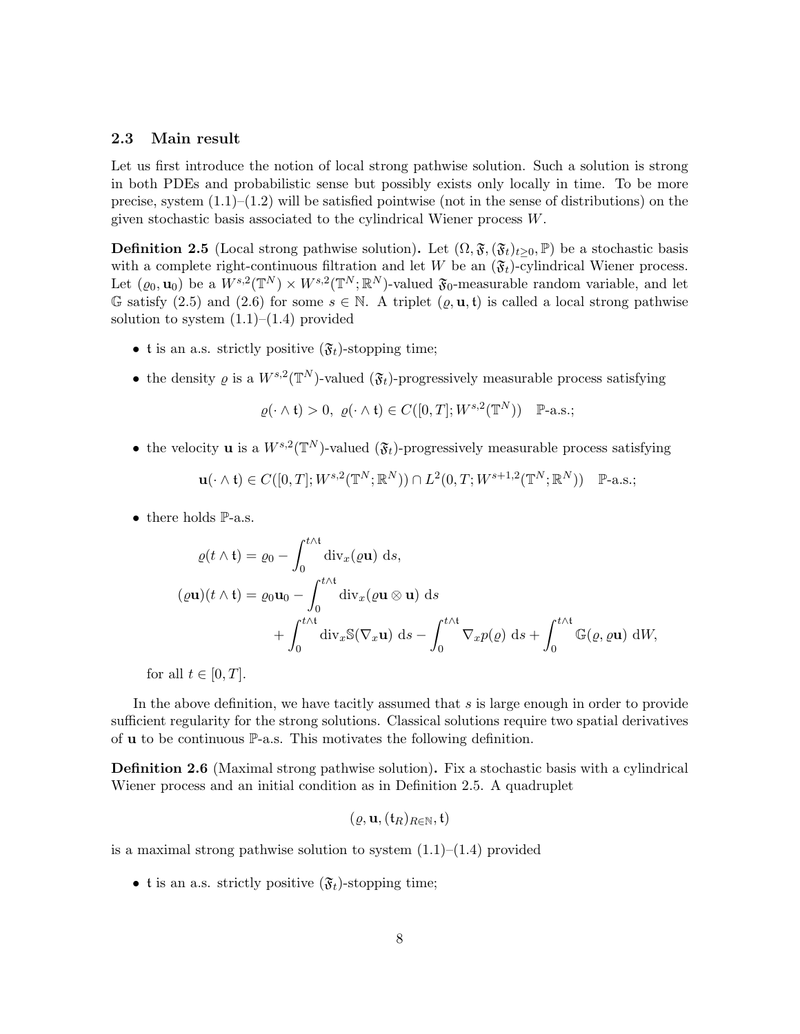#### 2.3 Main result

Let us first introduce the notion of local strong pathwise solution. Such a solution is strong in both PDEs and probabilistic sense but possibly exists only locally in time. To be more precise, system  $(1.1)$ – $(1.2)$  will be satisfied pointwise (not in the sense of distributions) on the given stochastic basis associated to the cylindrical Wiener process W.

**Definition 2.5** (Local strong pathwise solution). Let  $(\Omega, \mathfrak{F}, (\mathfrak{F}_t)_{t\geq0}, \mathbb{P})$  be a stochastic basis with a complete right-continuous filtration and let W be an  $(\mathfrak{F}_t)$ -cylindrical Wiener process. Let  $(\varrho_0, \mathbf{u}_0)$  be a  $W^{s,2}(\mathbb{T}^N) \times W^{s,2}(\mathbb{T}^N;\mathbb{R}^N)$ -valued  $\mathfrak{F}_0$ -measurable random variable, and let G satisfy (2.5) and (2.6) for some  $s \in \mathbb{N}$ . A triplet  $(\varrho, \mathbf{u}, t)$  is called a local strong pathwise solution to system  $(1.1)$ – $(1.4)$  provided

- t is an a.s. strictly positive  $(\mathfrak{F}_t)$ -stopping time;
- the density  $\varrho$  is a  $W^{s,2}(\mathbb{T}^N)$ -valued  $(\mathfrak{F}_t)$ -progressively measurable process satisfying

$$
\varrho(\cdot \wedge t) > 0, \ \varrho(\cdot \wedge t) \in C([0, T]; W^{s, 2}(\mathbb{T}^N)) \quad \mathbb{P}\text{-a.s.};
$$

• the velocity **u** is a  $W^{s,2}(\mathbb{T}^N)$ -valued  $(\mathfrak{F}_t)$ -progressively measurable process satisfying

$$
\mathbf{u}(\cdot \wedge \mathfrak{t}) \in C([0,T]; W^{s,2}(\mathbb{T}^N;\mathbb{R}^N)) \cap L^2(0,T; W^{s+1,2}(\mathbb{T}^N;\mathbb{R}^N)) \quad \mathbb{P}\text{-a.s.};
$$

• there holds **P**-a.s.

$$
\varrho(t \wedge t) = \varrho_0 - \int_0^{t \wedge t} \text{div}_x(\varrho \mathbf{u}) \, ds,
$$
  
\n
$$
(\varrho \mathbf{u})(t \wedge t) = \varrho_0 \mathbf{u}_0 - \int_0^{t \wedge t} \text{div}_x(\varrho \mathbf{u} \otimes \mathbf{u}) \, ds + \int_0^{t \wedge t} \text{div}_x \mathbb{S}(\nabla_x \mathbf{u}) \, ds - \int_0^{t \wedge t} \nabla_x p(\varrho) \, ds + \int_0^{t \wedge t} \mathbb{G}(\varrho, \varrho \mathbf{u}) \, dW,
$$

for all  $t \in [0, T]$ .

In the above definition, we have tacitly assumed that  $s$  is large enough in order to provide sufficient regularity for the strong solutions. Classical solutions require two spatial derivatives of u to be continuous P-a.s. This motivates the following definition.

Definition 2.6 (Maximal strong pathwise solution). Fix a stochastic basis with a cylindrical Wiener process and an initial condition as in Definition 2.5. A quadruplet

$$
(\varrho, \mathbf{u}, (\mathfrak{t}_R)_{R \in \mathbb{N}}, \mathfrak{t})
$$

is a maximal strong pathwise solution to system  $(1.1)$ – $(1.4)$  provided

• t is an a.s. strictly positive  $(\mathfrak{F}_t)$ -stopping time;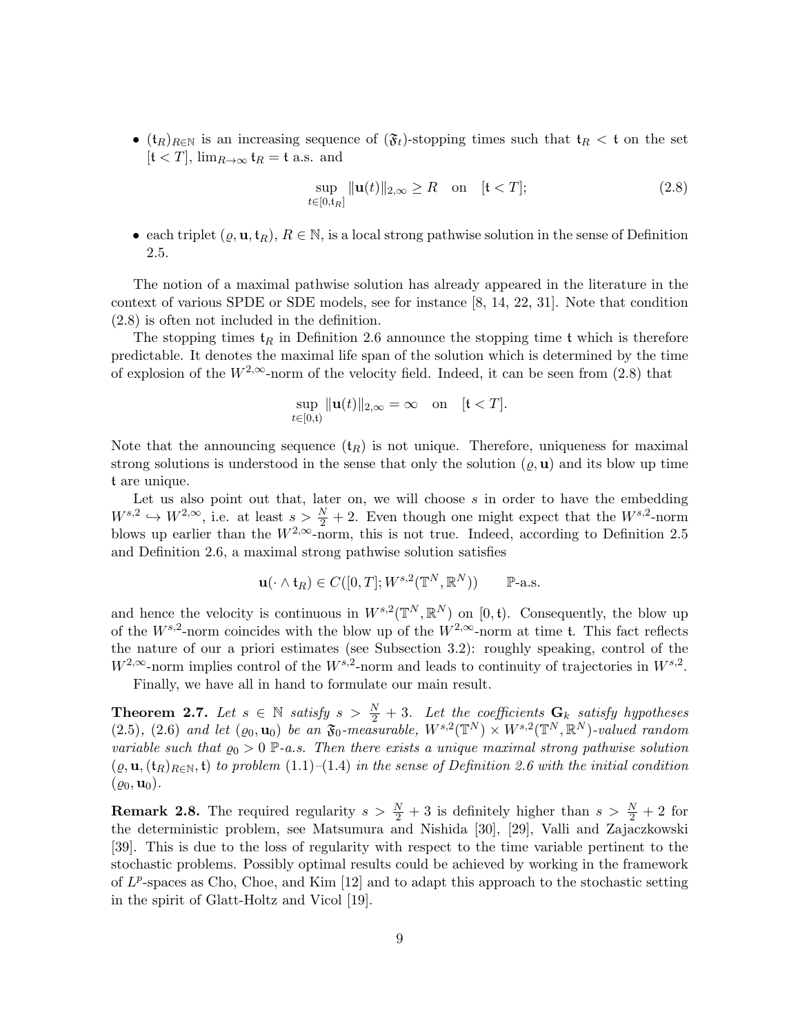•  $(t_R)_{R\in\mathbb{N}}$  is an increasing sequence of  $(\mathfrak{F}_t)$ -stopping times such that  $t_R < t$  on the set  $[t < T]$ ,  $\lim_{R \to \infty} t_R = t$  a.s. and

$$
\sup_{t \in [0, t_R]} \| \mathbf{u}(t) \|_{2, \infty} \ge R \quad \text{on} \quad [t < T]; \tag{2.8}
$$

• each triplet  $(\varrho, \mathbf{u}, t_R)$ ,  $R \in \mathbb{N}$ , is a local strong pathwise solution in the sense of Definition 2.5.

The notion of a maximal pathwise solution has already appeared in the literature in the context of various SPDE or SDE models, see for instance [8, 14, 22, 31]. Note that condition (2.8) is often not included in the definition.

The stopping times  $t_R$  in Definition 2.6 announce the stopping time t which is therefore predictable. It denotes the maximal life span of the solution which is determined by the time of explosion of the  $W^{2,\infty}$ -norm of the velocity field. Indeed, it can be seen from (2.8) that

$$
\sup_{t\in[0,\mathfrak{t})}\|\mathbf{u}(t)\|_{2,\infty}=\infty\quad\text{on}\quad[\mathfrak{t}
$$

Note that the announcing sequence  $(t_R)$  is not unique. Therefore, uniqueness for maximal strong solutions is understood in the sense that only the solution  $(\varrho, \mathbf{u})$  and its blow up time t are unique.

Let us also point out that, later on, we will choose  $s$  in order to have the embedding  $W^{s,2} \hookrightarrow W^{2,\infty}$ , i.e. at least  $s > \frac{N}{2} + 2$ . Even though one might expect that the  $W^{s,2}$ -norm blows up earlier than the  $W^{2,\infty}$ -norm, this is not true. Indeed, according to Definition 2.5 and Definition 2.6, a maximal strong pathwise solution satisfies

$$
\mathbf{u}(\cdot \wedge \mathfrak{t}_R) \in C([0,T]; W^{s,2}(\mathbb{T}^N, \mathbb{R}^N)) \qquad \mathbb{P}\text{-a.s.}
$$

and hence the velocity is continuous in  $W^{s,2}(\mathbb{T}^N,\mathbb{R}^N)$  on [0, t). Consequently, the blow up of the  $W^{s,2}$ -norm coincides with the blow up of the  $W^{2,\infty}$ -norm at time t. This fact reflects the nature of our a priori estimates (see Subsection 3.2): roughly speaking, control of the  $W^{2,\infty}$ -norm implies control of the  $W^{s,2}$ -norm and leads to continuity of trajectories in  $W^{s,2}$ .

Finally, we have all in hand to formulate our main result.

**Theorem 2.7.** Let  $s \in \mathbb{N}$  satisfy  $s > \frac{N}{2} + 3$ . Let the coefficients  $\mathbf{G}_k$  satisfy hypotheses  $(2.5), (2.6)$  and let  $(\varrho_0, \mathbf{u}_0)$  be an  $\mathfrak{F}_0$ -measurable,  $W^{s,2}(\mathbb{T}^N) \times W^{s,2}(\mathbb{T}^N,\mathbb{R}^N)$ -valued random variable such that  $\varrho_0 > 0$  P-a.s. Then there exists a unique maximal strong pathwise solution  $(\varrho, \mathbf{u}, (\mathbf{t}_R)_{R \in \mathbb{N}}, \mathbf{t})$  to problem (1.1)–(1.4) in the sense of Definition 2.6 with the initial condition  $(\rho_0, \mathbf{u}_0).$ 

**Remark 2.8.** The required regularity  $s > \frac{N}{2} + 3$  is definitely higher than  $s > \frac{N}{2} + 2$  for the deterministic problem, see Matsumura and Nishida [30], [29], Valli and Zajaczkowski [39]. This is due to the loss of regularity with respect to the time variable pertinent to the stochastic problems. Possibly optimal results could be achieved by working in the framework of  $L^p$ -spaces as Cho, Choe, and Kim [12] and to adapt this approach to the stochastic setting in the spirit of Glatt-Holtz and Vicol [19].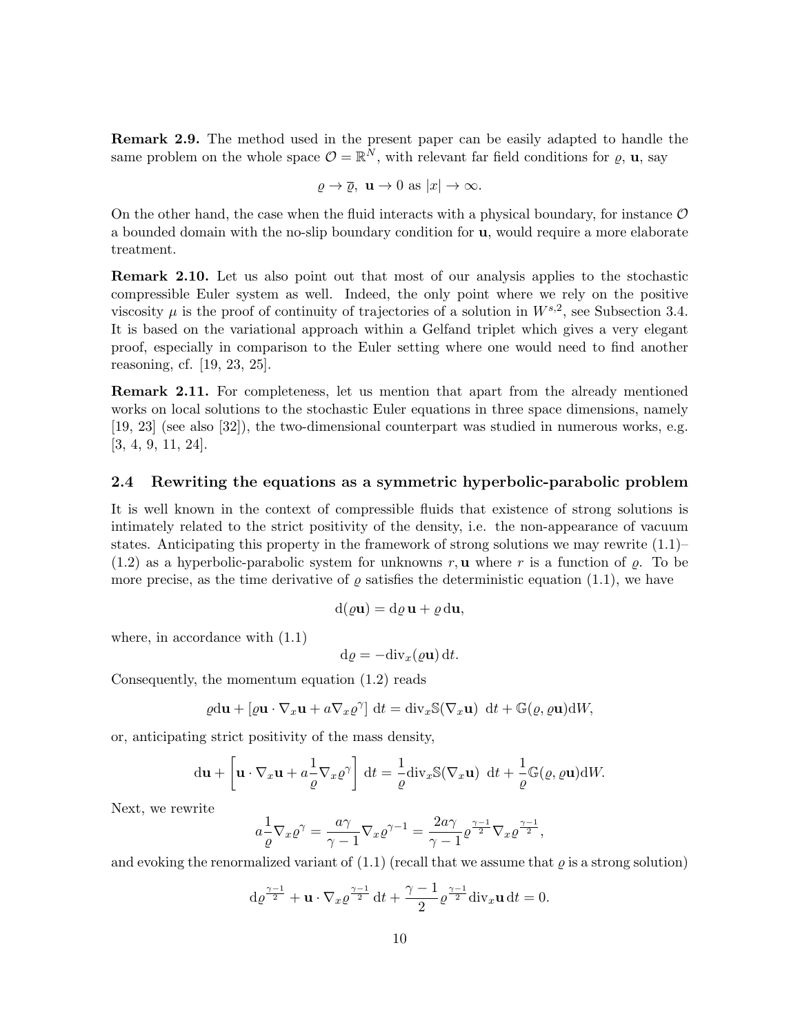Remark 2.9. The method used in the present paper can be easily adapted to handle the same problem on the whole space  $\mathcal{O} = \mathbb{R}^N$ , with relevant far field conditions for  $\rho$ ,  $\mathbf{u}$ , say

$$
\rho \to \overline{\rho}
$$
,  $\mathbf{u} \to 0$  as  $|x| \to \infty$ .

On the other hand, the case when the fluid interacts with a physical boundary, for instance  $\mathcal O$ a bounded domain with the no-slip boundary condition for u, would require a more elaborate treatment.

Remark 2.10. Let us also point out that most of our analysis applies to the stochastic compressible Euler system as well. Indeed, the only point where we rely on the positive viscosity  $\mu$  is the proof of continuity of trajectories of a solution in  $W^{s,2}$ , see Subsection 3.4. It is based on the variational approach within a Gelfand triplet which gives a very elegant proof, especially in comparison to the Euler setting where one would need to find another reasoning, cf. [19, 23, 25].

Remark 2.11. For completeness, let us mention that apart from the already mentioned works on local solutions to the stochastic Euler equations in three space dimensions, namely [19, 23] (see also [32]), the two-dimensional counterpart was studied in numerous works, e.g. [3, 4, 9, 11, 24].

#### 2.4 Rewriting the equations as a symmetric hyperbolic-parabolic problem

It is well known in the context of compressible fluids that existence of strong solutions is intimately related to the strict positivity of the density, i.e. the non-appearance of vacuum states. Anticipating this property in the framework of strong solutions we may rewrite  $(1.1)$ –  $(1.2)$  as a hyperbolic-parabolic system for unknowns r, **u** where r is a function of  $\rho$ . To be more precise, as the time derivative of  $\rho$  satisfies the deterministic equation (1.1), we have

$$
d(\varrho \mathbf{u}) = d\varrho \mathbf{u} + \varrho d\mathbf{u},
$$

where, in accordance with  $(1.1)$ 

$$
\mathrm{d}\varrho = -\mathrm{div}_x(\varrho \mathbf{u})\,\mathrm{d}t.
$$

Consequently, the momentum equation (1.2) reads

$$
\varrho \mathrm{d} \mathbf{u} + [\varrho \mathbf{u} \cdot \nabla_x \mathbf{u} + a \nabla_x \varrho^{\gamma}] \, \mathrm{d} t = \mathrm{div}_x \mathbb{S}(\nabla_x \mathbf{u}) \, \mathrm{d} t + \mathbb{G}(\varrho, \varrho \mathbf{u}) \mathrm{d} W,
$$

or, anticipating strict positivity of the mass density,

$$
du + \left[\mathbf{u} \cdot \nabla_x \mathbf{u} + a\frac{1}{\varrho} \nabla_x \varrho^{\gamma}\right] dt = -\frac{1}{\varrho} \operatorname{div}_x \mathbb{S}(\nabla_x \mathbf{u}) dt + \frac{1}{\varrho} \mathbb{G}(\varrho, \varrho \mathbf{u}) dW.
$$

Next, we rewrite

$$
a\frac{1}{\varrho}\nabla_x\varrho^\gamma = \frac{a\gamma}{\gamma - 1}\nabla_x\varrho^{\gamma - 1} = \frac{2a\gamma}{\gamma - 1}\varrho^{\frac{\gamma - 1}{2}}\nabla_x\varrho^{\frac{\gamma - 1}{2}},
$$

and evoking the renormalized variant of  $(1.1)$  (recall that we assume that  $\rho$  is a strong solution)

$$
\mathrm{d}\varrho^{\frac{\gamma-1}{2}} + \mathbf{u} \cdot \nabla_x \varrho^{\frac{\gamma-1}{2}} \mathrm{d}t + \frac{\gamma-1}{2} \varrho^{\frac{\gamma-1}{2}} \mathrm{div}_x \mathbf{u} \mathrm{d}t = 0.
$$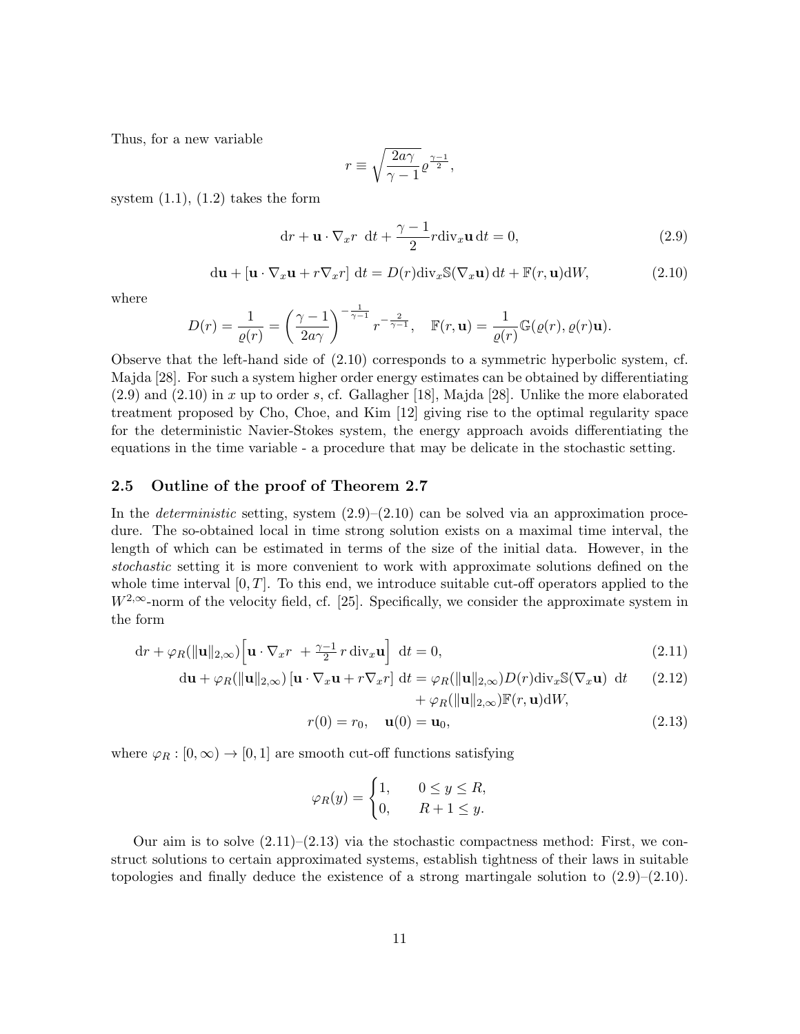Thus, for a new variable

$$
r \equiv \sqrt{\frac{2a\gamma}{\gamma -1}} \varrho^{\frac{\gamma -1}{2}},
$$

system  $(1.1)$ ,  $(1.2)$  takes the form

$$
dr + \mathbf{u} \cdot \nabla_x r \ dt + \frac{\gamma - 1}{2} r \text{div}_x \mathbf{u} dt = 0,
$$
\n(2.9)

$$
du + [u \cdot \nabla_x u + r \nabla_x r] dt = D(r) \operatorname{div}_x \mathbb{S}(\nabla_x u) dt + \mathbb{F}(r, u) dW,
$$
 (2.10)

where

$$
D(r) = \frac{1}{\varrho(r)} = \left(\frac{\gamma - 1}{2a\gamma}\right)^{-\frac{1}{\gamma - 1}} r^{-\frac{2}{\gamma - 1}}, \quad \mathbb{F}(r, \mathbf{u}) = \frac{1}{\varrho(r)} \mathbb{G}(\varrho(r), \varrho(r)\mathbf{u}).
$$

Observe that the left-hand side of (2.10) corresponds to a symmetric hyperbolic system, cf. Majda [28]. For such a system higher order energy estimates can be obtained by differentiating  $(2.9)$  and  $(2.10)$  in x up to order s, cf. Gallagher [18], Majda [28]. Unlike the more elaborated treatment proposed by Cho, Choe, and Kim [12] giving rise to the optimal regularity space for the deterministic Navier-Stokes system, the energy approach avoids differentiating the equations in the time variable - a procedure that may be delicate in the stochastic setting.

#### 2.5 Outline of the proof of Theorem 2.7

In the *deterministic* setting, system  $(2.9)$ – $(2.10)$  can be solved via an approximation procedure. The so-obtained local in time strong solution exists on a maximal time interval, the length of which can be estimated in terms of the size of the initial data. However, in the stochastic setting it is more convenient to work with approximate solutions defined on the whole time interval  $[0, T]$ . To this end, we introduce suitable cut-off operators applied to the  $W^{2,\infty}$ -norm of the velocity field, cf. [25]. Specifically, we consider the approximate system in the form

$$
\mathrm{d}r + \varphi_R(\|\mathbf{u}\|_{2,\infty}) \Big[ \mathbf{u} \cdot \nabla_x r + \frac{\gamma - 1}{2} r \operatorname{div}_x \mathbf{u} \Big] \ \mathrm{d}t = 0, \tag{2.11}
$$

$$
\mathrm{d}\mathbf{u} + \varphi_R(\|\mathbf{u}\|_{2,\infty})\left[\mathbf{u} \cdot \nabla_x \mathbf{u} + r \nabla_x r\right] \mathrm{d}t = \varphi_R(\|\mathbf{u}\|_{2,\infty}) D(r) \mathrm{div}_x \mathbb{S}(\nabla_x \mathbf{u}) \mathrm{d}t \qquad (2.12) + \varphi_R(\|\mathbf{u}\|_{2,\infty}) \mathbb{F}(r, \mathbf{u}) \mathrm{d}W,
$$

$$
r(0) = r_0, \quad \mathbf{u}(0) = \mathbf{u}_0,
$$
\n(2.13)

where  $\varphi_R : [0, \infty) \to [0, 1]$  are smooth cut-off functions satisfying

$$
\varphi_R(y) = \begin{cases} 1, & 0 \le y \le R, \\ 0, & R+1 \le y. \end{cases}
$$

Our aim is to solve  $(2.11)$ – $(2.13)$  via the stochastic compactness method: First, we construct solutions to certain approximated systems, establish tightness of their laws in suitable topologies and finally deduce the existence of a strong martingale solution to (2.9)–(2.10).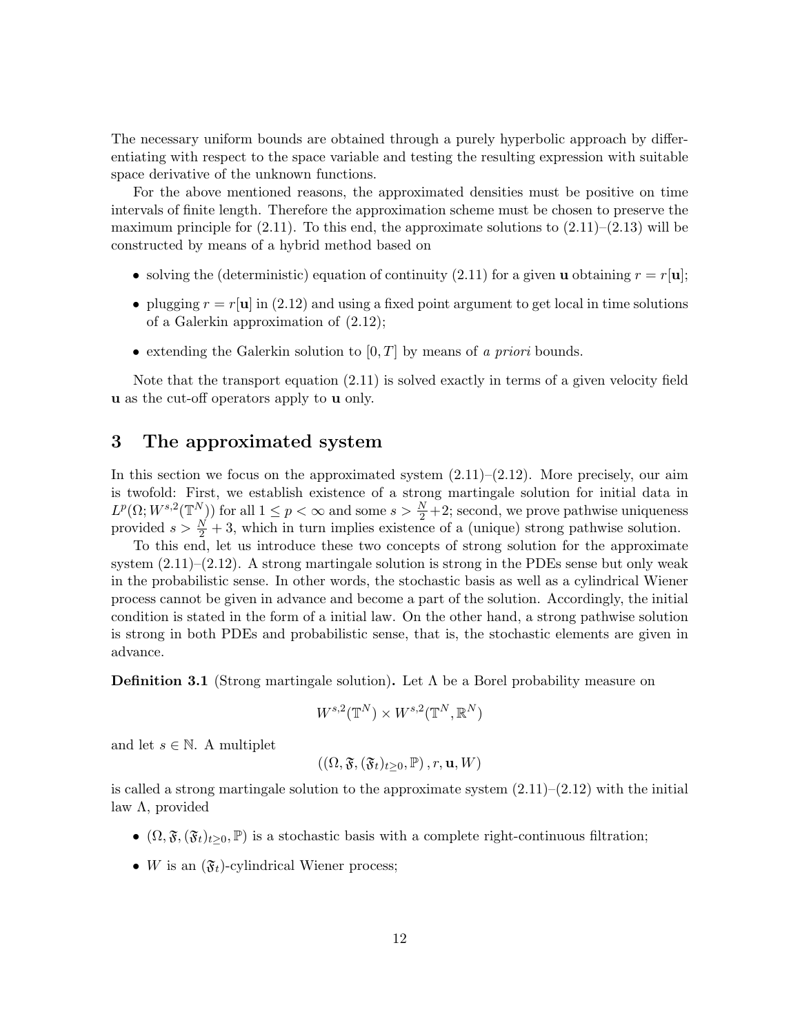The necessary uniform bounds are obtained through a purely hyperbolic approach by differentiating with respect to the space variable and testing the resulting expression with suitable space derivative of the unknown functions.

For the above mentioned reasons, the approximated densities must be positive on time intervals of finite length. Therefore the approximation scheme must be chosen to preserve the maximum principle for  $(2.11)$ . To this end, the approximate solutions to  $(2.11)$ – $(2.13)$  will be constructed by means of a hybrid method based on

- solving the (deterministic) equation of continuity (2.11) for a given **u** obtaining  $r = r[\mathbf{u}]$ ;
- plugging  $r = r[\mathbf{u}]$  in (2.12) and using a fixed point argument to get local in time solutions of a Galerkin approximation of (2.12);
- extending the Galerkin solution to  $[0, T]$  by means of a priori bounds.

Note that the transport equation  $(2.11)$  is solved exactly in terms of a given velocity field u as the cut-off operators apply to u only.

### 3 The approximated system

In this section we focus on the approximated system  $(2.11)$ – $(2.12)$ . More precisely, our aim is twofold: First, we establish existence of a strong martingale solution for initial data in  $L^p(\Omega; W^{s,2}(\mathbb{T}^N))$  for all  $1 \leq p < \infty$  and some  $s > \frac{N}{2}+2$ ; second, we prove pathwise uniqueness provided  $s > \frac{N}{2} + 3$ , which in turn implies existence of a (unique) strong pathwise solution.

To this end, let us introduce these two concepts of strong solution for the approximate system  $(2.11)$ – $(2.12)$ . A strong martingale solution is strong in the PDEs sense but only weak in the probabilistic sense. In other words, the stochastic basis as well as a cylindrical Wiener process cannot be given in advance and become a part of the solution. Accordingly, the initial condition is stated in the form of a initial law. On the other hand, a strong pathwise solution is strong in both PDEs and probabilistic sense, that is, the stochastic elements are given in advance.

**Definition 3.1** (Strong martingale solution). Let  $\Lambda$  be a Borel probability measure on

$$
W^{s,2}(\mathbb{T}^N)\times W^{s,2}(\mathbb{T}^N,\mathbb{R}^N)
$$

and let  $s \in \mathbb{N}$ . A multiplet

$$
((\Omega,\mathfrak{F},(\mathfrak{F}_t)_{t\geq0},\mathbb{P}),r,\mathbf{u},W)
$$

is called a strong martingale solution to the approximate system  $(2.11)$ – $(2.12)$  with the initial law  $\Lambda$ , provided

- $(\Omega, \mathfrak{F}, (\mathfrak{F}_t)_{t>0}, \mathbb{P})$  is a stochastic basis with a complete right-continuous filtration;
- W is an  $(\mathfrak{F}_t)$ -cylindrical Wiener process;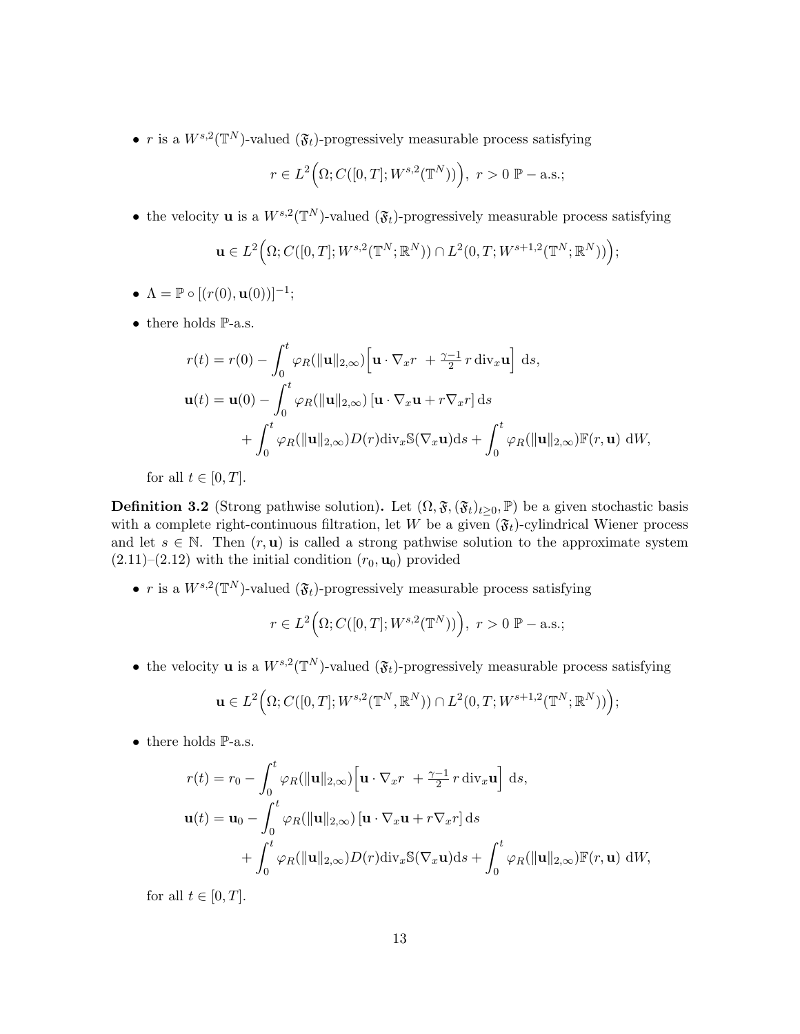• r is a  $W^{s,2}(\mathbb{T}^N)$ -valued  $(\mathfrak{F}_t)$ -progressively measurable process satisfying

$$
r \in L^2(\Omega; C([0, T]; W^{s,2}(\mathbb{T}^N)))
$$
,  $r > 0 \mathbb{P}-a.s.$ ;

• the velocity **u** is a  $W^{s,2}(\mathbb{T}^N)$ -valued  $(\mathfrak{F}_t)$ -progressively measurable process satisfying

$$
\mathbf{u} \in L^{2}\Big(\Omega; C([0,T]; W^{s,2}(\mathbb{T}^{N}; \mathbb{R}^{N})) \cap L^{2}(0,T; W^{s+1,2}(\mathbb{T}^{N}; \mathbb{R}^{N}))\Big);
$$

- $\Lambda = \mathbb{P} \circ [(r(0), \mathbf{u}(0))]^{-1};$
- $\bullet\,$  there holds P-a.s.

$$
r(t) = r(0) - \int_0^t \varphi_R(\|\mathbf{u}\|_{2,\infty}) \left[\mathbf{u} \cdot \nabla_x r + \frac{\gamma - 1}{2} r \operatorname{div}_x \mathbf{u}\right] ds,
$$
  

$$
\mathbf{u}(t) = \mathbf{u}(0) - \int_0^t \varphi_R(\|\mathbf{u}\|_{2,\infty}) \left[\mathbf{u} \cdot \nabla_x \mathbf{u} + r \nabla_x r\right] ds
$$
  

$$
+ \int_0^t \varphi_R(\|\mathbf{u}\|_{2,\infty}) D(r) \operatorname{div}_x \mathbb{S}(\nabla_x \mathbf{u}) ds + \int_0^t \varphi_R(\|\mathbf{u}\|_{2,\infty}) \mathbb{F}(r, \mathbf{u}) dW,
$$

for all  $t \in [0, T]$ .

**Definition 3.2** (Strong pathwise solution). Let  $(\Omega, \mathfrak{F}, (\mathfrak{F}_t)_{t\geq0}, \mathbb{P})$  be a given stochastic basis with a complete right-continuous filtration, let W be a given  $(\mathfrak{F}_t)$ -cylindrical Wiener process and let  $s \in \mathbb{N}$ . Then  $(r, \mathbf{u})$  is called a strong pathwise solution to the approximate system  $(2.11)$ – $(2.12)$  with the initial condition  $(r_0, \mathbf{u}_0)$  provided

• r is a  $W^{s,2}(\mathbb{T}^N)$ -valued  $(\mathfrak{F}_t)$ -progressively measurable process satisfying

$$
r \in L^2(\Omega; C([0, T]; W^{s,2}(\mathbb{T}^N)))
$$
,  $r > 0 \mathbb{P}-a.s.$ ;

• the velocity **u** is a  $W^{s,2}(\mathbb{T}^N)$ -valued  $(\mathfrak{F}_t)$ -progressively measurable process satisfying

$$
\mathbf{u}\in L^2\Big(\Omega;C([0,T];W^{s,2}(\mathbb{T}^N,\mathbb{R}^N))\cap L^2(0,T;W^{s+1,2}(\mathbb{T}^N;\mathbb{R}^N))\Big);
$$

 $\bullet$  there holds  $\mathbb{P}\text{-a.s.}$ 

$$
r(t) = r_0 - \int_0^t \varphi_R(\|\mathbf{u}\|_{2,\infty}) \left[\mathbf{u} \cdot \nabla_x r + \frac{\gamma - 1}{2} r \operatorname{div}_x \mathbf{u}\right] ds,
$$
  

$$
\mathbf{u}(t) = \mathbf{u}_0 - \int_0^t \varphi_R(\|\mathbf{u}\|_{2,\infty}) \left[\mathbf{u} \cdot \nabla_x \mathbf{u} + r \nabla_x r\right] ds
$$
  

$$
+ \int_0^t \varphi_R(\|\mathbf{u}\|_{2,\infty}) D(r) \operatorname{div}_x \mathbb{S}(\nabla_x \mathbf{u}) ds + \int_0^t \varphi_R(\|\mathbf{u}\|_{2,\infty}) \mathbb{F}(r, \mathbf{u}) dW,
$$

for all  $t \in [0, T]$ .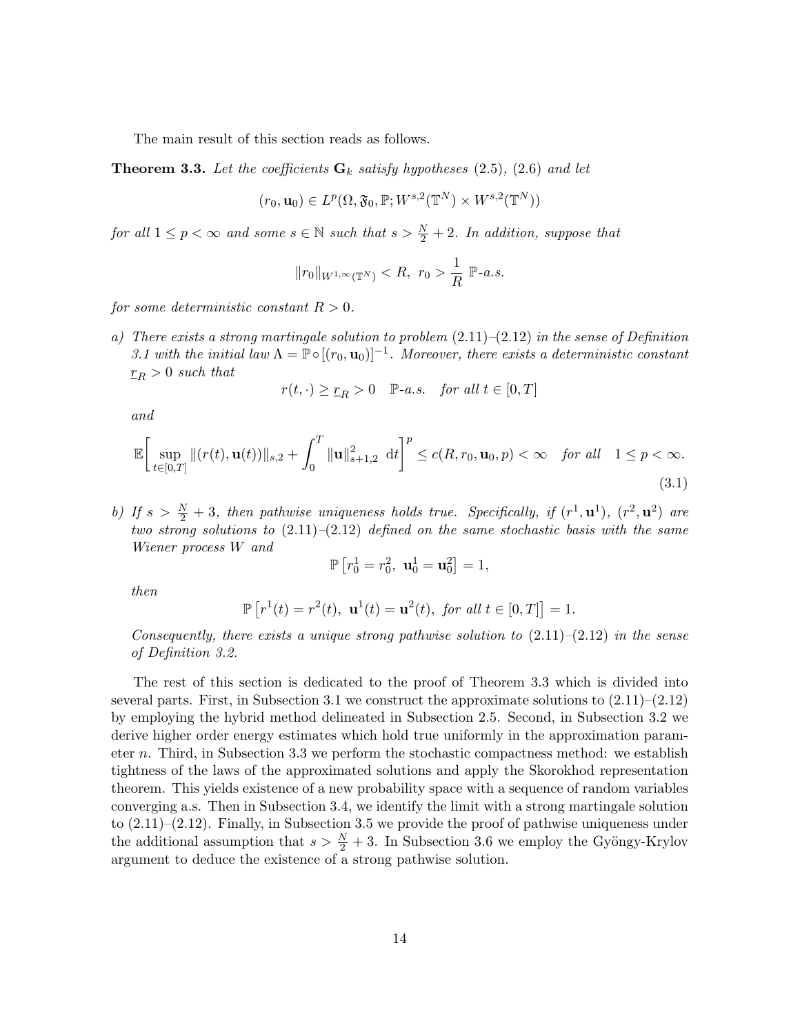The main result of this section reads as follows.

**Theorem 3.3.** Let the coefficients  $\mathbf{G}_k$  satisfy hypotheses (2.5), (2.6) and let

$$
(r_0, \mathbf{u}_0) \in L^p(\Omega, \mathfrak{F}_0, \mathbb{P}; W^{s,2}(\mathbb{T}^N) \times W^{s,2}(\mathbb{T}^N))
$$

for all  $1 \leq p < \infty$  and some  $s \in \mathbb{N}$  such that  $s > \frac{N}{2} + 2$ . In addition, suppose that

$$
||r_0||_{W^{1,\infty}(\mathbb{T}^N)} < R, r_0 > \frac{1}{R} \mathbb{P}\text{-}a.s.
$$

for some deterministic constant  $R > 0$ .

a) There exists a strong martingale solution to problem  $(2.11)-(2.12)$  in the sense of Definition 3.1 with the initial law  $\Lambda = \mathbb{P} \circ [(r_0, \mathbf{u}_0)]^{-1}$ . Moreover, there exists a deterministic constant  $r_R > 0$  such that

$$
r(t, \cdot) \ge \underline{r}_R > 0 \quad \mathbb{P}\text{-}a.s. \quad \text{for all } t \in [0, T]
$$

and

$$
\mathbb{E}\bigg[\sup_{t\in[0,T]}\|(r(t),\mathbf{u}(t))\|_{s,2}+\int_0^T\|\mathbf{u}\|_{s+1,2}^2\,\mathrm{d}t\bigg]^p\leq c(R,r_0,\mathbf{u}_0,p)<\infty\quad\text{for all}\quad 1\leq p<\infty. \tag{3.1}
$$

b) If  $s > \frac{N}{2} + 3$ , then pathwise uniqueness holds true. Specifically, if  $(r^1, \mathbf{u}^1)$ ,  $(r^2, \mathbf{u}^2)$  are two strong solutions to  $(2.11)–(2.12)$  defined on the same stochastic basis with the same Wiener process W and

$$
\mathbb{P}\left[r_0^1=r_0^2, \mathbf{u}_0^1=\mathbf{u}_0^2\right]=1,
$$

then

$$
\mathbb{P}\left[r^1(t) = r^2(t), \mathbf{u}^1(t) = \mathbf{u}^2(t), \text{ for all } t \in [0, T]\right] = 1.
$$

Consequently, there exists a unique strong pathwise solution to  $(2.11)$ – $(2.12)$  in the sense of Definition 3.2.

The rest of this section is dedicated to the proof of Theorem 3.3 which is divided into several parts. First, in Subsection 3.1 we construct the approximate solutions to  $(2.11)$ – $(2.12)$ by employing the hybrid method delineated in Subsection 2.5. Second, in Subsection 3.2 we derive higher order energy estimates which hold true uniformly in the approximation parameter n. Third, in Subsection 3.3 we perform the stochastic compactness method: we establish tightness of the laws of the approximated solutions and apply the Skorokhod representation theorem. This yields existence of a new probability space with a sequence of random variables converging a.s. Then in Subsection 3.4, we identify the limit with a strong martingale solution to  $(2.11)$ – $(2.12)$ . Finally, in Subsection 3.5 we provide the proof of pathwise uniqueness under the additional assumption that  $s > \frac{N}{2} + 3$ . In Subsection 3.6 we employ the Gyöngy-Krylov argument to deduce the existence of a strong pathwise solution.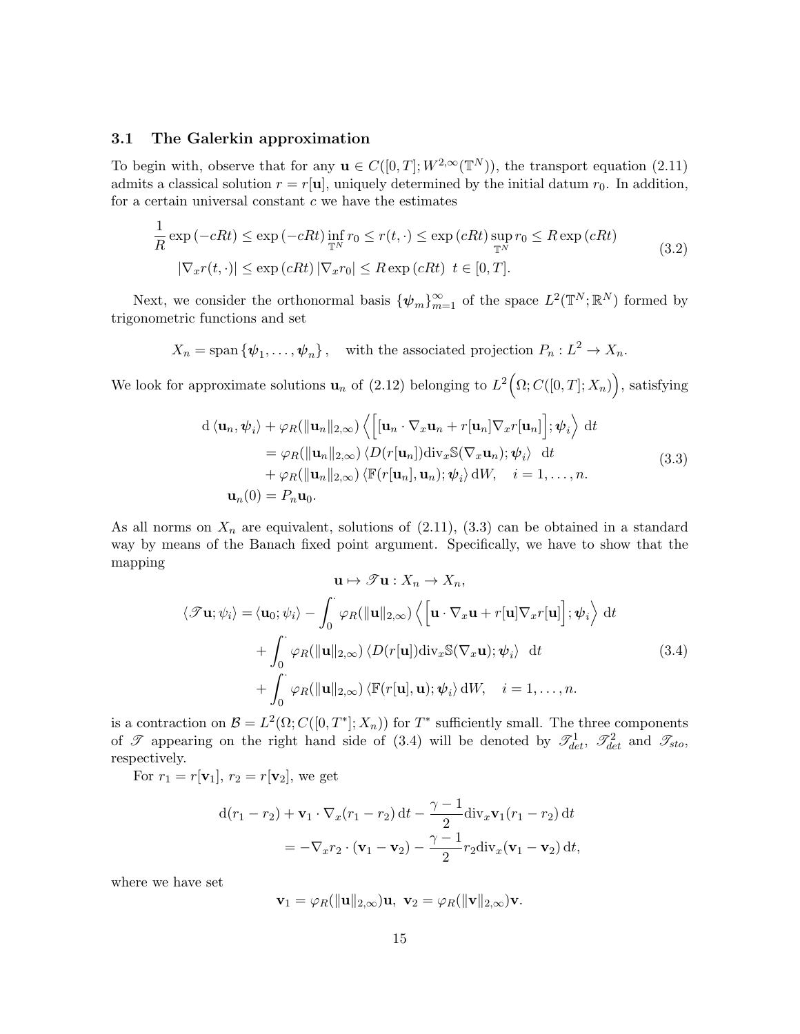#### 3.1 The Galerkin approximation

To begin with, observe that for any  $\mathbf{u} \in C([0,T];W^{2,\infty}(\mathbb{T}^N))$ , the transport equation (2.11) admits a classical solution  $r = r[\mathbf{u}]$ , uniquely determined by the initial datum  $r_0$ . In addition, for a certain universal constant  $c$  we have the estimates

$$
\frac{1}{R} \exp(-cRt) \le \exp(-cRt) \inf_{\mathbb{T}^N} r_0 \le r(t, \cdot) \le \exp(cRt) \sup_{\mathbb{T}^N} r_0 \le R \exp(cRt)
$$
\n
$$
|\nabla_x r(t, \cdot)| \le \exp(cRt) |\nabla_x r_0| \le R \exp(cRt) \ t \in [0, T].
$$
\n(3.2)

Next, we consider the orthonormal basis  $\{\psi_m\}_{m=1}^{\infty}$  of the space  $L^2(\mathbb{T}^N;\mathbb{R}^N)$  formed by trigonometric functions and set

$$
X_n = \text{span}\{\psi_1, \ldots, \psi_n\},\
$$
 with the associated projection  $P_n : L^2 \to X_n$ .

We look for approximate solutions  $\mathbf{u}_n$  of (2.12) belonging to  $L^2(\Omega; C([0,T]; X_n)),$  satisfying

$$
d \langle \mathbf{u}_n, \psi_i \rangle + \varphi_R(\|\mathbf{u}_n\|_{2,\infty}) \left\langle \left[ [\mathbf{u}_n \cdot \nabla_x \mathbf{u}_n + r[\mathbf{u}_n] \nabla_x r[\mathbf{u}_n] \right]; \psi_i \right\rangle dt
$$
  
\n
$$
= \varphi_R(\|\mathbf{u}_n\|_{2,\infty}) \left\langle D(r[\mathbf{u}_n]) \text{div}_x \mathbb{S}(\nabla_x \mathbf{u}_n); \psi_i \right\rangle dt
$$
  
\n
$$
+ \varphi_R(\|\mathbf{u}_n\|_{2,\infty}) \left\langle \mathbb{F}(r[\mathbf{u}_n], \mathbf{u}_n); \psi_i \right\rangle dW, \quad i = 1, ..., n.
$$
  
\n
$$
\mathbf{u}_n(0) = P_n \mathbf{u}_0.
$$
\n(3.3)

As all norms on  $X_n$  are equivalent, solutions of  $(2.11)$ ,  $(3.3)$  can be obtained in a standard way by means of the Banach fixed point argument. Specifically, we have to show that the mapping

$$
\mathbf{u} \mapsto \mathcal{F}\mathbf{u} : X_n \to X_n,
$$
  

$$
\langle \mathcal{F}\mathbf{u}; \psi_i \rangle = \langle \mathbf{u}_0; \psi_i \rangle - \int_0^{\cdot} \varphi_R(\|\mathbf{u}\|_{2,\infty}) \langle \left[ \mathbf{u} \cdot \nabla_x \mathbf{u} + r[\mathbf{u}] \nabla_x r[\mathbf{u}] \right]; \psi_i \rangle dt
$$
  

$$
+ \int_0^{\cdot} \varphi_R(\|\mathbf{u}\|_{2,\infty}) \langle D(r[\mathbf{u}]) \text{div}_x \mathbb{S}(\nabla_x \mathbf{u}); \psi_i \rangle dt
$$
  

$$
+ \int_0^{\cdot} \varphi_R(\|\mathbf{u}\|_{2,\infty}) \langle \mathbb{F}(r[\mathbf{u}], \mathbf{u}); \psi_i \rangle dW, \quad i = 1, ..., n.
$$
 (3.4)

is a contraction on  $\mathcal{B} = L^2(\Omega; C([0,T^*]; X_n))$  for  $T^*$  sufficiently small. The three components of  $\mathscr{T}$  appearing on the right hand side of (3.4) will be denoted by  $\mathscr{T}^1_{det}$ ,  $\mathscr{T}^2_{det}$  and  $\mathscr{T}_{sto}$ , respectively.

For  $r_1 = r[\mathbf{v}_1], r_2 = r[\mathbf{v}_2],$  we get

$$
d(r_1 - r_2) + \mathbf{v}_1 \cdot \nabla_x (r_1 - r_2) dt - \frac{\gamma - 1}{2} \operatorname{div}_x \mathbf{v}_1 (r_1 - r_2) dt
$$
  
=  $-\nabla_x r_2 \cdot (\mathbf{v}_1 - \mathbf{v}_2) - \frac{\gamma - 1}{2} r_2 \operatorname{div}_x (\mathbf{v}_1 - \mathbf{v}_2) dt$ ,

where we have set

$$
\mathbf{v}_1 = \varphi_R(\|\mathbf{u}\|_{2,\infty})\mathbf{u}, \ \mathbf{v}_2 = \varphi_R(\|\mathbf{v}\|_{2,\infty})\mathbf{v}.
$$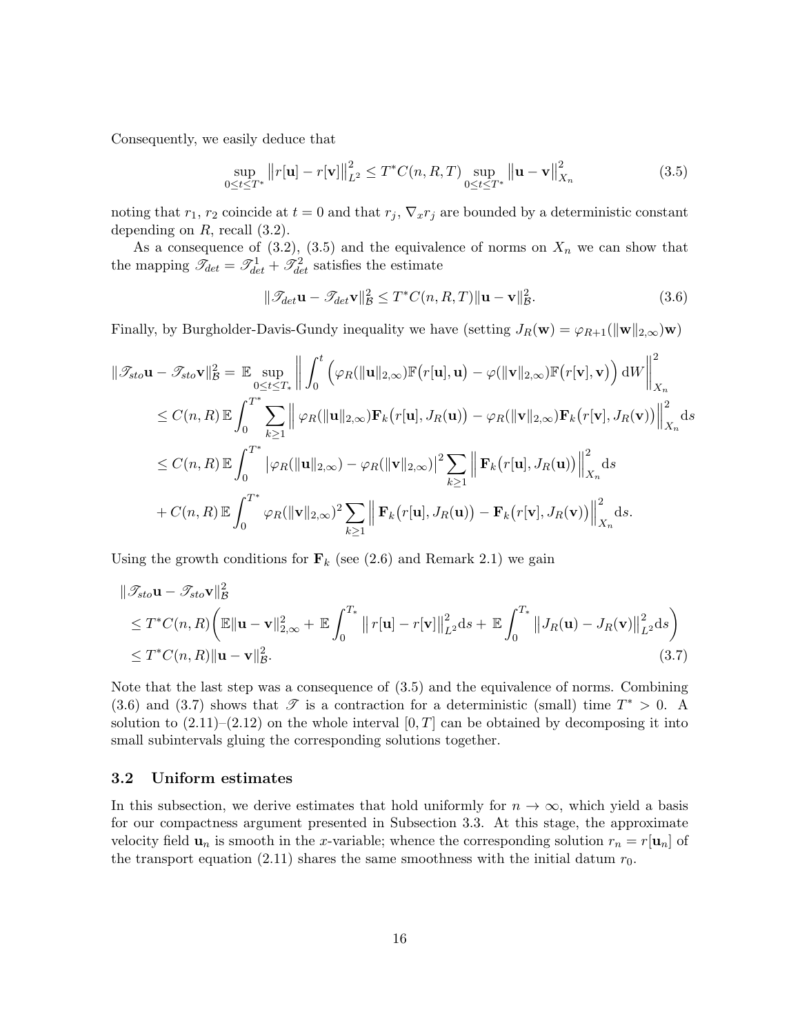Consequently, we easily deduce that

$$
\sup_{0 \le t \le T^*} ||r[\mathbf{u}] - r[\mathbf{v}]||_{L^2}^2 \le T^* C(n, R, T) \sup_{0 \le t \le T^*} ||\mathbf{u} - \mathbf{v}||_{X_n}^2
$$
\n(3.5)

noting that  $r_1$ ,  $r_2$  coincide at  $t = 0$  and that  $r_j$ ,  $\nabla_x r_j$  are bounded by a deterministic constant depending on  $R$ , recall  $(3.2)$ .

As a consequence of (3.2), (3.5) and the equivalence of norms on  $X_n$  we can show that the mapping  $\mathcal{I}_{det} = \mathcal{I}_{det}^1 + \mathcal{I}_{det}^2$  satisfies the estimate

$$
\|\mathcal{I}_{\det}\mathbf{u} - \mathcal{I}_{\det}\mathbf{v}\|_{\mathcal{B}}^2 \le T^*C(n, R, T)\|\mathbf{u} - \mathbf{v}\|_{\mathcal{B}}^2. \tag{3.6}
$$

Finally, by Burgholder-Davis-Gundy inequality we have (setting  $J_R(\mathbf{w}) = \varphi_{R+1}(\|\mathbf{w}\|_{2,\infty})\mathbf{w}$ )

$$
\|\mathcal{I}_{sto}\mathbf{u} - \mathcal{I}_{sto}\mathbf{v}\|_{\mathcal{B}}^{2} = \mathbb{E} \sup_{0 \leq t \leq T_{*}} \left\| \int_{0}^{t} \left( \varphi_{R}(\|\mathbf{u}\|_{2,\infty}) \mathbb{F}(r[\mathbf{u}],\mathbf{u}) - \varphi(\|\mathbf{v}\|_{2,\infty}) \mathbb{F}(r[\mathbf{v}],\mathbf{v}) \right) dW \right\|_{X_{n}}^{2}
$$
  
\n
$$
\leq C(n,R) \mathbb{E} \int_{0}^{T^{*}} \sum_{k \geq 1} \left\| \varphi_{R}(\|\mathbf{u}\|_{2,\infty}) \mathbf{F}_{k}(r[\mathbf{u}],J_{R}(\mathbf{u})) - \varphi_{R}(\|\mathbf{v}\|_{2,\infty}) \mathbf{F}_{k}(r[\mathbf{v}],J_{R}(\mathbf{v})) \right\|_{X_{n}}^{2} ds
$$
  
\n
$$
\leq C(n,R) \mathbb{E} \int_{0}^{T^{*}} \left| \varphi_{R}(\|\mathbf{u}\|_{2,\infty}) - \varphi_{R}(\|\mathbf{v}\|_{2,\infty}) \right|^{2} \sum_{k \geq 1} \left\| \mathbf{F}_{k}(r[\mathbf{u}],J_{R}(\mathbf{u})) \right\|_{X_{n}}^{2} ds
$$
  
\n
$$
+ C(n,R) \mathbb{E} \int_{0}^{T^{*}} \varphi_{R}(\|\mathbf{v}\|_{2,\infty})^{2} \sum_{k \geq 1} \left\| \mathbf{F}_{k}(r[\mathbf{u}],J_{R}(\mathbf{u})) - \mathbf{F}_{k}(r[\mathbf{v}],J_{R}(\mathbf{v})) \right\|_{X_{n}}^{2} ds.
$$

Using the growth conditions for  $\mathbf{F}_k$  (see (2.6) and Remark 2.1) we gain

$$
\|\mathcal{T}_{sto}\mathbf{u} - \mathcal{T}_{sto}\mathbf{v}\|_{\mathcal{B}}^2
$$
  
\n
$$
\leq T^*C(n, R)\left(\mathbb{E}\|\mathbf{u} - \mathbf{v}\|_{2,\infty}^2 + \mathbb{E}\int_0^{T_*} \|r[\mathbf{u}] - r[\mathbf{v}]\|_{L^2}^2 ds + \mathbb{E}\int_0^{T_*} \|J_R(\mathbf{u}) - J_R(\mathbf{v})\|_{L^2}^2 ds\right)
$$
  
\n
$$
\leq T^*C(n, R)\|\mathbf{u} - \mathbf{v}\|_{\mathcal{B}}^2.
$$
\n(3.7)

Note that the last step was a consequence of (3.5) and the equivalence of norms. Combining (3.6) and (3.7) shows that  $\mathscr T$  is a contraction for a deterministic (small) time  $T^* > 0$ . A solution to  $(2.11)$ – $(2.12)$  on the whole interval  $[0, T]$  can be obtained by decomposing it into small subintervals gluing the corresponding solutions together.

#### 3.2 Uniform estimates

In this subsection, we derive estimates that hold uniformly for  $n \to \infty$ , which yield a basis for our compactness argument presented in Subsection 3.3. At this stage, the approximate velocity field  $\mathbf{u}_n$  is smooth in the x-variable; whence the corresponding solution  $r_n = r[\mathbf{u}_n]$  of the transport equation (2.11) shares the same smoothness with the initial datum  $r_0$ .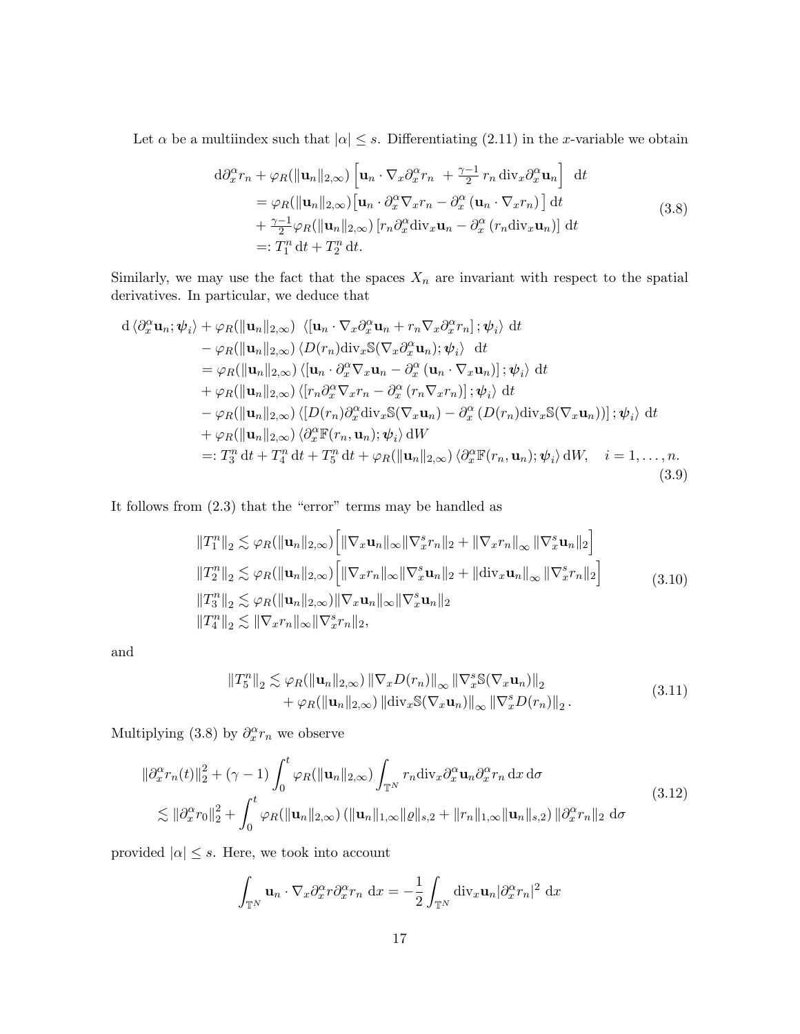Let  $\alpha$  be a multiindex such that  $|\alpha| \leq s$ . Differentiating (2.11) in the x-variable we obtain

$$
d\partial_x^{\alpha} r_n + \varphi_R(\|\mathbf{u}_n\|_{2,\infty}) \left[\mathbf{u}_n \cdot \nabla_x \partial_x^{\alpha} r_n + \frac{\gamma - 1}{2} r_n \operatorname{div}_x \partial_x^{\alpha} \mathbf{u}_n\right] dt = \varphi_R(\|\mathbf{u}_n\|_{2,\infty}) \left[\mathbf{u}_n \cdot \partial_x^{\alpha} \nabla_x r_n - \partial_x^{\alpha} (\mathbf{u}_n \cdot \nabla_x r_n)\right] dt + \frac{\gamma - 1}{2} \varphi_R(\|\mathbf{u}_n\|_{2,\infty}) \left[r_n \partial_x^{\alpha} \operatorname{div}_x \mathbf{u}_n - \partial_x^{\alpha} (r_n \operatorname{div}_x \mathbf{u}_n)\right] dt =: T_1^n dt + T_2^n dt.
$$
 (3.8)

Similarly, we may use the fact that the spaces  $X_n$  are invariant with respect to the spatial derivatives. In particular, we deduce that

$$
d \langle \partial_x^{\alpha} \mathbf{u}_n; \psi_i \rangle + \varphi_R(||\mathbf{u}_n||_{2,\infty}) \langle [\mathbf{u}_n \cdot \nabla_x \partial_x^{\alpha} \mathbf{u}_n + r_n \nabla_x \partial_x^{\alpha} r_n]; \psi_i \rangle dt - \varphi_R(||\mathbf{u}_n||_{2,\infty}) \langle D(r_n) \text{div}_x \mathbb{S}(\nabla_x \partial_x^{\alpha} \mathbf{u}_n); \psi_i \rangle dt = \varphi_R(||\mathbf{u}_n||_{2,\infty}) \langle [\mathbf{u}_n \cdot \partial_x^{\alpha} \nabla_x \mathbf{u}_n - \partial_x^{\alpha} (\mathbf{u}_n \cdot \nabla_x \mathbf{u}_n)]; \psi_i \rangle dt + \varphi_R(||\mathbf{u}_n||_{2,\infty}) \langle [r_n \partial_x^{\alpha} \nabla_x r_n - \partial_x^{\alpha} (r_n \nabla_x r_n)]; \psi_i \rangle dt - \varphi_R(||\mathbf{u}_n||_{2,\infty}) \langle [D(r_n) \partial_x^{\alpha} \text{div}_x \mathbb{S}(\nabla_x \mathbf{u}_n) - \partial_x^{\alpha} (D(r_n) \text{div}_x \mathbb{S}(\nabla_x \mathbf{u}_n))]; \psi_i \rangle dt + \varphi_R(||\mathbf{u}_n||_{2,\infty}) \langle \partial_x^{\alpha} \mathbb{F}(r_n, \mathbf{u}_n); \psi_i \rangle dW =: T_3^n dt + T_4^n dt + T_5^n dt + \varphi_R(||\mathbf{u}_n||_{2,\infty}) \langle \partial_x^{\alpha} \mathbb{F}(r_n, \mathbf{u}_n); \psi_i \rangle dW, \quad i = 1, ..., n. (3.9)
$$

It follows from (2.3) that the "error" terms may be handled as

$$
\begin{aligned}\n||T_1^n||_2 &\lesssim \varphi_R(\|\mathbf{u}_n\|_{2,\infty}) \Big[ \|\nabla_x \mathbf{u}_n\|_{\infty} \|\nabla_x^s r_n\|_2 + \|\nabla_x r_n\|_{\infty} \|\nabla_x^s \mathbf{u}_n\|_2 \Big] \\
||T_2^n||_2 &\lesssim \varphi_R(\|\mathbf{u}_n\|_{2,\infty}) \Big[ \|\nabla_x r_n\|_{\infty} \|\nabla_x^s \mathbf{u}_n\|_2 + \|\text{div}_x \mathbf{u}_n\|_{\infty} \|\nabla_x^s r_n\|_2 \Big] \\
||T_3^n||_2 &\lesssim \varphi_R(\|\mathbf{u}_n\|_{2,\infty}) \|\nabla_x \mathbf{u}_n\|_{\infty} \|\nabla_x^s \mathbf{u}_n\|_2 \\
||T_4^n||_2 &\lesssim \|\nabla_x r_n\|_{\infty} \|\nabla_x^s r_n\|_2,\n\end{aligned} \tag{3.10}
$$

and

$$
\|T_5^n\|_2 \lesssim \varphi_R(\|\mathbf{u}_n\|_{2,\infty}) \|\nabla_x D(r_n)\|_{\infty} \|\nabla_x^s \mathcal{S}(\nabla_x \mathbf{u}_n)\|_2 + \varphi_R(\|\mathbf{u}_n\|_{2,\infty}) \|\text{div}_x \mathcal{S}(\nabla_x \mathbf{u}_n)\|_{\infty} \|\nabla_x^s D(r_n)\|_2.
$$
\n(3.11)

Multiplying (3.8) by  $\partial_x^{\alpha} r_n$  we observe

$$
\|\partial_x^{\alpha} r_n(t)\|_2^2 + (\gamma - 1) \int_0^t \varphi_R(\|\mathbf{u}_n\|_{2,\infty}) \int_{\mathbb{T}^N} r_n \text{div}_x \partial_x^{\alpha} \mathbf{u}_n \partial_x^{\alpha} r_n \, \text{d}x \, \text{d}\sigma
$$
  
\n
$$
\lesssim \|\partial_x^{\alpha} r_0\|_2^2 + \int_0^t \varphi_R(\|\mathbf{u}_n\|_{2,\infty}) (\|\mathbf{u}_n\|_{1,\infty} \|\varrho\|_{s,2} + \|r_n\|_{1,\infty} \|\mathbf{u}_n\|_{s,2}) \|\partial_x^{\alpha} r_n\|_2 \, \text{d}\sigma
$$
\n(3.12)

provided  $|\alpha| \leq s$ . Here, we took into account

$$
\int_{\mathbb{T}^N} \mathbf{u}_n \cdot \nabla_x \partial_x^{\alpha} r \partial_x^{\alpha} r_n \, dx = -\frac{1}{2} \int_{\mathbb{T}^N} \text{div}_x \mathbf{u}_n |\partial_x^{\alpha} r_n|^2 \, dx
$$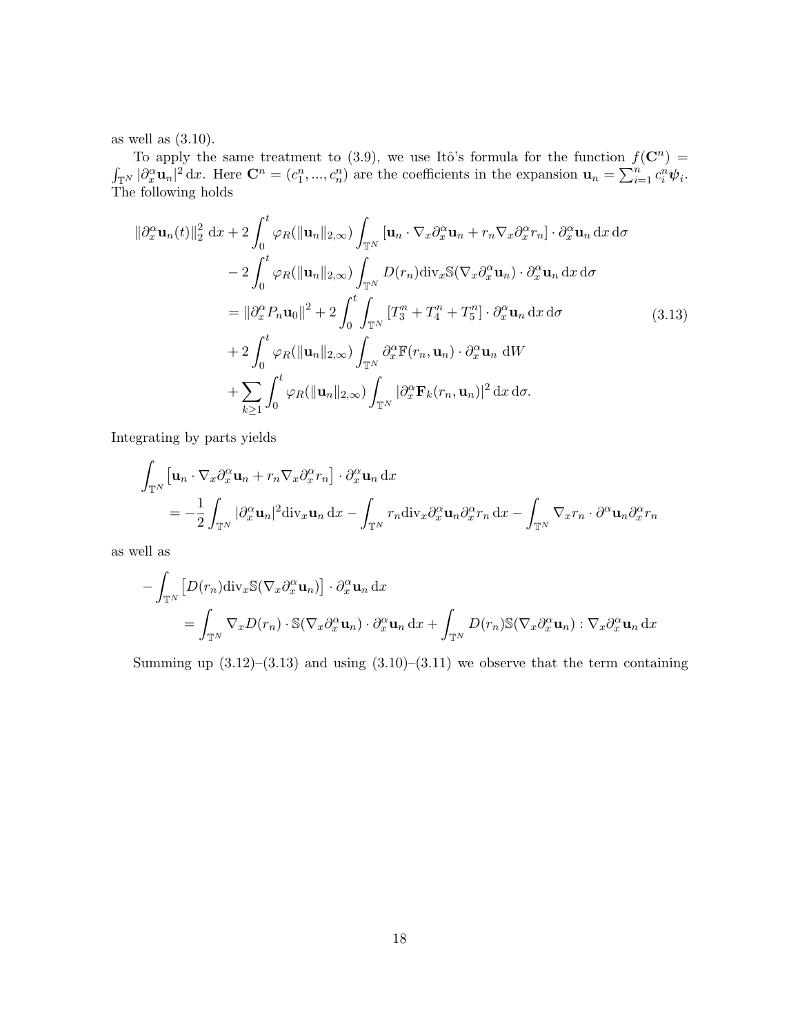as well as (3.10).

To apply the same treatment to (3.9), we use Itô's formula for the function  $f(\mathbf{C}^n)$  =  $\int_{\mathbb{T}^N} |\partial_x^{\alpha} \mathbf{u}_n|^2 dx$ . Here  $\mathbf{C}^n = (c_1^n, ..., c_n^n)$  are the coefficients in the expansion  $\mathbf{u}_n = \sum_{i=1}^n c_i^n \psi_i$ . The following holds

$$
\|\partial_x^{\alpha} \mathbf{u}_n(t)\|_2^2 dx + 2 \int_0^t \varphi_R(\|\mathbf{u}_n\|_{2,\infty}) \int_{\mathbb{T}^N} [\mathbf{u}_n \cdot \nabla_x \partial_x^{\alpha} \mathbf{u}_n + r_n \nabla_x \partial_x^{\alpha} r_n] \cdot \partial_x^{\alpha} \mathbf{u}_n dx d\sigma
$$
  
\n
$$
- 2 \int_0^t \varphi_R(\|\mathbf{u}_n\|_{2,\infty}) \int_{\mathbb{T}^N} D(r_n) \operatorname{div}_x \mathbb{S}(\nabla_x \partial_x^{\alpha} \mathbf{u}_n) \cdot \partial_x^{\alpha} \mathbf{u}_n dx d\sigma
$$
  
\n
$$
= \|\partial_x^{\alpha} P_n \mathbf{u}_0\|^2 + 2 \int_0^t \int_{\mathbb{T}^N} [T_3^n + T_4^n + T_5^n] \cdot \partial_x^{\alpha} \mathbf{u}_n dx d\sigma
$$
  
\n
$$
+ 2 \int_0^t \varphi_R(\|\mathbf{u}_n\|_{2,\infty}) \int_{\mathbb{T}^N} \partial_x^{\alpha} \mathbb{F}(r_n, \mathbf{u}_n) \cdot \partial_x^{\alpha} \mathbf{u}_n dW
$$
  
\n
$$
+ \sum_{k \ge 1} \int_0^t \varphi_R(\|\mathbf{u}_n\|_{2,\infty}) \int_{\mathbb{T}^N} |\partial_x^{\alpha} \mathbf{F}_k(r_n, \mathbf{u}_n)|^2 dx d\sigma.
$$
  
\n(3.13)

Integrating by parts yields

$$
\int_{\mathbb{T}^N} \left[ \mathbf{u}_n \cdot \nabla_x \partial_x^{\alpha} \mathbf{u}_n + r_n \nabla_x \partial_x^{\alpha} r_n \right] \cdot \partial_x^{\alpha} \mathbf{u}_n \, dx
$$
\n
$$
= -\frac{1}{2} \int_{\mathbb{T}^N} |\partial_x^{\alpha} \mathbf{u}_n|^2 \, \text{div}_x \mathbf{u}_n \, dx - \int_{\mathbb{T}^N} r_n \, \text{div}_x \partial_x^{\alpha} \mathbf{u}_n \partial_x^{\alpha} r_n \, dx - \int_{\mathbb{T}^N} \nabla_x r_n \cdot \partial^{\alpha} \mathbf{u}_n \partial_x^{\alpha} r_n
$$

as well as

$$
- \int_{\mathbb{T}^N} \left[ D(r_n) \operatorname{div}_x \mathbb{S} (\nabla_x \partial_x^{\alpha} \mathbf{u}_n) \right] \cdot \partial_x^{\alpha} \mathbf{u}_n \, dx
$$
  
= 
$$
\int_{\mathbb{T}^N} \nabla_x D(r_n) \cdot \mathbb{S} (\nabla_x \partial_x^{\alpha} \mathbf{u}_n) \cdot \partial_x^{\alpha} \mathbf{u}_n \, dx + \int_{\mathbb{T}^N} D(r_n) \mathbb{S} (\nabla_x \partial_x^{\alpha} \mathbf{u}_n) : \nabla_x \partial_x^{\alpha} \mathbf{u}_n \, dx
$$

Summing up  $(3.12)$ – $(3.13)$  and using  $(3.10)$ – $(3.11)$  we observe that the term containing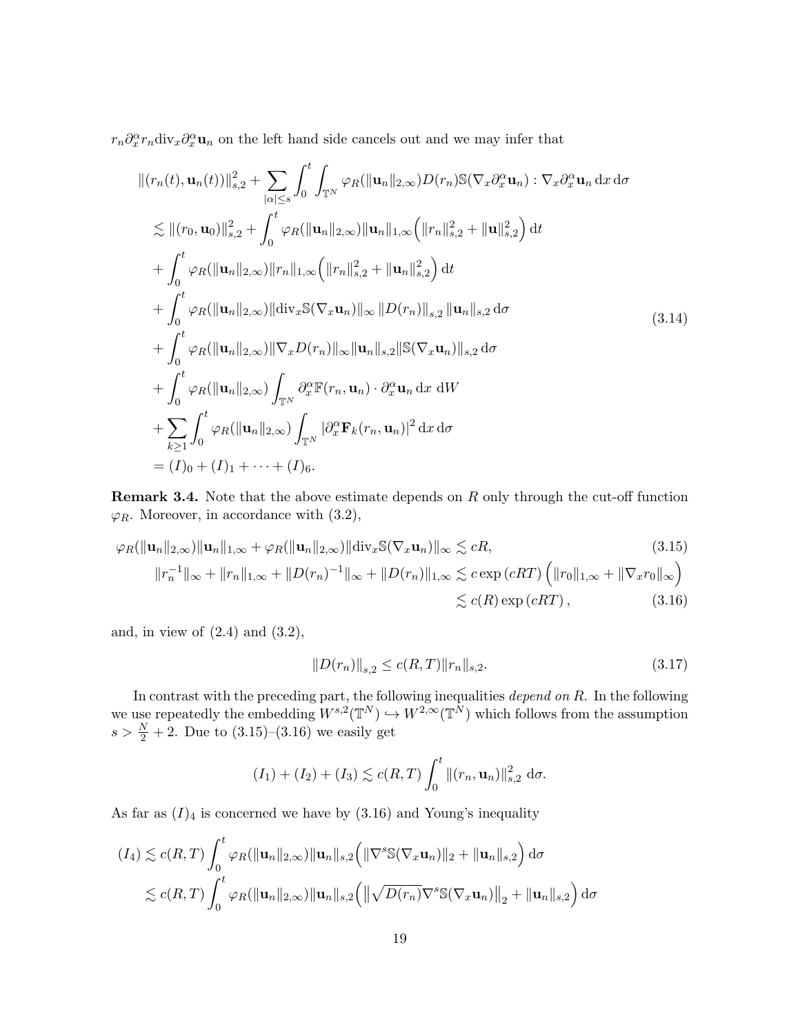$r_n \partial_x^{\alpha} r_n \text{div}_x \partial_x^{\alpha} \mathbf{u}_n$  on the left hand side cancels out and we may infer that

$$
\| (r_n(t), \mathbf{u}_n(t)) \|_{s,2}^2 + \sum_{|\alpha| \leq s} \int_0^t \int_{\mathbb{T}^N} \varphi_R(\|\mathbf{u}_n\|_{2,\infty}) D(r_n) \mathbb{S}(\nabla_x \partial_x^{\alpha} \mathbf{u}_n) : \nabla_x \partial_x^{\alpha} \mathbf{u}_n \, \mathrm{d}x \, \mathrm{d}\sigma \n\lesssim \| (r_0, \mathbf{u}_0) \|_{s,2}^2 + \int_0^t \varphi_R(\|\mathbf{u}_n\|_{2,\infty}) \|\mathbf{u}_n\|_{1,\infty} (\|r_n\|_{s,2}^2 + \|\mathbf{u}\|_{s,2}^2) \, \mathrm{d}t \n+ \int_0^t \varphi_R(\|\mathbf{u}_n\|_{2,\infty}) \|r_n\|_{1,\infty} (\|r_n\|_{s,2}^2 + \|\mathbf{u}_n\|_{s,2}^2) \, \mathrm{d}t \n+ \int_0^t \varphi_R(\|\mathbf{u}_n\|_{2,\infty}) \|\mathrm{div}_x \mathbb{S}(\nabla_x \mathbf{u}_n)\|_{\infty} \|D(r_n)\|_{s,2} \|\mathbf{u}_n\|_{s,2} \, \mathrm{d}\sigma \n+ \int_0^t \varphi_R(\|\mathbf{u}_n\|_{2,\infty}) \|\nabla_x D(r_n)\|_{\infty} \|\mathbf{u}_n\|_{s,2} \|\mathbb{S}(\nabla_x \mathbf{u}_n)\|_{s,2} \, \mathrm{d}\sigma \n+ \int_0^t \varphi_R(\|\mathbf{u}_n\|_{2,\infty}) \int_{\mathbb{T}^N} \partial_x^{\alpha} \mathbb{F}(r_n, \mathbf{u}_n) \cdot \partial_x^{\alpha} \mathbf{u}_n \, \mathrm{d}x \, \mathrm{d}W \n+ \sum_{k \geq 1} \int_0^t \varphi_R(\|\mathbf{u}_n\|_{2,\infty}) \int_{\mathbb{T}^N} |\partial_x^{\alpha} \mathbb{F}_k(r_n, \mathbf{u}_n)|^2 \, \mathrm{d}x \, \mathrm{d}\sigma \n= (I)_0 + (I)_1 + \cdots + (I)_6.
$$

Remark 3.4. Note that the above estimate depends on R only through the cut-off function  $\varphi_R$ . Moreover, in accordance with (3.2),

$$
\varphi_R(\|\mathbf{u}_n\|_{2,\infty})\|\mathbf{u}_n\|_{1,\infty} + \varphi_R(\|\mathbf{u}_n\|_{2,\infty})\|\text{div}_x\mathbb{S}(\nabla_x\mathbf{u}_n)\|_{\infty} \lesssim cR,
$$
\n(3.15)  
\n
$$
\|r_n^{-1}\|_{\infty} + \|r_n\|_{1,\infty} + \|D(r_n)^{-1}\|_{\infty} + \|D(r_n)\|_{1,\infty} \lesssim c \exp(cRT) \left(\|r_0\|_{1,\infty} + \|\nabla_x r_0\|_{\infty}\right)
$$
\n
$$
\lesssim c(R) \exp(cRT),
$$
\n(3.16)

and, in view of  $(2.4)$  and  $(3.2)$ ,

$$
||D(r_n)||_{s,2} \le c(R,T) ||r_n||_{s,2}.
$$
\n(3.17)

In contrast with the preceding part, the following inequalities depend on  $R$ . In the following we use repeatedly the embedding  $W^{s,2}(\mathbb{T}^N) \hookrightarrow W^{2,\infty}(\mathbb{T}^N)$  which follows from the assumption  $s > \frac{N}{2} + 2$ . Due to  $(3.15)$ – $(3.16)$  we easily get

$$
(I_1) + (I_2) + (I_3) \lesssim c(R,T) \int_0^t \|(r_n, \mathbf{u}_n)\|_{s,2}^2 \, \mathrm{d}\sigma.
$$

As far as  $(I)_4$  is concerned we have by  $(3.16)$  and Young's inequality

$$
(I_4) \lesssim c(R,T) \int_0^t \varphi_R(\|\mathbf{u}_n\|_{2,\infty}) \|\mathbf{u}_n\|_{s,2} \Big( \|\nabla^s \mathbb{S}(\nabla_x \mathbf{u}_n)\|_2 + \|\mathbf{u}_n\|_{s,2} \Big) d\sigma
$$
  

$$
\lesssim c(R,T) \int_0^t \varphi_R(\|\mathbf{u}_n\|_{2,\infty}) \|\mathbf{u}_n\|_{s,2} \Big( \|\sqrt{D(r_n)} \nabla^s \mathbb{S}(\nabla_x \mathbf{u}_n)\|_2 + \|\mathbf{u}_n\|_{s,2} \Big) d\sigma
$$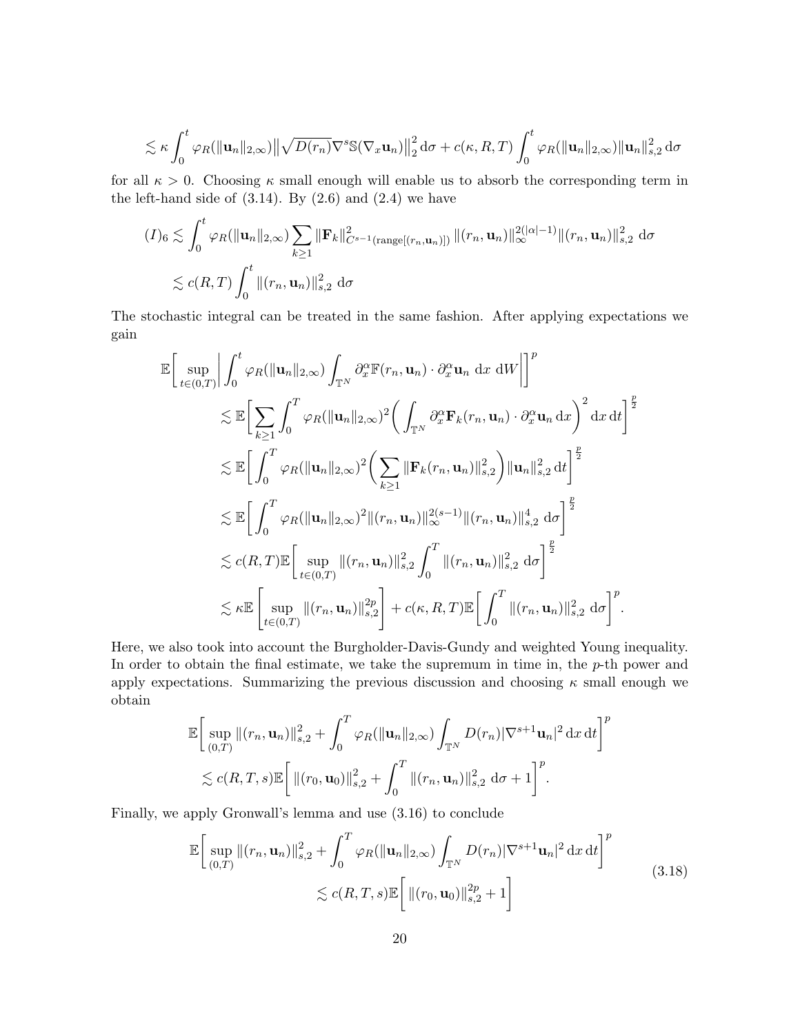$$
\lesssim \kappa \int_0^t \varphi_R(\|\mathbf{u}_n\|_{2,\infty}) \|\sqrt{D(r_n)}\nabla^s \mathbb{S}(\nabla_x \mathbf{u}_n)\|_2^2 d\sigma + c(\kappa, R, T) \int_0^t \varphi_R(\|\mathbf{u}_n\|_{2,\infty}) \|\mathbf{u}_n\|_{s,2}^2 d\sigma
$$

for all  $\kappa > 0$ . Choosing  $\kappa$  small enough will enable us to absorb the corresponding term in the left-hand side of  $(3.14)$ . By  $(2.6)$  and  $(2.4)$  we have

$$
(I)_{6} \lesssim \int_{0}^{t} \varphi_{R}(\|\mathbf{u}_{n}\|_{2,\infty}) \sum_{k\geq 1} \|\mathbf{F}_{k}\|_{C^{s-1}(\text{range}[(r_{n},\mathbf{u}_{n})])}^{2} \|(r_{n},\mathbf{u}_{n})\|_{\infty}^{2(|\alpha|-1)} \|(r_{n},\mathbf{u}_{n})\|_{s,2}^{2} d\sigma
$$
  

$$
\lesssim c(R,T) \int_{0}^{t} \|(r_{n},\mathbf{u}_{n})\|_{s,2}^{2} d\sigma
$$

The stochastic integral can be treated in the same fashion. After applying expectations we gain

$$
\mathbb{E}\Big[\sup_{t\in(0,T)}\Big|\int_0^t\varphi_R(\|\mathbf{u}_n\|_{2,\infty})\int_{\mathbb{T}^N}\partial_x^{\alpha}\mathbb{F}(r_n,\mathbf{u}_n)\cdot\partial_x^{\alpha}\mathbf{u}_n dx dW\Big|\Big]^p
$$
  
\n
$$
\lesssim \mathbb{E}\Big[\sum_{k\geq 1}\int_0^T\varphi_R(\|\mathbf{u}_n\|_{2,\infty})^2\Big(\int_{\mathbb{T}^N}\partial_x^{\alpha}\mathbf{F}_k(r_n,\mathbf{u}_n)\cdot\partial_x^{\alpha}\mathbf{u}_n dx\Big)^2 dx dt\Big]^{\frac{p}{2}}
$$
  
\n
$$
\lesssim \mathbb{E}\Big[\int_0^T\varphi_R(\|\mathbf{u}_n\|_{2,\infty})^2\Big(\sum_{k\geq 1}\|\mathbf{F}_k(r_n,\mathbf{u}_n)\|_{s,2}^2\Big)\|\mathbf{u}_n\|_{s,2}^2 dt\Big]^{\frac{p}{2}}
$$
  
\n
$$
\lesssim \mathbb{E}\Big[\int_0^T\varphi_R(\|\mathbf{u}_n\|_{2,\infty})^2\|(r_n,\mathbf{u}_n)\|_{\infty}^{2(s-1)}\|(r_n,\mathbf{u}_n)\|_{s,2}^4 d\sigma\Big]^{\frac{p}{2}}
$$
  
\n
$$
\lesssim c(R,T)\mathbb{E}\Big[\sup_{t\in(0,T)}\|(r_n,\mathbf{u}_n)\|_{s,2}^2\int_0^T\|(r_n,\mathbf{u}_n)\|_{s,2}^2 d\sigma\Big]^{\frac{p}{2}}
$$
  
\n
$$
\lesssim \kappa \mathbb{E}\Big[\sup_{t\in(0,T)}\|(r_n,\mathbf{u}_n)\|_{s,2}^{2p}\Big]+c(\kappa,R,T)\mathbb{E}\Big[\int_0^T\|(r_n,\mathbf{u}_n)\|_{s,2}^2 d\sigma\Big]^p.
$$

Here, we also took into account the Burgholder-Davis-Gundy and weighted Young inequality. In order to obtain the final estimate, we take the supremum in time in, the  $p$ -th power and apply expectations. Summarizing the previous discussion and choosing  $\kappa$  small enough we obtain

$$
\mathbb{E}\bigg[\sup_{(0,T)}\|(r_n, \mathbf{u}_n)\|_{s,2}^2 + \int_0^T \varphi_R(\|\mathbf{u}_n\|_{2,\infty}) \int_{\mathbb{T}^N} D(r_n) |\nabla^{s+1} \mathbf{u}_n|^2 \, \mathrm{d}x \, \mathrm{d}t\bigg]^p
$$
  
\$\lesssim c(R, T, s) \mathbb{E}\bigg[\|(r\_0, \mathbf{u}\_0)\|\_{s,2}^2 + \int\_0^T \|(r\_n, \mathbf{u}\_n)\|\_{s,2}^2 \, \mathrm{d}\sigma + 1\bigg]^p.

Finally, we apply Gronwall's lemma and use (3.16) to conclude

$$
\mathbb{E}\bigg[\sup_{(0,T)}\|(r_n, \mathbf{u}_n)\|_{s,2}^2 + \int_0^T \varphi_R(\|\mathbf{u}_n\|_{2,\infty}) \int_{\mathbb{T}^N} D(r_n) |\nabla^{s+1} \mathbf{u}_n|^2 \, \mathrm{d}x \, \mathrm{d}t\bigg]^p
$$
\n
$$
\lesssim c(R, T, s) \mathbb{E}\bigg[\|(r_0, \mathbf{u}_0)\|_{s,2}^{2p} + 1\bigg]
$$
\n(3.18)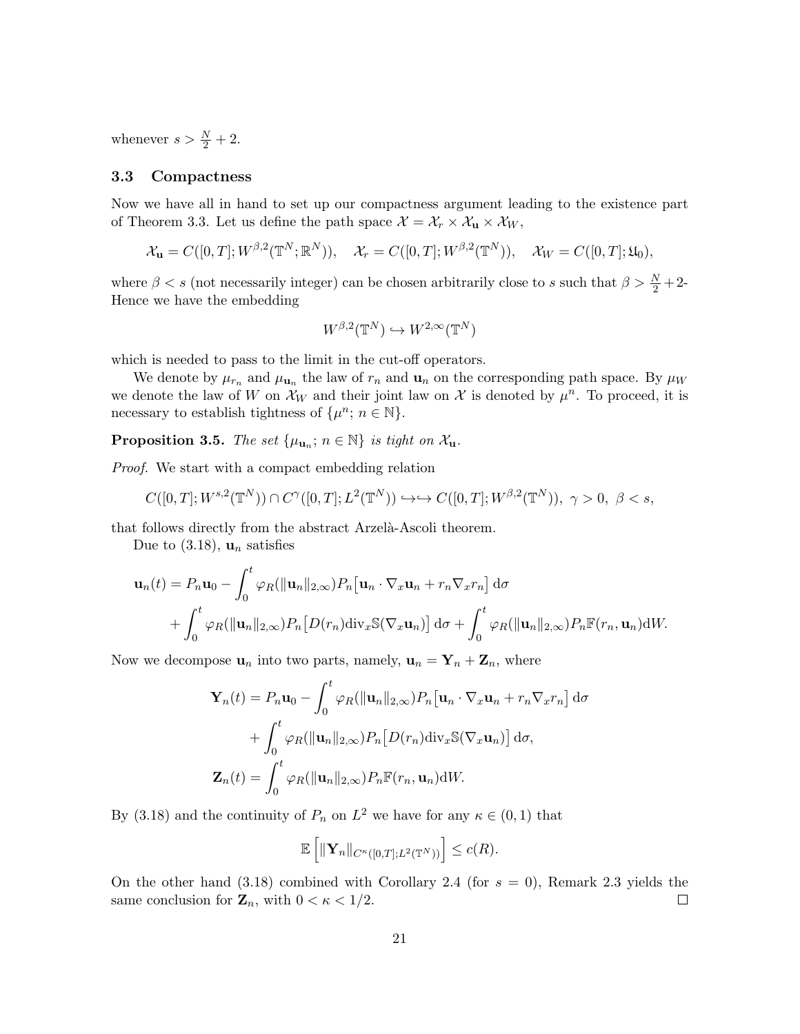whenever  $s > \frac{N}{2} + 2$ .

#### 3.3 Compactness

Now we have all in hand to set up our compactness argument leading to the existence part of Theorem 3.3. Let us define the path space  $\mathcal{X} = \mathcal{X}_r \times \mathcal{X}_u \times \mathcal{X}_w$ ,

$$
\mathcal{X}_{\mathbf{u}} = C([0,T]; W^{\beta,2}(\mathbb{T}^N;\mathbb{R}^N)), \quad \mathcal{X}_r = C([0,T]; W^{\beta,2}(\mathbb{T}^N)), \quad \mathcal{X}_W = C([0,T]; \mathfrak{U}_0),
$$

where  $\beta < s$  (not necessarily integer) can be chosen arbitrarily close to s such that  $\beta > \frac{N}{2} + 2$ -Hence we have the embedding

$$
W^{\beta,2}(\mathbb{T}^N) \hookrightarrow W^{2,\infty}(\mathbb{T}^N)
$$

which is needed to pass to the limit in the cut-off operators.

We denote by  $\mu_{r_n}$  and  $\mu_{\mathbf{u}_n}$  the law of  $r_n$  and  $\mathbf{u}_n$  on the corresponding path space. By  $\mu_W$ we denote the law of W on  $\mathcal{X}_W$  and their joint law on X is denoted by  $\mu^n$ . To proceed, it is necessary to establish tightness of  $\{\mu^n; n \in \mathbb{N}\}.$ 

**Proposition 3.5.** The set  $\{\mu_{\mathbf{u}_n}; n \in \mathbb{N}\}\$ is tight on  $\mathcal{X}_{\mathbf{u}}$ .

Proof. We start with a compact embedding relation

$$
C([0,T];W^{s,2}(\mathbb{T}^N))\cap C^{\gamma}([0,T];L^2(\mathbb{T}^N))\hookrightarrow\hookrightarrow C([0,T];W^{\beta,2}(\mathbb{T}^N)),\ \gamma>0,\ \beta
$$

that follows directly from the abstract Arzelà-Ascoli theorem.

Due to  $(3.18)$ ,  $\mathbf{u}_n$  satisfies

$$
\mathbf{u}_n(t) = P_n \mathbf{u}_0 - \int_0^t \varphi_R(\|\mathbf{u}_n\|_{2,\infty}) P_n[\mathbf{u}_n \cdot \nabla_x \mathbf{u}_n + r_n \nabla_x r_n] d\sigma + \int_0^t \varphi_R(\|\mathbf{u}_n\|_{2,\infty}) P_n[D(r_n) \operatorname{div}_x \mathbb{S}(\nabla_x \mathbf{u}_n)] d\sigma + \int_0^t \varphi_R(\|\mathbf{u}_n\|_{2,\infty}) P_n \mathbb{F}(r_n, \mathbf{u}_n) dW.
$$

Now we decompose  $\mathbf{u}_n$  into two parts, namely,  $\mathbf{u}_n = \mathbf{Y}_n + \mathbf{Z}_n$ , where

$$
\mathbf{Y}_n(t) = P_n \mathbf{u}_0 - \int_0^t \varphi_R(\|\mathbf{u}_n\|_{2,\infty}) P_n[\mathbf{u}_n \cdot \nabla_x \mathbf{u}_n + r_n \nabla_x r_n] d\sigma
$$

$$
+ \int_0^t \varphi_R(\|\mathbf{u}_n\|_{2,\infty}) P_n[D(r_n) \operatorname{div}_x \mathbb{S}(\nabla_x \mathbf{u}_n)] d\sigma,
$$

$$
\mathbf{Z}_n(t) = \int_0^t \varphi_R(\|\mathbf{u}_n\|_{2,\infty}) P_n \mathbb{F}(r_n, \mathbf{u}_n) dW.
$$

By (3.18) and the continuity of  $P_n$  on  $L^2$  we have for any  $\kappa \in (0,1)$  that

$$
\mathbb{E}\left[\|\mathbf{Y}_n\|_{C^{\kappa}([0,T];L^2(\mathbb{T}^N))}\right] \leq c(R).
$$

On the other hand  $(3.18)$  combined with Corollary 2.4 (for  $s = 0$ ), Remark 2.3 yields the same conclusion for  $\mathbf{Z}_n$ , with  $0 < \kappa < 1/2$ .  $\Box$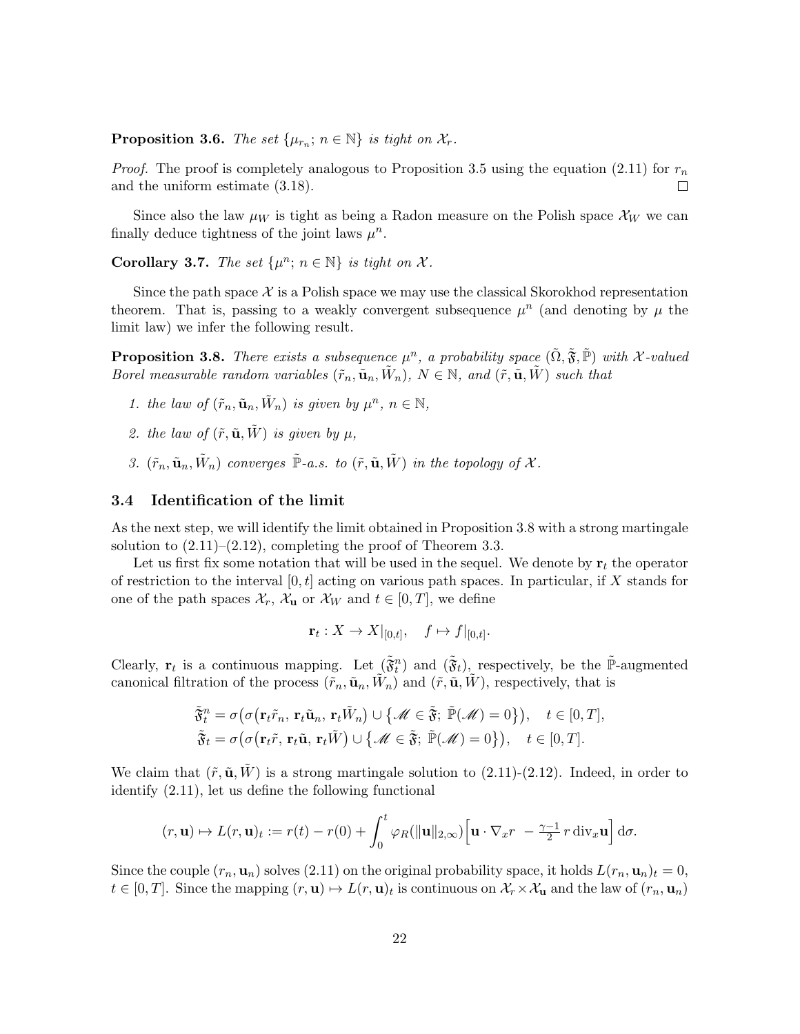**Proposition 3.6.** The set  $\{\mu_{r_n}; n \in \mathbb{N}\}\$ is tight on  $\mathcal{X}_r$ .

*Proof.* The proof is completely analogous to Proposition 3.5 using the equation (2.11) for  $r_n$ and the uniform estimate (3.18).  $\Box$ 

Since also the law  $\mu_W$  is tight as being a Radon measure on the Polish space  $\mathcal{X}_W$  we can finally deduce tightness of the joint laws  $\mu^n$ .

Corollary 3.7. The set  $\{\mu^n; n \in \mathbb{N}\}\$ is tight on X.

Since the path space  $\mathcal X$  is a Polish space we may use the classical Skorokhod representation theorem. That is, passing to a weakly convergent subsequence  $\mu^n$  (and denoting by  $\mu$  the limit law) we infer the following result.

**Proposition 3.8.** There exists a subsequence  $\mu^n$ , a probability space  $(\tilde{\Omega}, \tilde{\mathfrak{F}}, \tilde{\mathbb{P}})$  with X-valued Borel measurable random variables  $(\tilde{r}_n, \tilde{\mathbf{u}}_n, \tilde{W}_n)$ ,  $N \in \mathbb{N}$ , and  $(\tilde{r}, \tilde{\mathbf{u}}, \tilde{W})$  such that

- 1. the law of  $(\tilde{r}_n, \tilde{\mathbf{u}}_n, \tilde{W}_n)$  is given by  $\mu^n$ ,  $n \in \mathbb{N}$ ,
- 2. the law of  $(\tilde{r}, \tilde{\mathbf{u}}, \tilde{W})$  is given by  $\mu$ ,
- 3.  $(\tilde{r}_n, \tilde{\mathbf{u}}_n, \tilde{W}_n)$  converges  $\tilde{\mathbb{P}}$ -a.s. to  $(\tilde{r}, \tilde{\mathbf{u}}, \tilde{W})$  in the topology of X.

#### 3.4 Identification of the limit

As the next step, we will identify the limit obtained in Proposition 3.8 with a strong martingale solution to  $(2.11)$ – $(2.12)$ , completing the proof of Theorem 3.3.

Let us first fix some notation that will be used in the sequel. We denote by  $r_t$  the operator of restriction to the interval  $[0, t]$  acting on various path spaces. In particular, if X stands for one of the path spaces  $\mathcal{X}_r$ ,  $\mathcal{X}_u$  or  $\mathcal{X}_w$  and  $t \in [0, T]$ , we define

$$
\mathbf{r}_t: X \to X|_{[0,t]}, \quad f \mapsto f|_{[0,t]}.
$$

Clearly,  $\mathbf{r}_t$  is a continuous mapping. Let  $(\tilde{\mathfrak{F}}_t^n)$  and  $(\tilde{\mathfrak{F}}_t)$ , respectively, be the  $\tilde{\mathbb{P}}$ -augmented canonical filtration of the process  $(\tilde{r}_n, \tilde{\mathbf{u}}_n, \tilde{W}_n)$  and  $(\tilde{r}, \tilde{\mathbf{u}}, \tilde{W})$ , respectively, that is

$$
\tilde{\mathfrak{F}}_t^n = \sigma\big(\sigma\big(\mathbf{r}_t\tilde{r}_n, \mathbf{r}_t\tilde{\mathbf{u}}_n, \mathbf{r}_t\tilde{W}_n\big) \cup \big\{\mathscr{M} \in \tilde{\mathfrak{F}}; \ \tilde{\mathbb{P}}(\mathscr{M}) = 0\big\}\big), \quad t \in [0, T],
$$
  

$$
\tilde{\mathfrak{F}}_t = \sigma\big(\sigma\big(\mathbf{r}_t\tilde{r}, \mathbf{r}_t\tilde{\mathbf{u}}, \mathbf{r}_t\tilde{W}\big) \cup \big\{\mathscr{M} \in \tilde{\mathfrak{F}}; \ \tilde{\mathbb{P}}(\mathscr{M}) = 0\big\}\big), \quad t \in [0, T].
$$

We claim that  $(\tilde{r}, \tilde{\mathbf{u}}, W)$  is a strong martingale solution to  $(2.11)-(2.12)$ . Indeed, in order to identify (2.11), let us define the following functional

$$
(r, \mathbf{u}) \mapsto L(r, \mathbf{u})_t := r(t) - r(0) + \int_0^t \varphi_R(\|\mathbf{u}\|_{2,\infty}) \Big[ \mathbf{u} \cdot \nabla_x r - \frac{\gamma - 1}{2} r \operatorname{div}_x \mathbf{u} \Big] d\sigma.
$$

Since the couple  $(r_n, \mathbf{u}_n)$  solves  $(2.11)$  on the original probability space, it holds  $L(r_n, \mathbf{u}_n)_t = 0$ ,  $t \in [0,T]$ . Since the mapping  $(r, \mathbf{u}) \mapsto L(r, \mathbf{u})_t$  is continuous on  $\mathcal{X}_r \times \mathcal{X}_\mathbf{u}$  and the law of  $(r_n, \mathbf{u}_n)$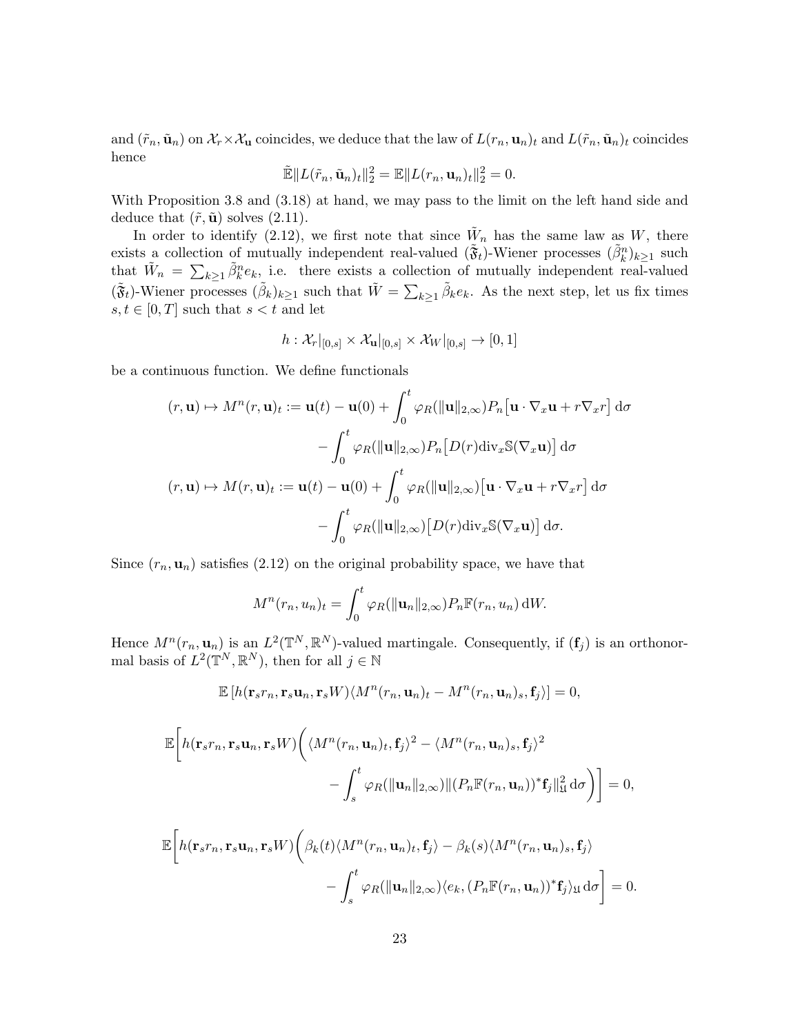and  $(\tilde{r}_n, \tilde{\mathbf{u}}_n)$  on  $\mathcal{X}_r \times \mathcal{X}_u$  coincides, we deduce that the law of  $L(r_n, \mathbf{u}_n)_t$  and  $L(\tilde{r}_n, \tilde{\mathbf{u}}_n)_t$  coincides hence

$$
\mathbb{\tilde{E}}\|L(\tilde{r}_n,\tilde{\mathbf{u}}_n)_t\|_2^2 = \mathbb{E}\|L(r_n,\mathbf{u}_n)_t\|_2^2 = 0.
$$

With Proposition 3.8 and (3.18) at hand, we may pass to the limit on the left hand side and deduce that  $(\tilde{r}, \tilde{\mathbf{u}})$  solves (2.11).

In order to identify (2.12), we first note that since  $\tilde{W}_n$  has the same law as W, there exists a collection of mutually independent real-valued  $(\tilde{\mathfrak{F}}_t)$ -Wiener processes  $(\tilde{\beta}_k^n)_{k\geq 1}$  such that  $\tilde{W}_n = \sum_{k\geq 1} \tilde{\beta}_k^n e_k$ , i.e. there exists a collection of mutually independent real-valued  $(\tilde{\mathfrak{F}}_t)$ -Wiener processes  $(\tilde{\beta}_k)_{k\geq 1}$  such that  $\tilde{W} = \sum_{k\geq 1} \tilde{\beta}_k e_k$ . As the next step, let us fix times  $s, t \in [0, T]$  such that  $s < t$  and let

$$
h: \mathcal{X}_r|_{[0,s]} \times \mathcal{X}_\mathbf{u}|_{[0,s]} \times \mathcal{X}_W|_{[0,s]} \to [0,1]
$$

be a continuous function. We define functionals

$$
(r, \mathbf{u}) \mapsto M^n(r, \mathbf{u})_t := \mathbf{u}(t) - \mathbf{u}(0) + \int_0^t \varphi_R(\|\mathbf{u}\|_{2,\infty}) P_n[\mathbf{u} \cdot \nabla_x \mathbf{u} + r \nabla_x r] d\sigma
$$

$$
- \int_0^t \varphi_R(\|\mathbf{u}\|_{2,\infty}) P_n[D(r) \operatorname{div}_x \mathbb{S}(\nabla_x \mathbf{u})] d\sigma
$$

$$
(r, \mathbf{u}) \mapsto M(r, \mathbf{u})_t := \mathbf{u}(t) - \mathbf{u}(0) + \int_0^t \varphi_R(\|\mathbf{u}\|_{2,\infty}) [\mathbf{u} \cdot \nabla_x \mathbf{u} + r \nabla_x r] d\sigma
$$

$$
- \int_0^t \varphi_R(\|\mathbf{u}\|_{2,\infty}) [D(r) \operatorname{div}_x \mathbb{S}(\nabla_x \mathbf{u})] d\sigma.
$$

Since  $(r_n, \mathbf{u}_n)$  satisfies  $(2.12)$  on the original probability space, we have that

$$
M^{n}(r_{n}, u_{n})_{t} = \int_{0}^{t} \varphi_{R}(\|\mathbf{u}_{n}\|_{2,\infty}) P_{n} \mathbb{F}(r_{n}, u_{n}) dW.
$$

Hence  $M^n(r_n, \mathbf{u}_n)$  is an  $L^2(\mathbb{T}^N, \mathbb{R}^N)$ -valued martingale. Consequently, if  $(\mathbf{f}_j)$  is an orthonormal basis of  $L^2(\mathbb{T}^N,\mathbb{R}^N)$ , then for all  $j \in \mathbb{N}$ 

$$
\mathbb{E}\left[h(\mathbf{r}_s r_n, \mathbf{r}_s \mathbf{u}_n, \mathbf{r}_s W)\langle M^n(r_n, \mathbf{u}_n)_t - M^n(r_n, \mathbf{u}_n)_s, \mathbf{f}_j\rangle\right] = 0,
$$

$$
\mathbb{E}\bigg[h(\mathbf{r}_s r_n, \mathbf{r}_s \mathbf{u}_n, \mathbf{r}_s W)\bigg(\langle M^n(r_n, \mathbf{u}_n)_t, \mathbf{f}_j\rangle^2 - \langle M^n(r_n, \mathbf{u}_n)_s, \mathbf{f}_j\rangle^2 - \int_s^t \varphi_R(\|\mathbf{u}_n\|_{2,\infty}) \|(P_n \mathbb{F}(r_n, \mathbf{u}_n))^* \mathbf{f}_j\|_{\mathfrak{U}}^2 d\sigma\bigg)\bigg] = 0,
$$

$$
\mathbb{E}\bigg[h(\mathbf{r}_s r_n, \mathbf{r}_s \mathbf{u}_n, \mathbf{r}_s W)\bigg(\beta_k(t)\langle M^n(r_n, \mathbf{u}_n)_t, \mathbf{f}_j\rangle - \beta_k(s)\langle M^n(r_n, \mathbf{u}_n)_s, \mathbf{f}_j\rangle \n- \int_s^t \varphi_R(\|\mathbf{u}_n\|_{2,\infty})\langle e_k, (P_n \mathbb{F}(r_n, \mathbf{u}_n))^* \mathbf{f}_j\rangle_{\mathfrak{U}} d\sigma\bigg] = 0.
$$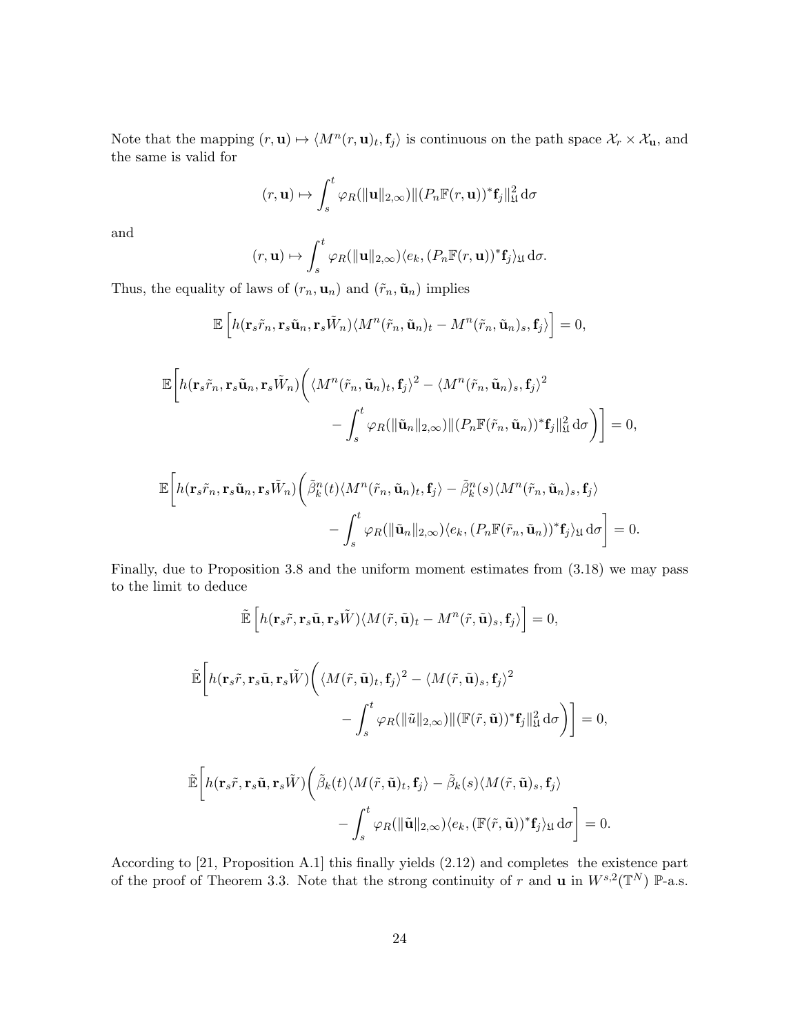Note that the mapping  $(r, \mathbf{u}) \mapsto \langle M^n(r, \mathbf{u})_t, \mathbf{f}_j \rangle$  is continuous on the path space  $\mathcal{X}_r \times \mathcal{X}_\mathbf{u}$ , and the same is valid for

$$
(r, \mathbf{u}) \mapsto \int_s^t \varphi_R(\|\mathbf{u}\|_{2,\infty}) \|(P_n \mathbb{F}(r, \mathbf{u}))^* \mathbf{f}_j\|_{\mathfrak{U}}^2 d\sigma
$$

and

$$
(r, \mathbf{u}) \mapsto \int_s^t \varphi_R(\|\mathbf{u}\|_{2,\infty}) \langle e_k, (P_n \mathbb{F}(r, \mathbf{u}))^* \mathbf{f}_j \rangle_{\mathfrak{U}} d\sigma.
$$

Thus, the equality of laws of  $(r_n, \mathbf{u}_n)$  and  $(\tilde{r}_n, \tilde{\mathbf{u}}_n)$  implies

$$
\mathbb{E}\left[h(\mathbf{r}_s\tilde{r}_n,\mathbf{r}_s\tilde{\mathbf{u}}_n,\mathbf{r}_s\tilde{W}_n)\langle M^n(\tilde{r}_n,\tilde{\mathbf{u}}_n)_t-M^n(\tilde{r}_n,\tilde{\mathbf{u}}_n)_s,\mathbf{f}_j\rangle\right]=0,
$$

$$
\mathbb{E}\bigg[h(\mathbf{r}_{s}\tilde{r}_{n},\mathbf{r}_{s}\tilde{\mathbf{u}}_{n},\mathbf{r}_{s}\tilde{W}_{n})\bigg(\langle M^{n}(\tilde{r}_{n},\tilde{\mathbf{u}}_{n})_{t},\mathbf{f}_{j}\rangle^{2} - \langle M^{n}(\tilde{r}_{n},\tilde{\mathbf{u}}_{n})_{s},\mathbf{f}_{j}\rangle^{2} - \int_{s}^{t} \varphi_{R}(\|\tilde{\mathbf{u}}_{n}\|_{2,\infty})\|(P_{n}\mathbb{F}(\tilde{r}_{n},\tilde{\mathbf{u}}_{n}))^{*}\mathbf{f}_{j}\|_{\mathfrak{U}}^{2}\,\mathrm{d}\sigma\bigg)\bigg] = 0,
$$

$$
\mathbb{E}\bigg[h(\mathbf{r}_{s}\tilde{r}_{n},\mathbf{r}_{s}\tilde{\mathbf{u}}_{n},\mathbf{r}_{s}\tilde{W}_{n})\bigg(\tilde{\beta}_{k}^{n}(t)\langle M^{n}(\tilde{r}_{n},\tilde{\mathbf{u}}_{n})_{t},\mathbf{f}_{j}\rangle-\tilde{\beta}_{k}^{n}(s)\langle M^{n}(\tilde{r}_{n},\tilde{\mathbf{u}}_{n})_{s},\mathbf{f}_{j}\rangle -\int_{s}^{t}\varphi_{R}(\|\tilde{\mathbf{u}}_{n}\|_{2,\infty})\langle e_{k},(P_{n}\mathbb{F}(\tilde{r}_{n},\tilde{\mathbf{u}}_{n}))^{*}\mathbf{f}_{j}\rangle_{\mathfrak{U}}d\sigma\bigg]=0.
$$

Finally, due to Proposition 3.8 and the uniform moment estimates from (3.18) we may pass to the limit to deduce

$$
\tilde{\mathbb{E}}\left[h(\mathbf{r}_s\tilde{r},\mathbf{r}_s\tilde{\mathbf{u}},\mathbf{r}_s\tilde{W})\langle M(\tilde{r},\tilde{\mathbf{u}})_t-M^n(\tilde{r},\tilde{\mathbf{u}})_s,\mathbf{f}_j\rangle\right]=0,
$$

$$
\tilde{\mathbb{E}}\bigg[h(\mathbf{r}_{s}\tilde{r},\mathbf{r}_{s}\tilde{\mathbf{u}},\mathbf{r}_{s}\tilde{W})\bigg(\langle M(\tilde{r},\tilde{\mathbf{u}})_{t},\mathbf{f}_{j}\rangle^{2} - \langle M(\tilde{r},\tilde{\mathbf{u}})_{s},\mathbf{f}_{j}\rangle^{2} - \int_{s}^{t} \varphi_{R}(\|\tilde{u}\|_{2,\infty}) \|(\mathbb{F}(\tilde{r},\tilde{\mathbf{u}}))^{*}\mathbf{f}_{j}\|_{\mathfrak{U}}^{2} d\sigma\bigg)\bigg] = 0,
$$

$$
\tilde{\mathbb{E}}\bigg[h(\mathbf{r}_s\tilde{r},\mathbf{r}_s\tilde{\mathbf{u}},\mathbf{r}_s\tilde{W})\bigg(\tilde{\beta}_k(t)\langle M(\tilde{r},\tilde{\mathbf{u}})_t,\mathbf{f}_j\rangle-\tilde{\beta}_k(s)\langle M(\tilde{r},\tilde{\mathbf{u}})_s,\mathbf{f}_j\rangle\\-\int_s^t\varphi_R(\|\tilde{\mathbf{u}}\|_{2,\infty})\langle e_k,(\mathbb{F}(\tilde{r},\tilde{\mathbf{u}}))^*\mathbf{f}_j\rangle_{\mathfrak{U}}\,\mathrm{d}\sigma\bigg]=0.
$$

According to [21, Proposition A.1] this finally yields (2.12) and completes the existence part of the proof of Theorem 3.3. Note that the strong continuity of r and **u** in  $W^{s,2}(\mathbb{T}^N)$  P-a.s.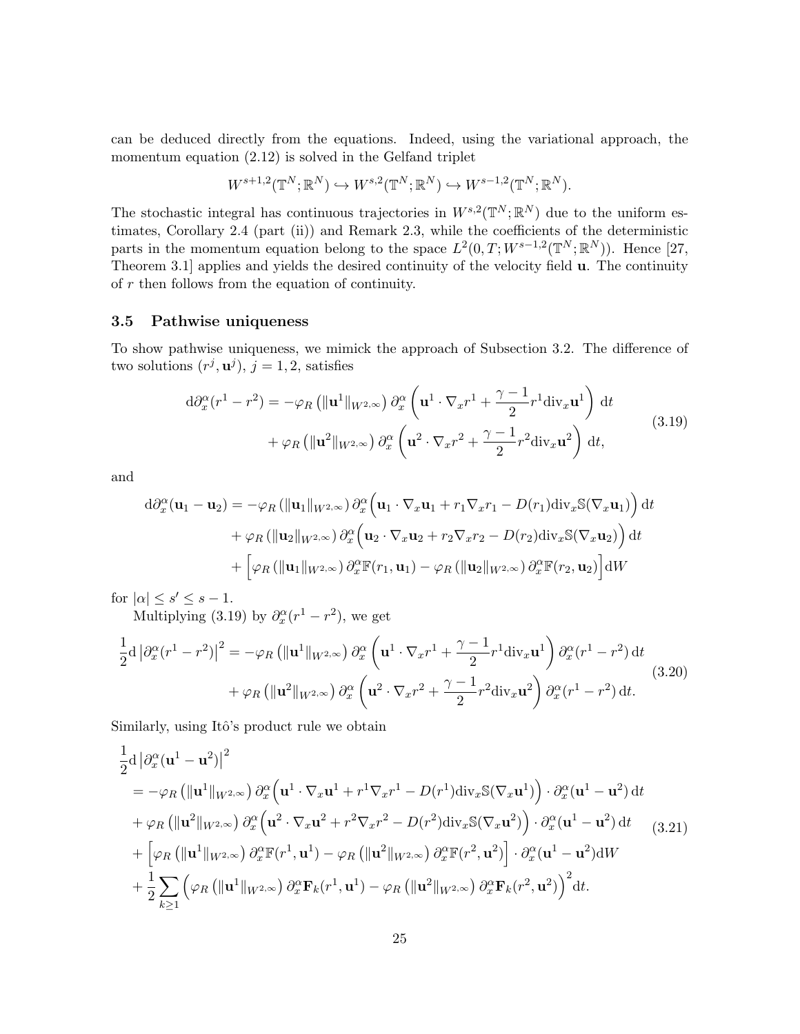can be deduced directly from the equations. Indeed, using the variational approach, the momentum equation (2.12) is solved in the Gelfand triplet

$$
W^{s+1,2}(\mathbb{T}^N;\mathbb{R}^N)\hookrightarrow W^{s,2}(\mathbb{T}^N;\mathbb{R}^N)\hookrightarrow W^{s-1,2}(\mathbb{T}^N;\mathbb{R}^N).
$$

The stochastic integral has continuous trajectories in  $W^{s,2}(\mathbb{T}^N;\mathbb{R}^N)$  due to the uniform estimates, Corollary 2.4 (part (ii)) and Remark 2.3, while the coefficients of the deterministic parts in the momentum equation belong to the space  $L^2(0,T;W^{s-1,2}(\mathbb{T}^N;\mathbb{R}^N))$ . Hence [27, Theorem 3.1] applies and yields the desired continuity of the velocity field **u**. The continuity of  $r$  then follows from the equation of continuity.

#### 3.5 Pathwise uniqueness

To show pathwise uniqueness, we mimick the approach of Subsection 3.2. The difference of two solutions  $(r^j, \mathbf{u}^j)$ ,  $j = 1, 2$ , satisfies

$$
d\partial_x^{\alpha}(r^1 - r^2) = -\varphi_R \left( \|\mathbf{u}^1\|_{W^{2,\infty}} \right) \partial_x^{\alpha} \left( \mathbf{u}^1 \cdot \nabla_x r^1 + \frac{\gamma - 1}{2} r^1 \text{div}_x \mathbf{u}^1 \right) dt + \varphi_R \left( \|\mathbf{u}^2\|_{W^{2,\infty}} \right) \partial_x^{\alpha} \left( \mathbf{u}^2 \cdot \nabla_x r^2 + \frac{\gamma - 1}{2} r^2 \text{div}_x \mathbf{u}^2 \right) dt,
$$
(3.19)

and

$$
d\partial_x^{\alpha}(\mathbf{u}_1 - \mathbf{u}_2) = -\varphi_R \left( \|\mathbf{u}_1\|_{W^{2,\infty}} \right) \partial_x^{\alpha} \left( \mathbf{u}_1 \cdot \nabla_x \mathbf{u}_1 + r_1 \nabla_x r_1 - D(r_1) \operatorname{div}_x \mathbb{S}(\nabla_x \mathbf{u}_1) \right) dt + \varphi_R \left( \|\mathbf{u}_2\|_{W^{2,\infty}} \right) \partial_x^{\alpha} \left( \mathbf{u}_2 \cdot \nabla_x \mathbf{u}_2 + r_2 \nabla_x r_2 - D(r_2) \operatorname{div}_x \mathbb{S}(\nabla_x \mathbf{u}_2) \right) dt + \left[ \varphi_R \left( \|\mathbf{u}_1\|_{W^{2,\infty}} \right) \partial_x^{\alpha} \mathbb{F}(r_1, \mathbf{u}_1) - \varphi_R \left( \|\mathbf{u}_2\|_{W^{2,\infty}} \right) \partial_x^{\alpha} \mathbb{F}(r_2, \mathbf{u}_2) \right] dW
$$

for  $|\alpha| \leq s' \leq s - 1$ .

Multiplying (3.19) by  $\partial_x^{\alpha}(r^1 - r^2)$ , we get

$$
\frac{1}{2} \mathrm{d} \left| \partial_x^{\alpha} (r^1 - r^2) \right|^2 = -\varphi_R \left( \|\mathbf{u}^1\|_{W^{2,\infty}} \right) \partial_x^{\alpha} \left( \mathbf{u}^1 \cdot \nabla_x r^1 + \frac{\gamma - 1}{2} r^1 \mathrm{div}_x \mathbf{u}^1 \right) \partial_x^{\alpha} (r^1 - r^2) \, \mathrm{d}t \n+ \varphi_R \left( \|\mathbf{u}^2\|_{W^{2,\infty}} \right) \partial_x^{\alpha} \left( \mathbf{u}^2 \cdot \nabla_x r^2 + \frac{\gamma - 1}{2} r^2 \mathrm{div}_x \mathbf{u}^2 \right) \partial_x^{\alpha} (r^1 - r^2) \, \mathrm{d}t.
$$
\n(3.20)

Similarly, using Itô's product rule we obtain

$$
\frac{1}{2} \mathrm{d} \left| \partial_x^{\alpha} (\mathbf{u}^1 - \mathbf{u}^2) \right|^2
$$
\n
$$
= -\varphi_R \left( \|\mathbf{u}^1\|_{W^{2,\infty}} \right) \partial_x^{\alpha} \left( \mathbf{u}^1 \cdot \nabla_x \mathbf{u}^1 + r^1 \nabla_x r^1 - D(r^1) \mathrm{div}_x \mathbb{S}(\nabla_x \mathbf{u}^1) \right) \cdot \partial_x^{\alpha} (\mathbf{u}^1 - \mathbf{u}^2) \, \mathrm{d}t
$$
\n
$$
+ \varphi_R \left( \|\mathbf{u}^2\|_{W^{2,\infty}} \right) \partial_x^{\alpha} \left( \mathbf{u}^2 \cdot \nabla_x \mathbf{u}^2 + r^2 \nabla_x r^2 - D(r^2) \mathrm{div}_x \mathbb{S}(\nabla_x \mathbf{u}^2) \right) \cdot \partial_x^{\alpha} (\mathbf{u}^1 - \mathbf{u}^2) \, \mathrm{d}t \qquad (3.21)
$$
\n
$$
+ \left[ \varphi_R \left( \|\mathbf{u}^1\|_{W^{2,\infty}} \right) \partial_x^{\alpha} \mathbb{F}(r^1, \mathbf{u}^1) - \varphi_R \left( \|\mathbf{u}^2\|_{W^{2,\infty}} \right) \partial_x^{\alpha} \mathbb{F}(r^2, \mathbf{u}^2) \right] \cdot \partial_x^{\alpha} (\mathbf{u}^1 - \mathbf{u}^2) \, \mathrm{d}W
$$
\n
$$
+ \frac{1}{2} \sum_{k \ge 1} \left( \varphi_R \left( \|\mathbf{u}^1\|_{W^{2,\infty}} \right) \partial_x^{\alpha} \mathbf{F}_k(r^1, \mathbf{u}^1) - \varphi_R \left( \|\mathbf{u}^2\|_{W^{2,\infty}} \right) \partial_x^{\alpha} \mathbf{F}_k(r^2, \mathbf{u}^2) \right)^2 \mathrm{d}t.
$$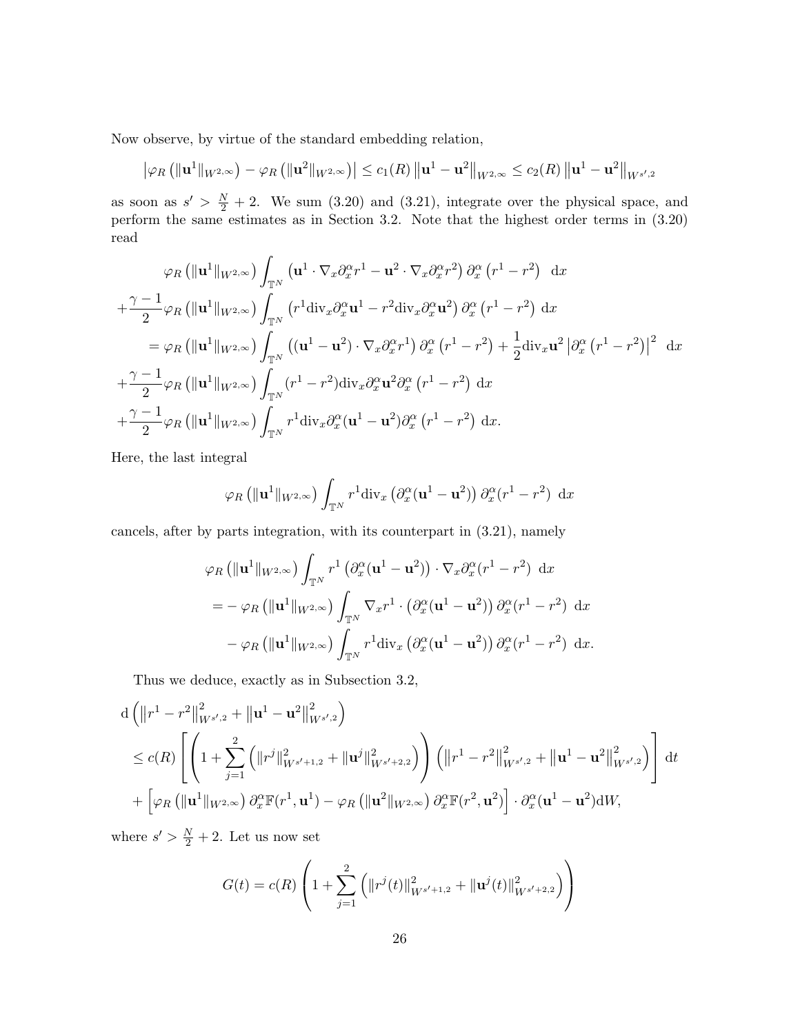Now observe, by virtue of the standard embedding relation,

$$
\left|\varphi_R\left(\|\mathbf{u}^1\|_{W^{2,\infty}}\right) - \varphi_R\left(\|\mathbf{u}^2\|_{W^{2,\infty}}\right)\right| \leq c_1(R)\left\|\mathbf{u}^1 - \mathbf{u}^2\right\|_{W^{2,\infty}} \leq c_2(R)\left\|\mathbf{u}^1 - \mathbf{u}^2\right\|_{W^{s',2}}
$$

as soon as  $s' > \frac{N}{2} + 2$ . We sum (3.20) and (3.21), integrate over the physical space, and perform the same estimates as in Section 3.2. Note that the highest order terms in (3.20) read

$$
\varphi_R \left( \|\mathbf{u}^1\|_{W^{2,\infty}} \right) \int_{\mathbb{T}^N} \left( \mathbf{u}^1 \cdot \nabla_x \partial_x^{\alpha} r^1 - \mathbf{u}^2 \cdot \nabla_x \partial_x^{\alpha} r^2 \right) \partial_x^{\alpha} \left( r^1 - r^2 \right) dx + \frac{\gamma - 1}{2} \varphi_R \left( \|\mathbf{u}^1\|_{W^{2,\infty}} \right) \int_{\mathbb{T}^N} \left( r^1 \operatorname{div}_x \partial_x^{\alpha} \mathbf{u}^1 - r^2 \operatorname{div}_x \partial_x^{\alpha} \mathbf{u}^2 \right) \partial_x^{\alpha} \left( r^1 - r^2 \right) dx = \varphi_R \left( \|\mathbf{u}^1\|_{W^{2,\infty}} \right) \int_{\mathbb{T}^N} \left( (\mathbf{u}^1 - \mathbf{u}^2) \cdot \nabla_x \partial_x^{\alpha} r^1 \right) \partial_x^{\alpha} \left( r^1 - r^2 \right) + \frac{1}{2} \operatorname{div}_x \mathbf{u}^2 \left| \partial_x^{\alpha} \left( r^1 - r^2 \right) \right|^2 dx + \frac{\gamma - 1}{2} \varphi_R \left( \|\mathbf{u}^1\|_{W^{2,\infty}} \right) \int_{\mathbb{T}^N} \left( r^1 - r^2 \right) \operatorname{div}_x \partial_x^{\alpha} \mathbf{u}^2 \partial_x^{\alpha} \left( r^1 - r^2 \right) dx + \frac{\gamma - 1}{2} \varphi_R \left( \|\mathbf{u}^1\|_{W^{2,\infty}} \right) \int_{\mathbb{T}^N} r^1 \operatorname{div}_x \partial_x^{\alpha} (\mathbf{u}^1 - \mathbf{u}^2) \partial_x^{\alpha} \left( r^1 - r^2 \right) dx.
$$

Here, the last integral

$$
\varphi_R\left(\|\mathbf{u}^1\|_{W^{2,\infty}}\right)\int_{\mathbb{T}^N} r^1 \text{div}_x\left(\partial_x^{\alpha}(\mathbf{u}^1-\mathbf{u}^2)\right) \partial_x^{\alpha}(r^1-r^2) dx
$$

cancels, after by parts integration, with its counterpart in (3.21), namely

$$
\varphi_R \left( \|\mathbf{u}^1\|_{W^{2,\infty}} \right) \int_{\mathbb{T}^N} r^1 \left( \partial_x^{\alpha} (\mathbf{u}^1 - \mathbf{u}^2) \right) \cdot \nabla_x \partial_x^{\alpha} (r^1 - r^2) \, dx
$$
  
=  $-\varphi_R \left( \|\mathbf{u}^1\|_{W^{2,\infty}} \right) \int_{\mathbb{T}^N} \nabla_x r^1 \cdot \left( \partial_x^{\alpha} (\mathbf{u}^1 - \mathbf{u}^2) \right) \partial_x^{\alpha} (r^1 - r^2) \, dx$   
 $-\varphi_R \left( \|\mathbf{u}^1\|_{W^{2,\infty}} \right) \int_{\mathbb{T}^N} r^1 \text{div}_x \left( \partial_x^{\alpha} (\mathbf{u}^1 - \mathbf{u}^2) \right) \partial_x^{\alpha} (r^1 - r^2) \, dx.$ 

Thus we deduce, exactly as in Subsection 3.2,

$$
d \left( \|r^{1} - r^{2}\|_{W^{s',2}}^{2} + \| \mathbf{u}^{1} - \mathbf{u}^{2} \|_{W^{s',2}}^{2} \right)
$$
  
\n
$$
\leq c(R) \left[ \left( 1 + \sum_{j=1}^{2} \left( \|r^{j}\|_{W^{s'+1,2}}^{2} + \|\mathbf{u}^{j}\|_{W^{s'+2,2}}^{2} \right) \right) \left( \|r^{1} - r^{2}\|_{W^{s',2}}^{2} + \|\mathbf{u}^{1} - \mathbf{u}^{2} \|_{W^{s',2}}^{2} \right) \right] dt
$$
  
\n
$$
+ \left[ \varphi_{R} \left( \| \mathbf{u}^{1} \|_{W^{2,\infty}} \right) \partial_{x}^{\alpha} \mathbb{F}(r^{1}, \mathbf{u}^{1}) - \varphi_{R} \left( \| \mathbf{u}^{2} \|_{W^{2,\infty}} \right) \partial_{x}^{\alpha} \mathbb{F}(r^{2}, \mathbf{u}^{2}) \right] \cdot \partial_{x}^{\alpha} (\mathbf{u}^{1} - \mathbf{u}^{2}) dW,
$$

where  $s' > \frac{N}{2} + 2$ . Let us now set

$$
G(t) = c(R) \left( 1 + \sum_{j=1}^{2} \left( ||r^{j}(t)||^{2}_{W^{s'+1,2}} + ||\mathbf{u}^{j}(t)||^{2}_{W^{s'+2,2}} \right) \right)
$$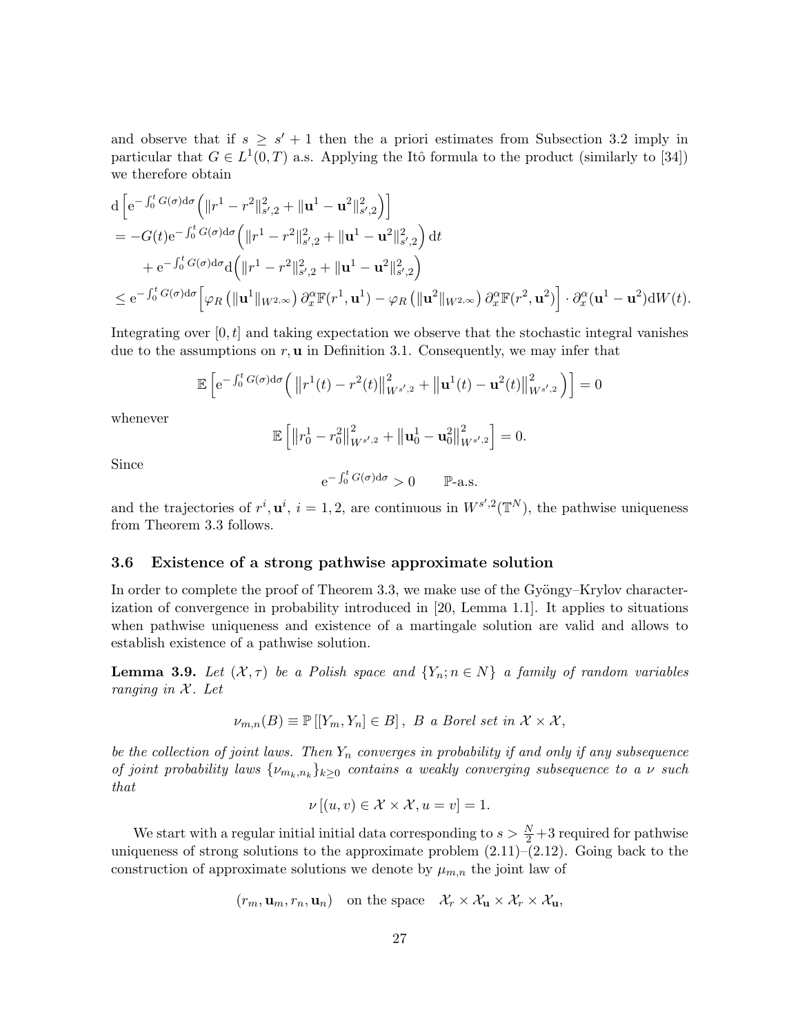and observe that if  $s \geq s' + 1$  then the a priori estimates from Subsection 3.2 imply in particular that  $G \in L^1(0,T)$  a.s. Applying the Itô formula to the product (similarly to [34]) we therefore obtain

$$
\begin{split}\n&\mathrm{d}\left[\mathrm{e}^{-\int_0^t G(\sigma)\mathrm{d}\sigma}\Big(\|r^1-r^2\|_{s',2}^2+\|\mathbf{u}^1-\mathbf{u}^2\|_{s',2}^2\Big)\right] \\
&=-G(t)\mathrm{e}^{-\int_0^t G(\sigma)\mathrm{d}\sigma}\Big(\|r^1-r^2\|_{s',2}^2+\|\mathbf{u}^1-\mathbf{u}^2\|_{s',2}^2\Big)\,\mathrm{d}t \\
&+ \mathrm{e}^{-\int_0^t G(\sigma)\mathrm{d}\sigma}\mathrm{d}\Big(\|r^1-r^2\|_{s',2}^2+\|\mathbf{u}^1-\mathbf{u}^2\|_{s',2}^2\Big) \\
&\leq \mathrm{e}^{-\int_0^t G(\sigma)\mathrm{d}\sigma}\Big[\varphi_R\left(\|\mathbf{u}^1\|_{W^{2,\infty}}\right)\partial_x^{\alpha}\mathbb{F}(r^1,\mathbf{u}^1)-\varphi_R\left(\|\mathbf{u}^2\|_{W^{2,\infty}}\right)\partial_x^{\alpha}\mathbb{F}(r^2,\mathbf{u}^2)\Big]\cdot\partial_x^{\alpha}(\mathbf{u}^1-\mathbf{u}^2)\mathrm{d}W(t).\n\end{split}
$$

Integrating over  $[0, t]$  and taking expectation we observe that the stochastic integral vanishes due to the assumptions on  $r$ ,  $\bf{u}$  in Definition 3.1. Consequently, we may infer that

$$
\mathbb{E}\left[e^{-\int_0^t G(\sigma)d\sigma}\left(\left\|r^1(t)-r^2(t)\right\|_{W^{s',2}}^2+\left\|\mathbf{u}^1(t)-\mathbf{u}^2(t)\right\|_{W^{s',2}}^2\right)\right]=0
$$

whenever

$$
\mathbb{E}\left[\left\|r_0^1-r_0^2\right\|_{W^{s',2}}^2+\left\|\mathbf{u}_0^1-\mathbf{u}_0^2\right\|_{W^{s',2}}^2\right]=0.
$$

Since

$$
e^{-\int_0^t G(\sigma)d\sigma} > 0 \qquad \mathbb{P}\text{-a.s.}
$$

and the trajectories of  $r^i$ ,  $\mathbf{u}^i$ ,  $i = 1, 2$ , are continuous in  $W^{s', 2}(\mathbb{T}^N)$ , the pathwise uniqueness from Theorem 3.3 follows.

#### 3.6 Existence of a strong pathwise approximate solution

In order to complete the proof of Theorem 3.3, we make use of the Gyöngy–Krylov characterization of convergence in probability introduced in [20, Lemma 1.1]. It applies to situations when pathwise uniqueness and existence of a martingale solution are valid and allows to establish existence of a pathwise solution.

**Lemma 3.9.** Let  $(\mathcal{X}, \tau)$  be a Polish space and  $\{Y_n; n \in \mathbb{N}\}\$ a family of random variables ranging in  $X$ . Let

$$
\nu_{m,n}(B) \equiv \mathbb{P}[[Y_m, Y_n] \in B], B \text{ a Borel set in } \mathcal{X} \times \mathcal{X},
$$

be the collection of joint laws. Then  $Y_n$  converges in probability if and only if any subsequence of joint probability laws  $\{\nu_{m_k,n_k}\}_{k\geq 0}$  contains a weakly converging subsequence to a  $\nu$  such that

$$
\nu [(u, v) \in \mathcal{X} \times \mathcal{X}, u = v] = 1.
$$

We start with a regular initial initial data corresponding to  $s > \frac{N}{2} + 3$  required for pathwise uniqueness of strong solutions to the approximate problem  $(2.11)$ – $(2.12)$ . Going back to the construction of approximate solutions we denote by  $\mu_{m,n}$  the joint law of

$$
(r_m, \mathbf{u}_m, r_n, \mathbf{u}_n)
$$
 on the space  $\mathcal{X}_r \times \mathcal{X}_\mathbf{u} \times \mathcal{X}_r \times \mathcal{X}_\mathbf{u}$ ,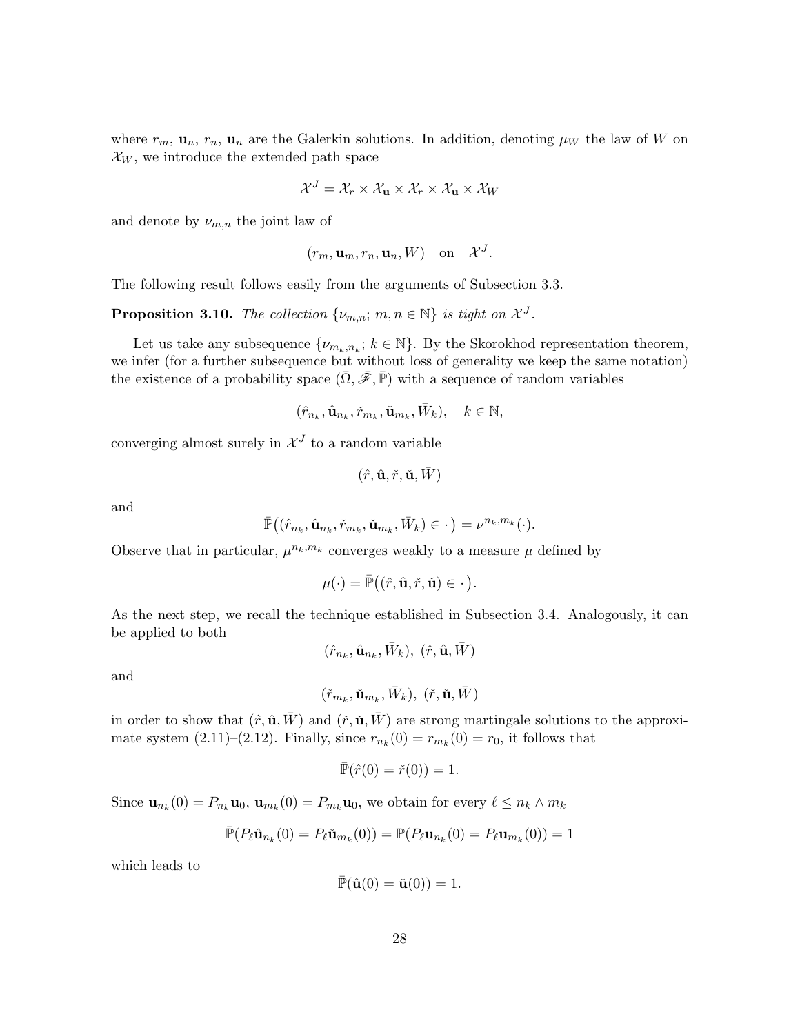where  $r_m$ ,  $\mathbf{u}_n$ ,  $r_n$ ,  $\mathbf{u}_n$  are the Galerkin solutions. In addition, denoting  $\mu_W$  the law of W on  $\mathcal{X}_W$ , we introduce the extended path space

$$
\mathcal{X}^J = \mathcal{X}_r \times \mathcal{X}_\mathbf{u} \times \mathcal{X}_r \times \mathcal{X}_\mathbf{u} \times \mathcal{X}_W
$$

and denote by  $\nu_{m,n}$  the joint law of

$$
(r_m, \mathbf{u}_m, r_n, \mathbf{u}_n, W)
$$
 on  $\mathcal{X}^J$ .

The following result follows easily from the arguments of Subsection 3.3.

**Proposition 3.10.** The collection  $\{\nu_{m,n}; m, n \in \mathbb{N}\}\)$  is tight on  $\mathcal{X}^J$ .

Let us take any subsequence  $\{\nu_{m_k,n_k}; k \in \mathbb{N}\}$ . By the Skorokhod representation theorem, we infer (for a further subsequence but without loss of generality we keep the same notation) the existence of a probability space  $(\bar{\Omega}, \bar{\mathscr{F}}, \bar{\mathbb{P}})$  with a sequence of random variables

$$
(\hat{r}_{n_k}, \hat{\mathbf{u}}_{n_k}, \check{r}_{m_k}, \check{\mathbf{u}}_{m_k}, \bar{W}_k), \quad k \in \mathbb{N},
$$

converging almost surely in  $\mathcal{X}^J$  to a random variable

$$
(\hat{r}, \hat{\mathbf{u}}, \check{r}, \check{\mathbf{u}}, \bar{W})
$$

and

$$
\bar{\mathbb{P}}((\hat{r}_{n_k},\hat{\mathbf{u}}_{n_k},\check{r}_{m_k},\check{\mathbf{u}}_{m_k},\bar{W}_k) \in .)=\nu^{n_k,m_k}(\cdot).
$$

Observe that in particular,  $\mu^{n_k,m_k}$  converges weakly to a measure  $\mu$  defined by

$$
\mu(\cdot) = \bar{\mathbb{P}}((\hat{r}, \hat{\mathbf{u}}, \check{r}, \check{\mathbf{u}}) \in \cdot).
$$

As the next step, we recall the technique established in Subsection 3.4. Analogously, it can be applied to both

$$
(\hat{r}_{n_k},\hat{\mathbf{u}}_{n_k},\bar{W}_k),\;(\hat{r},\hat{\mathbf{u}},\bar{W})
$$

and

$$
(\check{r}_{m_k},\check{\mathbf{u}}_{m_k},\bar{W}_k),\;(\check{r},\check{\mathbf{u}},\bar{W})
$$

in order to show that  $(\hat{r}, \hat{\mathbf{u}}, \bar{W})$  and  $(\check{r}, \check{\mathbf{u}}, \bar{W})$  are strong martingale solutions to the approximate system (2.11)–(2.12). Finally, since  $r_{n_k}(0) = r_{m_k}(0) = r_0$ , it follows that

$$
\bar{\mathbb{P}}(\hat{r}(0) = \check{r}(0)) = 1.
$$

Since  $\mathbf{u}_{n_k}(0) = P_{n_k}\mathbf{u}_0$ ,  $\mathbf{u}_{m_k}(0) = P_{m_k}\mathbf{u}_0$ , we obtain for every  $\ell \leq n_k \wedge m_k$ 

$$
\bar{\mathbb{P}}(P_{\ell}\hat{\mathbf{u}}_{n_k}(0) = P_{\ell}\check{\mathbf{u}}_{m_k}(0)) = \mathbb{P}(P_{\ell}\mathbf{u}_{n_k}(0) = P_{\ell}\mathbf{u}_{m_k}(0)) = 1
$$

which leads to

$$
\bar{\mathbb{P}}(\hat{\mathbf{u}}(0) = \check{\mathbf{u}}(0)) = 1.
$$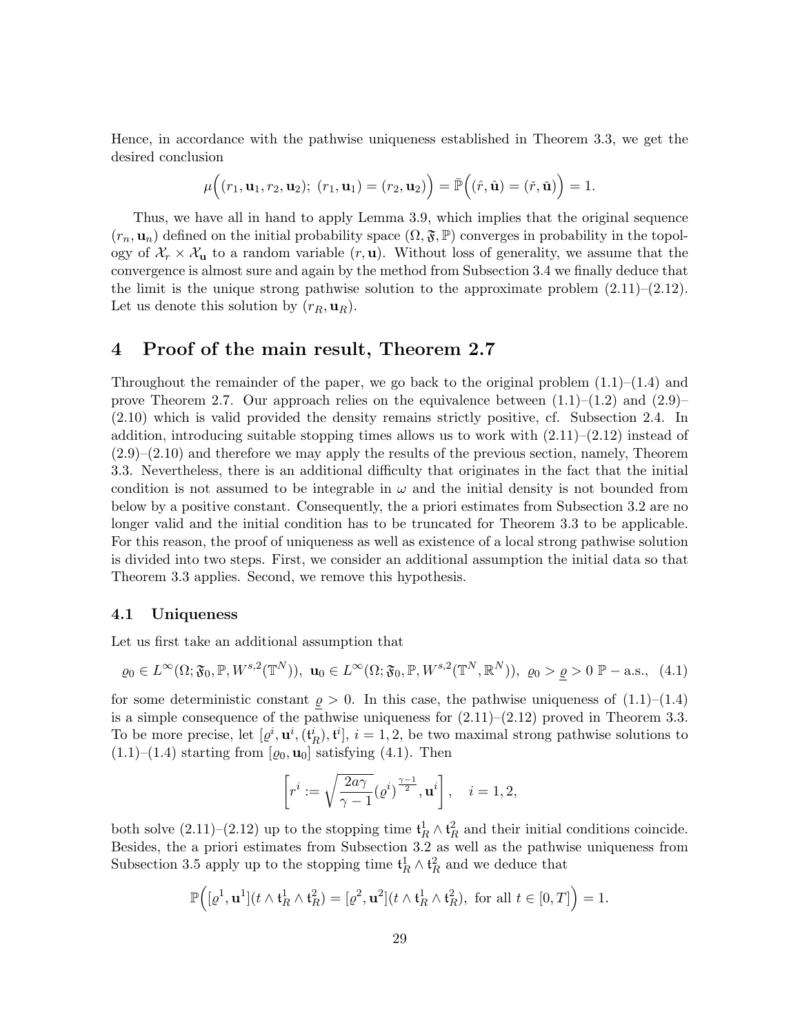Hence, in accordance with the pathwise uniqueness established in Theorem 3.3, we get the desired conclusion

$$
\mu((r_1, \mathbf{u}_1, r_2, \mathbf{u}_2); (r_1, \mathbf{u}_1) = (r_2, \mathbf{u}_2)) = \bar{\mathbb{P}}((\hat{r}, \hat{\mathbf{u}}) = (\check{r}, \check{\mathbf{u}})) = 1.
$$

Thus, we have all in hand to apply Lemma 3.9, which implies that the original sequence  $(r_n, \mathbf{u}_n)$  defined on the initial probability space  $(\Omega, \mathfrak{F}, \mathbb{P})$  converges in probability in the topology of  $\mathcal{X}_r \times \mathcal{X}_u$  to a random variable  $(r, u)$ . Without loss of generality, we assume that the convergence is almost sure and again by the method from Subsection 3.4 we finally deduce that the limit is the unique strong pathwise solution to the approximate problem  $(2.11)$ – $(2.12)$ . Let us denote this solution by  $(r_R, \mathbf{u}_R)$ .

## 4 Proof of the main result, Theorem 2.7

Throughout the remainder of the paper, we go back to the original problem  $(1.1)$ – $(1.4)$  and prove Theorem 2.7. Our approach relies on the equivalence between  $(1.1)$ – $(1.2)$  and  $(2.9)$ – (2.10) which is valid provided the density remains strictly positive, cf. Subsection 2.4. In addition, introducing suitable stopping times allows us to work with  $(2.11)$ – $(2.12)$  instead of  $(2.9)$ – $(2.10)$  and therefore we may apply the results of the previous section, namely, Theorem 3.3. Nevertheless, there is an additional difficulty that originates in the fact that the initial condition is not assumed to be integrable in  $\omega$  and the initial density is not bounded from below by a positive constant. Consequently, the a priori estimates from Subsection 3.2 are no longer valid and the initial condition has to be truncated for Theorem 3.3 to be applicable. For this reason, the proof of uniqueness as well as existence of a local strong pathwise solution is divided into two steps. First, we consider an additional assumption the initial data so that Theorem 3.3 applies. Second, we remove this hypothesis.

#### 4.1 Uniqueness

Let us first take an additional assumption that

$$
\varrho_0 \in L^{\infty}(\Omega; \mathfrak{F}_0, \mathbb{P}, W^{s,2}(\mathbb{T}^N)), \mathbf{u}_0 \in L^{\infty}(\Omega; \mathfrak{F}_0, \mathbb{P}, W^{s,2}(\mathbb{T}^N, \mathbb{R}^N)), \varrho_0 > \underline{\varrho} > 0 \mathbb{P}-\text{a.s.,} \quad (4.1)
$$

for some deterministic constant  $\rho > 0$ . In this case, the pathwise uniqueness of  $(1.1)$ – $(1.4)$ is a simple consequence of the pathwise uniqueness for  $(2.11)–(2.12)$  proved in Theorem 3.3. To be more precise, let  $[\varrho^i, \mathbf{u}^i, (\mathbf{t}_R^i), \mathbf{t}^i], i = 1, 2$ , be two maximal strong pathwise solutions to  $(1.1)$ – $(1.4)$  starting from  $[\varrho_0, \mathbf{u}_0]$  satisfying  $(4.1)$ . Then

$$
\left[r^{i} := \sqrt{\frac{2a\gamma}{\gamma - 1}}(\varrho^{i})^{\frac{\gamma - 1}{2}}, \mathbf{u}^{i}\right], \quad i = 1, 2,
$$

both solve  $(2.11)$ – $(2.12)$  up to the stopping time  $\mathfrak{t}_R^1 \wedge \mathfrak{t}_R^2$  and their initial conditions coincide. Besides, the a priori estimates from Subsection 3.2 as well as the pathwise uniqueness from Subsection 3.5 apply up to the stopping time  $\mathfrak{t}^1_R \wedge \mathfrak{t}^2_R$  and we deduce that

$$
\mathbb{P}\Big([\varrho^1, \mathbf{u}^1](t \wedge \mathfrak{t}_R^1 \wedge \mathfrak{t}_R^2) = [\varrho^2, \mathbf{u}^2](t \wedge \mathfrak{t}_R^1 \wedge \mathfrak{t}_R^2), \text{ for all } t \in [0, T]\Big) = 1.
$$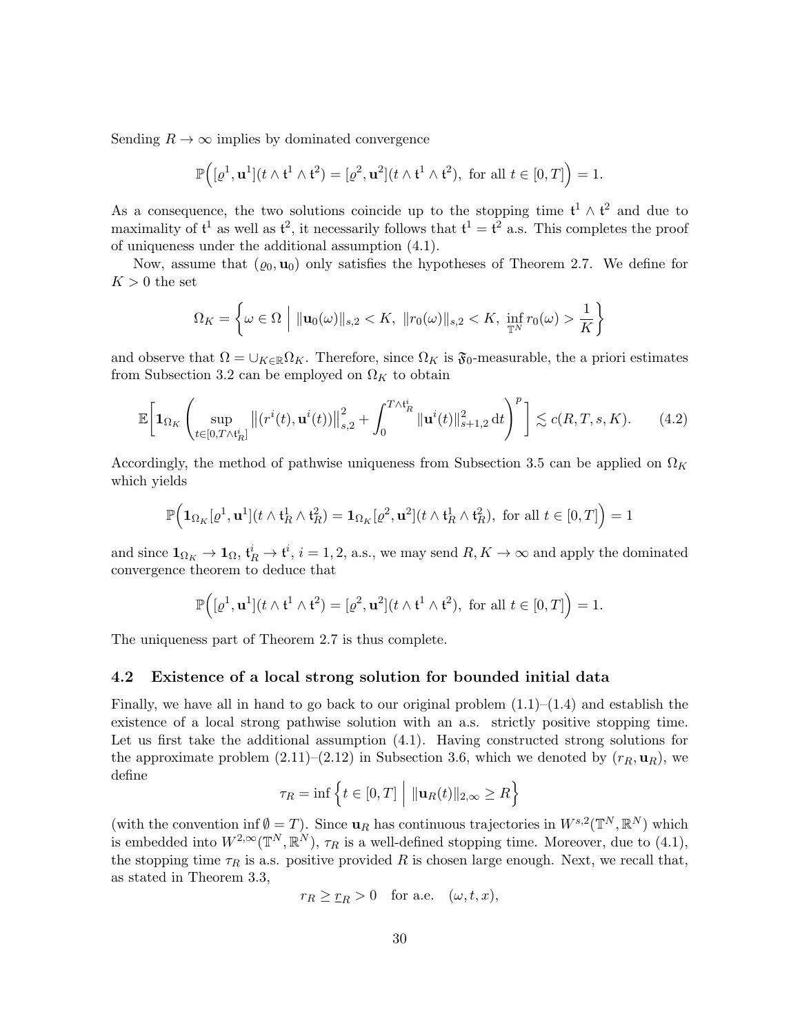Sending  $R \to \infty$  implies by dominated convergence

$$
\mathbb{P}\Big([\varrho^1, \mathbf{u}^1](t \wedge \mathfrak{t}^1 \wedge \mathfrak{t}^2) = [\varrho^2, \mathbf{u}^2](t \wedge \mathfrak{t}^1 \wedge \mathfrak{t}^2), \text{ for all } t \in [0, T]\Big) = 1.
$$

As a consequence, the two solutions coincide up to the stopping time  $\mathfrak{t}^1 \wedge \mathfrak{t}^2$  and due to maximality of  $t^1$  as well as  $t^2$ , it necessarily follows that  $t^1 = t^2$  a.s. This completes the proof of uniqueness under the additional assumption (4.1).

Now, assume that  $(\varrho_0, \mathbf{u}_0)$  only satisfies the hypotheses of Theorem 2.7. We define for  $K > 0$  the set

$$
\Omega_K = \left\{ \omega \in \Omega \, \middle| \, \|\mathbf{u}_0(\omega)\|_{s,2} < K, \, \|r_0(\omega)\|_{s,2} < K, \, \inf_{\mathbb{T}^N} r_0(\omega) > \frac{1}{K} \right\}
$$

and observe that  $\Omega = \cup_{K \in \mathbb{R}} \Omega_K$ . Therefore, since  $\Omega_K$  is  $\mathfrak{F}_0$ -measurable, the a priori estimates from Subsection 3.2 can be employed on  $\Omega_K$  to obtain

$$
\mathbb{E}\bigg[\mathbf{1}_{\Omega_K}\left(\sup_{t\in[0,T\wedge\mathfrak{t}_R^i]}\big\|(r^i(t),\mathbf{u}^i(t))\big\|_{s,2}^2+\int_0^{T\wedge\mathfrak{t}_R^i}\|\mathbf{u}^i(t)\|_{s+1,2}^2\,\mathrm{d}t\right)^p\bigg]\lesssim c(R,T,s,K). \tag{4.2}
$$

Accordingly, the method of pathwise uniqueness from Subsection 3.5 can be applied on  $\Omega_K$ which yields

$$
\mathbb{P}\Big(\mathbf{1}_{\Omega_K}[\varrho^1,\mathbf{u}^1](t\wedge\mathfrak{t}_R^1\wedge\mathfrak{t}_R^2)=\mathbf{1}_{\Omega_K}[\varrho^2,\mathbf{u}^2](t\wedge\mathfrak{t}_R^1\wedge\mathfrak{t}_R^2),\text{ for all }t\in[0,T]\Big)=1
$$

and since  $1_{\Omega_K} \to 1_{\Omega}$ ,  $\mathfrak{t}_R^i \to \mathfrak{t}^i$ ,  $i = 1, 2$ , a.s., we may send  $R, K \to \infty$  and apply the dominated convergence theorem to deduce that

$$
\mathbb{P}\Big([\varrho^1,\mathbf{u}^1](t\wedge\mathfrak{t}^1\wedge\mathfrak{t}^2) = [\varrho^2,\mathbf{u}^2](t\wedge\mathfrak{t}^1\wedge\mathfrak{t}^2), \text{ for all } t\in[0,T]\Big) = 1.
$$

The uniqueness part of Theorem 2.7 is thus complete.

#### 4.2 Existence of a local strong solution for bounded initial data

Finally, we have all in hand to go back to our original problem  $(1.1)$ – $(1.4)$  and establish the existence of a local strong pathwise solution with an a.s. strictly positive stopping time. Let us first take the additional assumption (4.1). Having constructed strong solutions for the approximate problem  $(2.11)$ – $(2.12)$  in Subsection 3.6, which we denoted by  $(r_R, \mathbf{u}_R)$ , we define

$$
\tau_R = \inf \left\{ t \in [0, T] \middle| \|\mathbf{u}_R(t)\|_{2,\infty} \ge R \right\}
$$

(with the convention inf  $\emptyset = T$ ). Since  $\mathbf{u}_R$  has continuous trajectories in  $W^{s,2}(\mathbb{T}^N,\mathbb{R}^N)$  which is embedded into  $W^{2,\infty}(\mathbb{T}^N,\mathbb{R}^N)$ ,  $\tau_R$  is a well-defined stopping time. Moreover, due to (4.1), the stopping time  $\tau_R$  is a.s. positive provided R is chosen large enough. Next, we recall that, as stated in Theorem 3.3,

$$
r_R \geq \underline{r}_R > 0
$$
 for a.e.  $(\omega, t, x)$ ,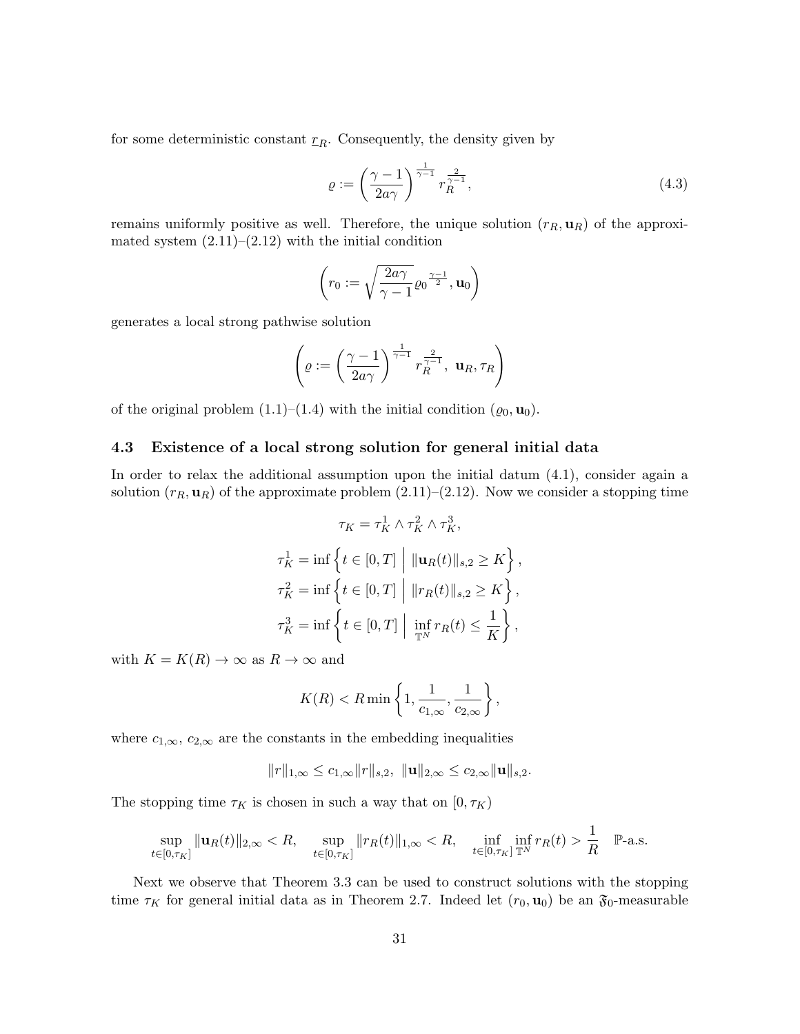for some deterministic constant  $r_R$ . Consequently, the density given by

$$
\varrho := \left(\frac{\gamma - 1}{2a\gamma}\right)^{\frac{1}{\gamma - 1}} r_R^{\frac{2}{\gamma - 1}},\tag{4.3}
$$

remains uniformly positive as well. Therefore, the unique solution  $(r_R, \mathbf{u}_R)$  of the approximated system  $(2.11)$ – $(2.12)$  with the initial condition

$$
\left(r_0:=\sqrt{\frac{2a\gamma}{\gamma-1}}\varrho_0^{\frac{\gamma-1}{2}},\mathbf{u}_0\right)
$$

generates a local strong pathwise solution

$$
\left(\varrho:=\left(\frac{\gamma-1}{2a\gamma}\right)^{\frac{1}{\gamma-1}}r_R^{\frac{2}{\gamma-1}},\mathbf{u}_R,\tau_R\right)
$$

of the original problem  $(1.1)$ – $(1.4)$  with the initial condition  $(\varrho_0, \mathbf{u}_0)$ .

#### 4.3 Existence of a local strong solution for general initial data

In order to relax the additional assumption upon the initial datum  $(4.1)$ , consider again a solution  $(r_R, \mathbf{u}_R)$  of the approximate problem  $(2.11)$ – $(2.12)$ . Now we consider a stopping time

$$
\tau_K = \tau_K^1 \wedge \tau_K^2 \wedge \tau_K^3,
$$
  

$$
\tau_K^1 = \inf \left\{ t \in [0, T] \middle| \| \mathbf{u}_R(t) \|_{s,2} \ge K \right\},\
$$
  

$$
\tau_K^2 = \inf \left\{ t \in [0, T] \middle| \| r_R(t) \|_{s,2} \ge K \right\},\
$$
  

$$
\tau_K^3 = \inf \left\{ t \in [0, T] \middle| \inf_{\mathbb{T}^N} r_R(t) \le \frac{1}{K} \right\},\
$$

with  $K = K(R) \rightarrow \infty$  as  $R \rightarrow \infty$  and

$$
K(R) < R \min\left\{1, \frac{1}{c_{1,\infty}}, \frac{1}{c_{2,\infty}}\right\},\
$$

where  $c_{1,\infty}$ ,  $c_{2,\infty}$  are the constants in the embedding inequalities

$$
||r||_{1,\infty} \leq c_{1,\infty} ||r||_{s,2}, \ ||\mathbf{u}||_{2,\infty} \leq c_{2,\infty} ||\mathbf{u}||_{s,2}.
$$

The stopping time  $\tau_K$  is chosen in such a way that on  $[0, \tau_K)$ 

$$
\sup_{t \in [0,\tau_K]} \|\mathbf{u}_R(t)\|_{2,\infty} < R, \quad \sup_{t \in [0,\tau_K]} \|r_R(t)\|_{1,\infty} < R, \quad \inf_{t \in [0,\tau_K]} \inf_{\mathbb{T}^N} r_R(t) > \frac{1}{R} \quad \mathbb{P}\text{-a.s.}
$$

Next we observe that Theorem 3.3 can be used to construct solutions with the stopping time  $\tau_K$  for general initial data as in Theorem 2.7. Indeed let  $(r_0, \mathbf{u}_0)$  be an  $\mathfrak{F}_0$ -measurable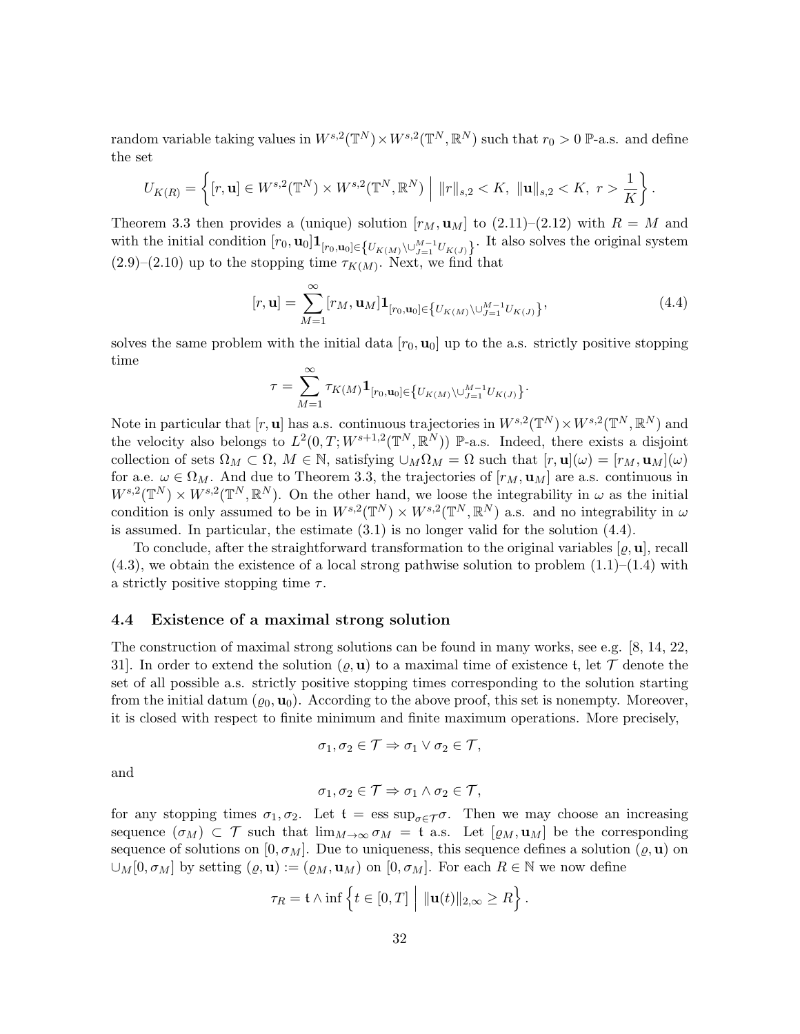random variable taking values in  $W^{s,2}(\mathbb{T}^N)\times W^{s,2}(\mathbb{T}^N,\mathbb{R}^N)$  such that  $r_0>0$  P-a.s. and define the set

$$
U_{K(R)} = \left\{ [r, \mathbf{u}] \in W^{s,2}(\mathbb{T}^N) \times W^{s,2}(\mathbb{T}^N, \mathbb{R}^N) \middle| \|r\|_{s,2} < K, \| \mathbf{u} \|_{s,2} < K, r > \frac{1}{K} \right\}.
$$

Theorem 3.3 then provides a (unique) solution  $[r_M, \mathbf{u}_M]$  to  $(2.11)-(2.12)$  with  $R = M$  and with the initial condition  $[r_0, \mathbf{u}_0] \mathbf{1}_{[r_0, \mathbf{u}_0] \in \{U_{K(M)} \setminus \cup_{J=1}^{M-1} U_{K(J)}\}}$ . It also solves the original system  $(2.9)$ – $(2.10)$  up to the stopping time  $\tau_{K(M)}$ . Next, we find that

$$
[r, \mathbf{u}] = \sum_{M=1}^{\infty} [r_M, \mathbf{u}_M] \mathbf{1}_{[r_0, \mathbf{u}_0] \in \{ U_{K(M)} \setminus \cup_{J=1}^{M-1} U_{K(J)} \}},
$$
(4.4)

solves the same problem with the initial data  $[r_0, \mathbf{u}_0]$  up to the a.s. strictly positive stopping time

$$
\tau = \sum_{M=1}^\infty \tau_{K(M)} {\bf 1}_{[r_0,{\bf u}_0]\in \big\{ U_{K(M)} \backslash \cup_{J=1}^{M-1} U_{K(J)} \big\}}.
$$

Note in particular that  $[r, \mathbf{u}]$  has a.s. continuous trajectories in  $W^{s,2}(\mathbb{T}^N) \times W^{s,2}(\mathbb{T}^N,\mathbb{R}^N)$  and the velocity also belongs to  $L^2(0,T;W^{s+1,2}(\mathbb{T}^N,\mathbb{R}^N))$  P-a.s. Indeed, there exists a disjoint collection of sets  $\Omega_M \subset \Omega$ ,  $M \in \mathbb{N}$ , satisfying  $\cup_M \Omega_M = \Omega$  such that  $[r, \mathbf{u}](\omega) = [r_M, \mathbf{u}_M](\omega)$ for a.e.  $\omega \in \Omega_M$ . And due to Theorem 3.3, the trajectories of  $[r_M, \mathbf{u}_M]$  are a.s. continuous in  $W^{s,2}(\mathbb{T}^N)\times W^{s,2}(\mathbb{T}^N,\mathbb{R}^N)$ . On the other hand, we loose the integrability in  $\omega$  as the initial condition is only assumed to be in  $W^{s,2}(\mathbb{T}^N) \times W^{s,2}(\mathbb{T}^N,\mathbb{R}^N)$  a.s. and no integrability in  $\omega$ is assumed. In particular, the estimate  $(3.1)$  is no longer valid for the solution  $(4.4)$ .

To conclude, after the straightforward transformation to the original variables  $[\rho, \mathbf{u}]$ , recall  $(4.3)$ , we obtain the existence of a local strong pathwise solution to problem  $(1.1)$ – $(1.4)$  with a strictly positive stopping time  $\tau$ .

#### 4.4 Existence of a maximal strong solution

The construction of maximal strong solutions can be found in many works, see e.g. [8, 14, 22, 31. In order to extend the solution  $(\varrho, \mathbf{u})$  to a maximal time of existence t, let T denote the set of all possible a.s. strictly positive stopping times corresponding to the solution starting from the initial datum  $(\varrho_0, \mathbf{u}_0)$ . According to the above proof, this set is nonempty. Moreover, it is closed with respect to finite minimum and finite maximum operations. More precisely,

$$
\sigma_1, \sigma_2 \in \mathcal{T} \Rightarrow \sigma_1 \vee \sigma_2 \in \mathcal{T},
$$

and

$$
\sigma_1, \sigma_2 \in \mathcal{T} \Rightarrow \sigma_1 \wedge \sigma_2 \in \mathcal{T},
$$

for any stopping times  $\sigma_1, \sigma_2$ . Let  $\mathfrak{t} = \text{ess sup}_{\sigma \in \mathcal{T}} \sigma$ . Then we may choose an increasing sequence  $(\sigma_M) \subset \mathcal{T}$  such that  $\lim_{M\to\infty} \sigma_M = \mathfrak{t}$  a.s. Let  $[\varrho_M, \mathbf{u}_M]$  be the corresponding sequence of solutions on  $[0, \sigma_M]$ . Due to uniqueness, this sequence defines a solution  $(\varrho, \mathbf{u})$  on  $\cup_M[0, \sigma_M]$  by setting  $(\varrho, \mathbf{u}) := (\varrho_M, \mathbf{u}_M)$  on  $[0, \sigma_M]$ . For each  $R \in \mathbb{N}$  we now define

$$
\tau_R = \mathfrak{t} \wedge \inf \left\{ t \in [0,T] \middle| \|\mathbf{u}(t)\|_{2,\infty} \geq R \right\}.
$$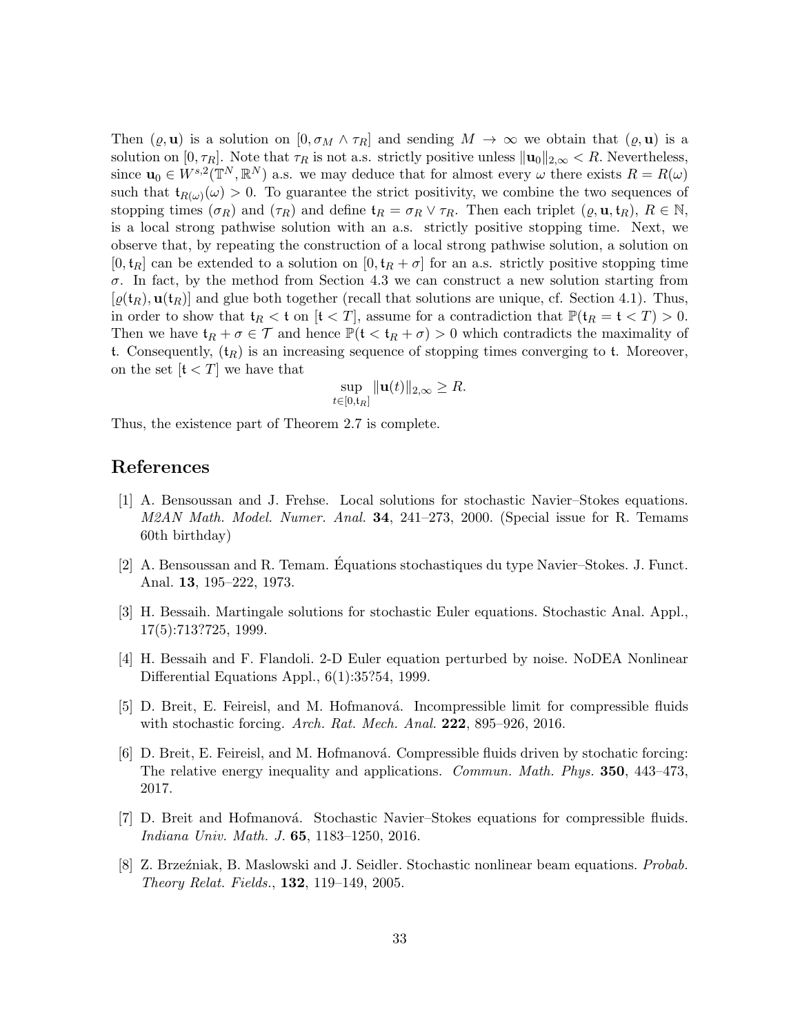Then  $(\varrho, \mathbf{u})$  is a solution on  $[0, \sigma_M \wedge \tau_R]$  and sending  $M \to \infty$  we obtain that  $(\varrho, \mathbf{u})$  is a solution on [0,  $\tau_R$ ]. Note that  $\tau_R$  is not a.s. strictly positive unless  $\|\mathbf{u}_0\|_{2,\infty} < R$ . Nevertheless, since  $\mathbf{u}_0 \in W^{s,2}(\mathbb{T}^N,\mathbb{R}^N)$  a.s. we may deduce that for almost every  $\omega$  there exists  $R = R(\omega)$ such that  $\mathfrak{t}_{R(\omega)}(\omega) > 0$ . To guarantee the strict positivity, we combine the two sequences of stopping times  $(\sigma_R)$  and  $(\tau_R)$  and define  $\mathfrak{t}_R = \sigma_R \vee \tau_R$ . Then each triplet  $(\varrho, \mathbf{u}, \mathbf{t}_R), R \in \mathbb{N}$ , is a local strong pathwise solution with an a.s. strictly positive stopping time. Next, we observe that, by repeating the construction of a local strong pathwise solution, a solution on  $[0, t_R]$  can be extended to a solution on  $[0, t_R + \sigma]$  for an a.s. strictly positive stopping time  $\sigma$ . In fact, by the method from Section 4.3 we can construct a new solution starting from  $[\varrho(\mathfrak{t}_R), \mathbf{u}(\mathfrak{t}_R)]$  and glue both together (recall that solutions are unique, cf. Section 4.1). Thus, in order to show that  $t_R < t$  on  $[t < T]$ , assume for a contradiction that  $\mathbb{P}(t_R = t < T) > 0$ . Then we have  $t_R + \sigma \in \mathcal{T}$  and hence  $\mathbb{P}(\mathfrak{t} < t_R + \sigma) > 0$  which contradicts the maximality of t. Consequently,  $(t_R)$  is an increasing sequence of stopping times converging to t. Moreover, on the set  $|t < T|$  we have that

$$
\sup_{t\in[0,\mathfrak{t}_R]}\|\mathbf{u}(t)\|_{2,\infty}\geq R.
$$

Thus, the existence part of Theorem 2.7 is complete.

## References

- [1] A. Bensoussan and J. Frehse. Local solutions for stochastic Navier–Stokes equations.  $M2AN$  Math. Model. Numer. Anal. **34**, 241–273, 2000. (Special issue for R. Temams 60th birthday)
- [2] A. Bensoussan and R. Temam. Equations stochastiques du type Navier–Stokes. J. Funct. ´ Anal. 13, 195–222, 1973.
- [3] H. Bessaih. Martingale solutions for stochastic Euler equations. Stochastic Anal. Appl., 17(5):713?725, 1999.
- [4] H. Bessaih and F. Flandoli. 2-D Euler equation perturbed by noise. NoDEA Nonlinear Differential Equations Appl., 6(1):35?54, 1999.
- [5] D. Breit, E. Feireisl, and M. Hofmanová. Incompressible limit for compressible fluids with stochastic forcing. Arch. Rat. Mech. Anal. 222, 895–926, 2016.
- [6] D. Breit, E. Feireisl, and M. Hofmanová. Compressible fluids driven by stochatic forcing: The relative energy inequality and applications. *Commun. Math. Phys.* **350**, 443–473, 2017.
- [7] D. Breit and Hofmanová. Stochastic Navier–Stokes equations for compressible fluids. Indiana Univ. Math. J. 65, 1183–1250, 2016.
- [8] Z. Brzeźniak, B. Maslowski and J. Seidler. Stochastic nonlinear beam equations. *Probab.* Theory Relat. Fields., 132, 119–149, 2005.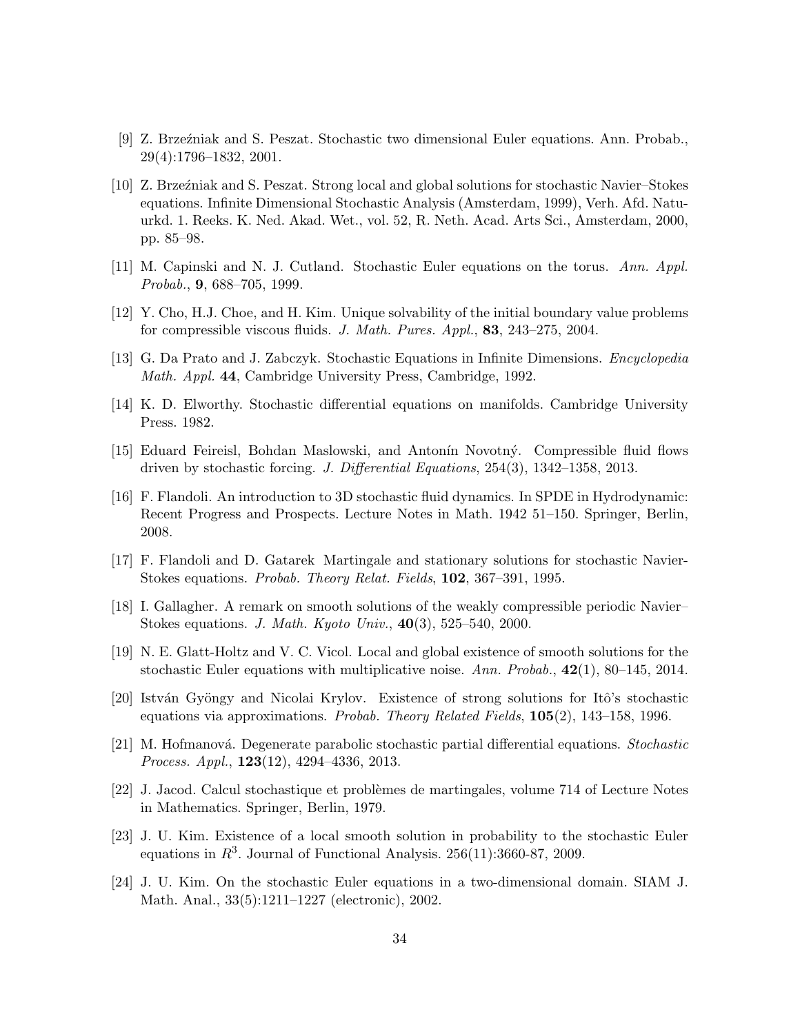- [9] Z. Brzeźniak and S. Peszat. Stochastic two dimensional Euler equations. Ann. Probab., 29(4):1796–1832, 2001.
- [10] Z. Brze´zniak and S. Peszat. Strong local and global solutions for stochastic Navier–Stokes equations. Infinite Dimensional Stochastic Analysis (Amsterdam, 1999), Verh. Afd. Natuurkd. 1. Reeks. K. Ned. Akad. Wet., vol. 52, R. Neth. Acad. Arts Sci., Amsterdam, 2000, pp. 85–98.
- [11] M. Capinski and N. J. Cutland. Stochastic Euler equations on the torus. Ann. Appl. Probab., 9, 688–705, 1999.
- [12] Y. Cho, H.J. Choe, and H. Kim. Unique solvability of the initial boundary value problems for compressible viscous fluids. J. Math. Pures. Appl., 83, 243–275, 2004.
- [13] G. Da Prato and J. Zabczyk. Stochastic Equations in Infinite Dimensions. Encyclopedia Math. Appl. 44, Cambridge University Press, Cambridge, 1992.
- [14] K. D. Elworthy. Stochastic differential equations on manifolds. Cambridge University Press. 1982.
- [15] Eduard Feireisl, Bohdan Maslowski, and Antonín Novotný. Compressible fluid flows driven by stochastic forcing. J. Differential Equations, 254(3), 1342–1358, 2013.
- [16] F. Flandoli. An introduction to 3D stochastic fluid dynamics. In SPDE in Hydrodynamic: Recent Progress and Prospects. Lecture Notes in Math. 1942 51–150. Springer, Berlin, 2008.
- [17] F. Flandoli and D. Gatarek Martingale and stationary solutions for stochastic Navier-Stokes equations. Probab. Theory Relat. Fields, 102, 367–391, 1995.
- [18] I. Gallagher. A remark on smooth solutions of the weakly compressible periodic Navier– Stokes equations. J. Math. Kyoto Univ., 40(3), 525–540, 2000.
- [19] N. E. Glatt-Holtz and V. C. Vicol. Local and global existence of smooth solutions for the stochastic Euler equations with multiplicative noise. Ann. Probab.,  $42(1)$ , 80–145, 2014.
- [20] István Gyöngy and Nicolai Krylov. Existence of strong solutions for Itô's stochastic equations via approximations. Probab. Theory Related Fields, 105(2), 143–158, 1996.
- [21] M. Hofmanová. Degenerate parabolic stochastic partial differential equations. Stochastic Process. Appl., 123(12), 4294–4336, 2013.
- [22] J. Jacod. Calcul stochastique et probl`emes de martingales, volume 714 of Lecture Notes in Mathematics. Springer, Berlin, 1979.
- [23] J. U. Kim. Existence of a local smooth solution in probability to the stochastic Euler equations in  $R^3$ . Journal of Functional Analysis. 256(11):3660-87, 2009.
- [24] J. U. Kim. On the stochastic Euler equations in a two-dimensional domain. SIAM J. Math. Anal., 33(5):1211–1227 (electronic), 2002.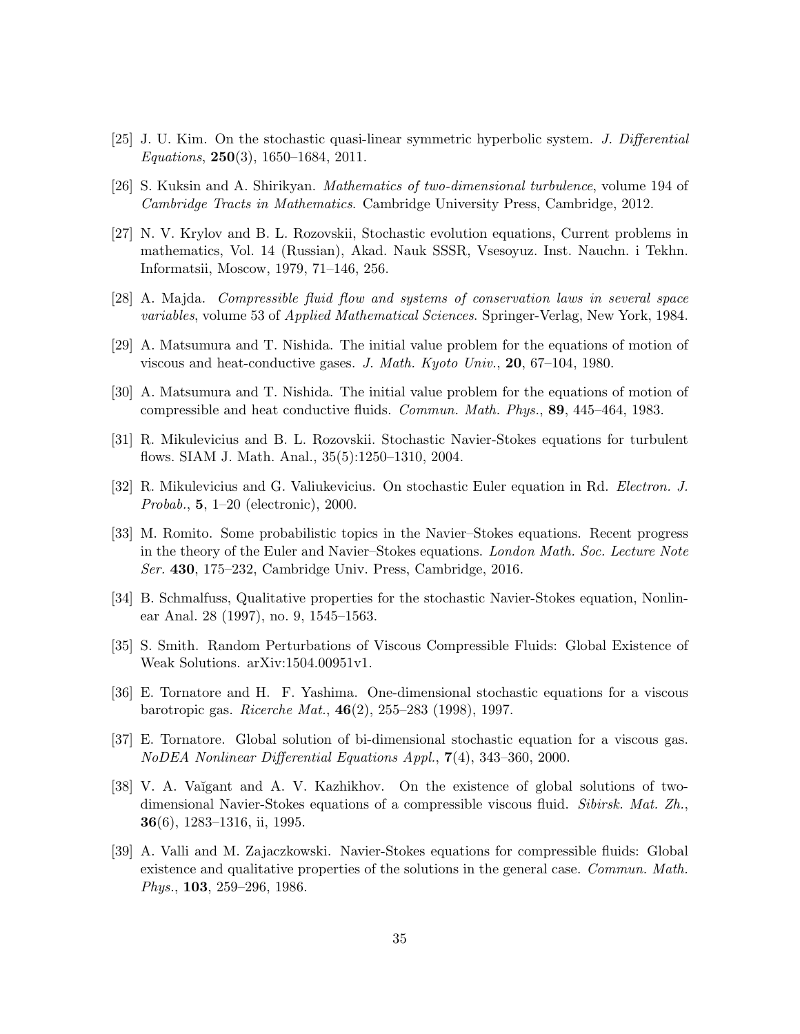- [25] J. U. Kim. On the stochastic quasi-linear symmetric hyperbolic system. J. Differential  $Equations, 250(3), 1650-1684, 2011.$
- [26] S. Kuksin and A. Shirikyan. Mathematics of two-dimensional turbulence, volume 194 of Cambridge Tracts in Mathematics. Cambridge University Press, Cambridge, 2012.
- [27] N. V. Krylov and B. L. Rozovskii, Stochastic evolution equations, Current problems in mathematics, Vol. 14 (Russian), Akad. Nauk SSSR, Vsesoyuz. Inst. Nauchn. i Tekhn. Informatsii, Moscow, 1979, 71–146, 256.
- [28] A. Majda. Compressible fluid flow and systems of conservation laws in several space variables, volume 53 of Applied Mathematical Sciences. Springer-Verlag, New York, 1984.
- [29] A. Matsumura and T. Nishida. The initial value problem for the equations of motion of viscous and heat-conductive gases. J. Math. Kyoto Univ., 20, 67–104, 1980.
- [30] A. Matsumura and T. Nishida. The initial value problem for the equations of motion of compressible and heat conductive fluids. Commun. Math. Phys., 89, 445–464, 1983.
- [31] R. Mikulevicius and B. L. Rozovskii. Stochastic Navier-Stokes equations for turbulent flows. SIAM J. Math. Anal., 35(5):1250–1310, 2004.
- [32] R. Mikulevicius and G. Valiukevicius. On stochastic Euler equation in Rd. Electron. J. Probab., 5, 1–20 (electronic), 2000.
- [33] M. Romito. Some probabilistic topics in the Navier–Stokes equations. Recent progress in the theory of the Euler and Navier–Stokes equations. London Math. Soc. Lecture Note Ser. 430, 175–232, Cambridge Univ. Press, Cambridge, 2016.
- [34] B. Schmalfuss, Qualitative properties for the stochastic Navier-Stokes equation, Nonlinear Anal. 28 (1997), no. 9, 1545–1563.
- [35] S. Smith. Random Perturbations of Viscous Compressible Fluids: Global Existence of Weak Solutions. arXiv:1504.00951v1.
- [36] E. Tornatore and H. F. Yashima. One-dimensional stochastic equations for a viscous barotropic gas. Ricerche Mat., 46(2), 255–283 (1998), 1997.
- [37] E. Tornatore. Global solution of bi-dimensional stochastic equation for a viscous gas. NoDEA Nonlinear Differential Equations Appl., 7(4), 343–360, 2000.
- [38] V. A. Vaĭgant and A. V. Kazhikhov. On the existence of global solutions of twodimensional Navier-Stokes equations of a compressible viscous fluid. Sibirsk. Mat. Zh., 36(6), 1283–1316, ii, 1995.
- [39] A. Valli and M. Zajaczkowski. Navier-Stokes equations for compressible fluids: Global existence and qualitative properties of the solutions in the general case. Commun. Math. Phys., 103, 259–296, 1986.